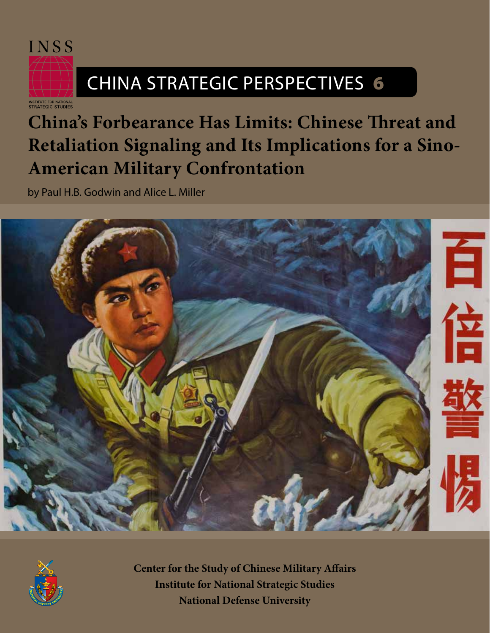

# CHINA STRATEGIC PERSPECTIVES 6

NSTITUTE FOR NATIONAL<br>STRATEGIC STUDIES

## **China's Forbearance Has Limits: Chinese Threat and Retaliation Signaling and Its Implications for a Sino-American Military Confrontation**

by Paul H.B. Godwin and Alice L. Miller





**Center for the Study of Chinese Military Affairs Institute for National Strategic Studies National Defense University**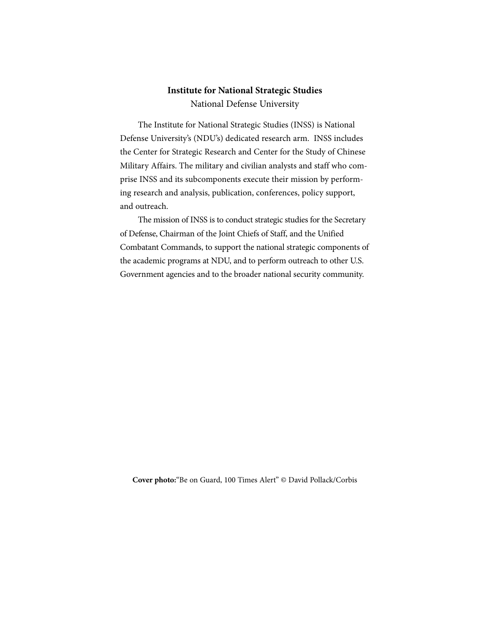### **Institute for National Strategic Studies**

National Defense University

The Institute for National Strategic Studies (INSS) is National Defense University's (NDU's) dedicated research arm. INSS includes the Center for Strategic Research and Center for the Study of Chinese Military Affairs. The military and civilian analysts and staff who comprise INSS and its subcomponents execute their mission by performing research and analysis, publication, conferences, policy support, and outreach.

The mission of INSS is to conduct strategic studies for the Secretary of Defense, Chairman of the Joint Chiefs of Staff, and the Unified Combatant Commands, to support the national strategic components of the academic programs at NDU, and to perform outreach to other U.S. Government agencies and to the broader national security community.

**Cover photo:**"Be on Guard, 100 Times Alert" © David Pollack/Corbis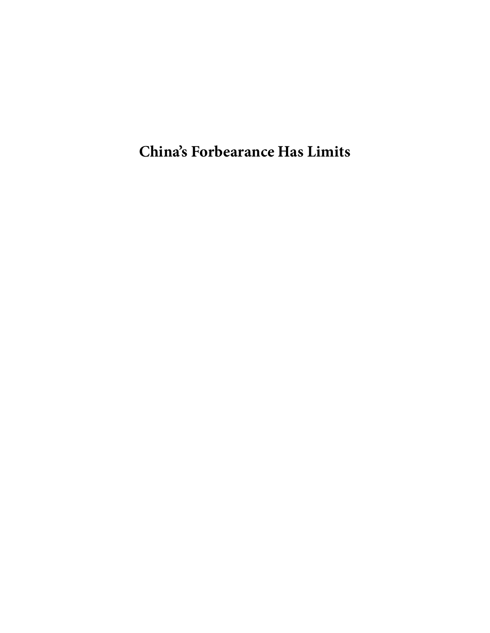**China's Forbearance Has Limits**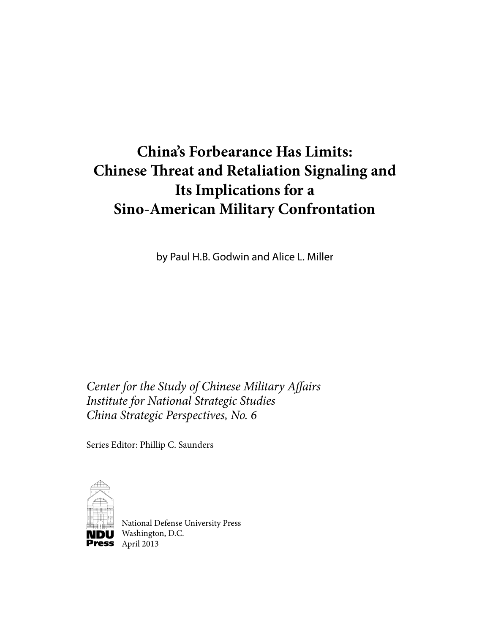### **China's Forbearance Has Limits: Chinese Threat and Retaliation Signaling and Its Implications for a Sino-American Military Confrontation**

by Paul H.B. Godwin and Alice L. Miller

*Center for the Study of Chinese Military Affairs Institute for National Strategic Studies China Strategic Perspectives, No. 6*

Series Editor: Phillip C. Saunders



National Defense University Press **NDU** Washington, D.C. Press April 2013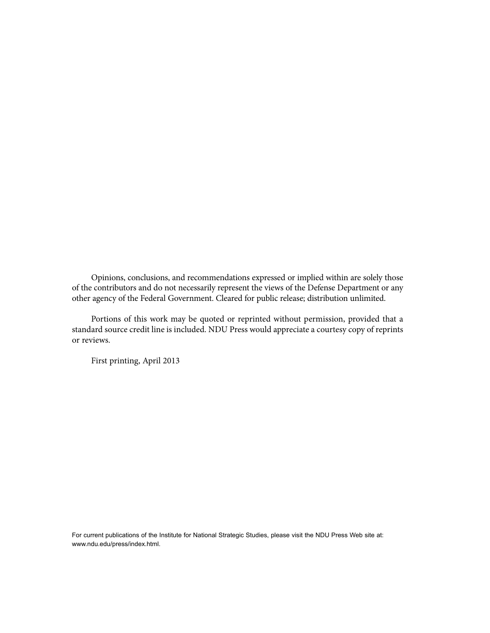Opinions, conclusions, and recommendations expressed or implied within are solely those of the contributors and do not necessarily represent the views of the Defense Department or any other agency of the Federal Government. Cleared for public release; distribution unlimited.

Portions of this work may be quoted or reprinted without permission, provided that a standard source credit line is included. NDU Press would appreciate a courtesy copy of reprints or reviews.

First printing, April 2013

For current publications of the Institute for National Strategic Studies, please visit the NDU Press Web site at: www.ndu.edu/press/index.html.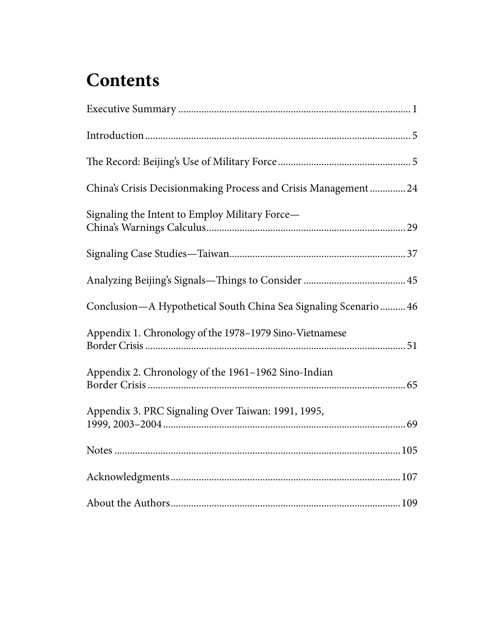## **Contents**

| China's Crisis Decisionmaking Process and Crisis Management  24 |
|-----------------------------------------------------------------|
| Signaling the Intent to Employ Military Force-                  |
|                                                                 |
|                                                                 |
| Conclusion-A Hypothetical South China Sea Signaling Scenario 46 |
| Appendix 1. Chronology of the 1978-1979 Sino-Vietnamese         |
| Appendix 2. Chronology of the 1961-1962 Sino-Indian             |
| Appendix 3. PRC Signaling Over Taiwan: 1991, 1995,              |
|                                                                 |
|                                                                 |
|                                                                 |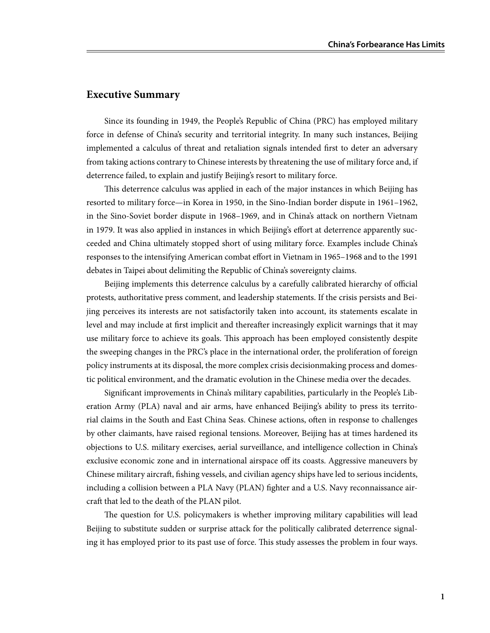#### **Executive Summary**

Since its founding in 1949, the People's Republic of China (PRC) has employed military force in defense of China's security and territorial integrity. In many such instances, Beijing implemented a calculus of threat and retaliation signals intended first to deter an adversary from taking actions contrary to Chinese interests by threatening the use of military force and, if deterrence failed, to explain and justify Beijing's resort to military force.

This deterrence calculus was applied in each of the major instances in which Beijing has resorted to military force—in Korea in 1950, in the Sino-Indian border dispute in 1961–1962, in the Sino-Soviet border dispute in 1968–1969, and in China's attack on northern Vietnam in 1979. It was also applied in instances in which Beijing's effort at deterrence apparently succeeded and China ultimately stopped short of using military force. Examples include China's responses to the intensifying American combat effort in Vietnam in 1965–1968 and to the 1991 debates in Taipei about delimiting the Republic of China's sovereignty claims.

Beijing implements this deterrence calculus by a carefully calibrated hierarchy of official protests, authoritative press comment, and leadership statements. If the crisis persists and Beijing perceives its interests are not satisfactorily taken into account, its statements escalate in level and may include at first implicit and thereafter increasingly explicit warnings that it may use military force to achieve its goals. This approach has been employed consistently despite the sweeping changes in the PRC's place in the international order, the proliferation of foreign policy instruments at its disposal, the more complex crisis decisionmaking process and domestic political environment, and the dramatic evolution in the Chinese media over the decades.

Significant improvements in China's military capabilities, particularly in the People's Liberation Army (PLA) naval and air arms, have enhanced Beijing's ability to press its territorial claims in the South and East China Seas. Chinese actions, often in response to challenges by other claimants, have raised regional tensions. Moreover, Beijing has at times hardened its objections to U.S. military exercises, aerial surveillance, and intelligence collection in China's exclusive economic zone and in international airspace off its coasts. Aggressive maneuvers by Chinese military aircraft, fishing vessels, and civilian agency ships have led to serious incidents, including a collision between a PLA Navy (PLAN) fighter and a U.S. Navy reconnaissance aircraft that led to the death of the PLAN pilot.

The question for U.S. policymakers is whether improving military capabilities will lead Beijing to substitute sudden or surprise attack for the politically calibrated deterrence signaling it has employed prior to its past use of force. This study assesses the problem in four ways.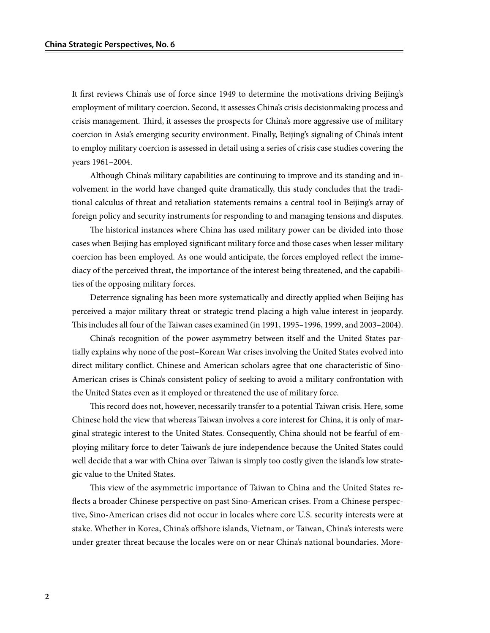It first reviews China's use of force since 1949 to determine the motivations driving Beijing's employment of military coercion. Second, it assesses China's crisis decisionmaking process and crisis management. Third, it assesses the prospects for China's more aggressive use of military coercion in Asia's emerging security environment. Finally, Beijing's signaling of China's intent to employ military coercion is assessed in detail using a series of crisis case studies covering the years 1961–2004.

Although China's military capabilities are continuing to improve and its standing and involvement in the world have changed quite dramatically, this study concludes that the traditional calculus of threat and retaliation statements remains a central tool in Beijing's array of foreign policy and security instruments for responding to and managing tensions and disputes.

The historical instances where China has used military power can be divided into those cases when Beijing has employed significant military force and those cases when lesser military coercion has been employed. As one would anticipate, the forces employed reflect the immediacy of the perceived threat, the importance of the interest being threatened, and the capabilities of the opposing military forces.

Deterrence signaling has been more systematically and directly applied when Beijing has perceived a major military threat or strategic trend placing a high value interest in jeopardy. This includes all four of the Taiwan cases examined (in 1991, 1995–1996, 1999, and 2003–2004).

China's recognition of the power asymmetry between itself and the United States partially explains why none of the post–Korean War crises involving the United States evolved into direct military conflict. Chinese and American scholars agree that one characteristic of Sino-American crises is China's consistent policy of seeking to avoid a military confrontation with the United States even as it employed or threatened the use of military force.

This record does not, however, necessarily transfer to a potential Taiwan crisis. Here, some Chinese hold the view that whereas Taiwan involves a core interest for China, it is only of marginal strategic interest to the United States. Consequently, China should not be fearful of employing military force to deter Taiwan's de jure independence because the United States could well decide that a war with China over Taiwan is simply too costly given the island's low strategic value to the United States.

This view of the asymmetric importance of Taiwan to China and the United States reflects a broader Chinese perspective on past Sino-American crises. From a Chinese perspective, Sino-American crises did not occur in locales where core U.S. security interests were at stake. Whether in Korea, China's offshore islands, Vietnam, or Taiwan, China's interests were under greater threat because the locales were on or near China's national boundaries. More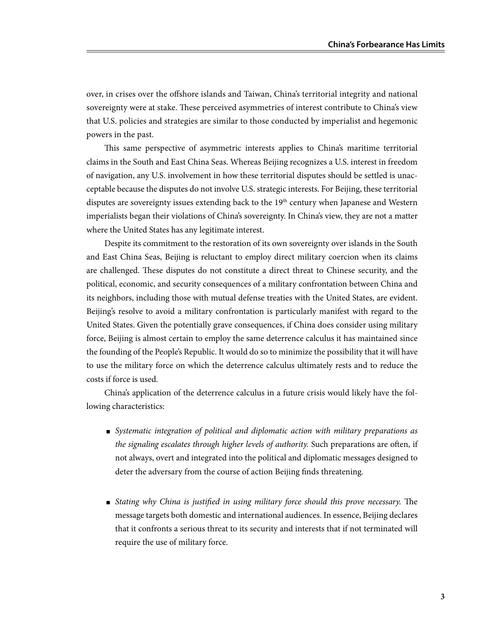over, in crises over the offshore islands and Taiwan, China's territorial integrity and national sovereignty were at stake. These perceived asymmetries of interest contribute to China's view that U.S. policies and strategies are similar to those conducted by imperialist and hegemonic powers in the past.

This same perspective of asymmetric interests applies to China's maritime territorial claims in the South and East China Seas. Whereas Beijing recognizes a U.S. interest in freedom of navigation, any U.S. involvement in how these territorial disputes should be settled is unacceptable because the disputes do not involve U.S. strategic interests. For Beijing, these territorial disputes are sovereignty issues extending back to the  $19<sup>th</sup>$  century when Japanese and Western imperialists began their violations of China's sovereignty. In China's view, they are not a matter where the United States has any legitimate interest.

Despite its commitment to the restoration of its own sovereignty over islands in the South and East China Seas, Beijing is reluctant to employ direct military coercion when its claims are challenged. These disputes do not constitute a direct threat to Chinese security, and the political, economic, and security consequences of a military confrontation between China and its neighbors, including those with mutual defense treaties with the United States, are evident. Beijing's resolve to avoid a military confrontation is particularly manifest with regard to the United States. Given the potentially grave consequences, if China does consider using military force, Beijing is almost certain to employ the same deterrence calculus it has maintained since the founding of the People's Republic. It would do so to minimize the possibility that it will have to use the military force on which the deterrence calculus ultimately rests and to reduce the costs if force is used.

China's application of the deterrence calculus in a future crisis would likely have the following characteristics:

- *Systematic integration of political and diplomatic action with military preparations as the signaling escalates through higher levels of authority.* Such preparations are often, if not always, overt and integrated into the political and diplomatic messages designed to deter the adversary from the course of action Beijing finds threatening.
- *Stating why China is justified in using military force should this prove necessary.* The message targets both domestic and international audiences. In essence, Beijing declares that it confronts a serious threat to its security and interests that if not terminated will require the use of military force.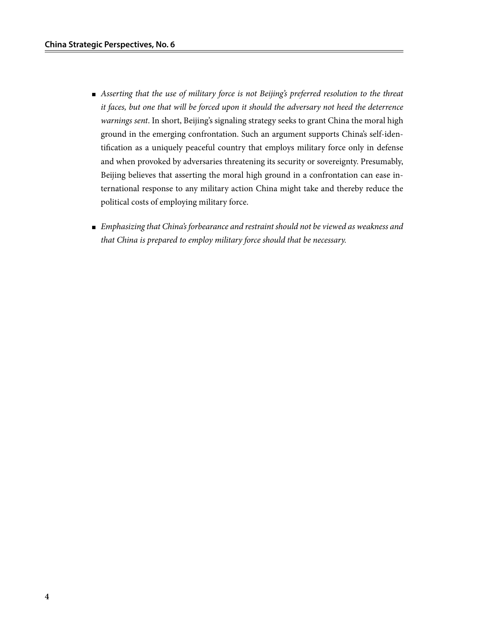- *Asserting that the use of military force is not Beijing's preferred resolution to the threat it faces, but one that will be forced upon it should the adversary not heed the deterrence warnings sent*. In short, Beijing's signaling strategy seeks to grant China the moral high ground in the emerging confrontation. Such an argument supports China's self-identification as a uniquely peaceful country that employs military force only in defense and when provoked by adversaries threatening its security or sovereignty. Presumably, Beijing believes that asserting the moral high ground in a confrontation can ease international response to any military action China might take and thereby reduce the political costs of employing military force.
- *Emphasizing that China's forbearance and restraint should not be viewed as weakness and that China is prepared to employ military force should that be necessary.*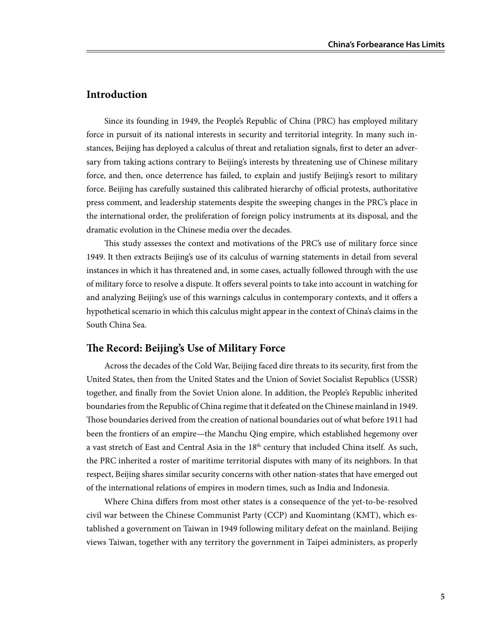#### **Introduction**

Since its founding in 1949, the People's Republic of China (PRC) has employed military force in pursuit of its national interests in security and territorial integrity. In many such instances, Beijing has deployed a calculus of threat and retaliation signals, first to deter an adversary from taking actions contrary to Beijing's interests by threatening use of Chinese military force, and then, once deterrence has failed, to explain and justify Beijing's resort to military force. Beijing has carefully sustained this calibrated hierarchy of official protests, authoritative press comment, and leadership statements despite the sweeping changes in the PRC's place in the international order, the proliferation of foreign policy instruments at its disposal, and the dramatic evolution in the Chinese media over the decades.

This study assesses the context and motivations of the PRC's use of military force since 1949. It then extracts Beijing's use of its calculus of warning statements in detail from several instances in which it has threatened and, in some cases, actually followed through with the use of military force to resolve a dispute. It offers several points to take into account in watching for and analyzing Beijing's use of this warnings calculus in contemporary contexts, and it offers a hypothetical scenario in which this calculus might appear in the context of China's claims in the South China Sea.

#### **The Record: Beijing's Use of Military Force**

Across the decades of the Cold War, Beijing faced dire threats to its security, first from the United States, then from the United States and the Union of Soviet Socialist Republics (USSR) together, and finally from the Soviet Union alone. In addition, the People's Republic inherited boundaries from the Republic of China regime that it defeated on the Chinese mainland in 1949. Those boundaries derived from the creation of national boundaries out of what before 1911 had been the frontiers of an empire—the Manchu Qing empire, which established hegemony over a vast stretch of East and Central Asia in the  $18<sup>th</sup>$  century that included China itself. As such, the PRC inherited a roster of maritime territorial disputes with many of its neighbors. In that respect, Beijing shares similar security concerns with other nation-states that have emerged out of the international relations of empires in modern times, such as India and Indonesia.

Where China differs from most other states is a consequence of the yet-to-be-resolved civil war between the Chinese Communist Party (CCP) and Kuomintang (KMT), which established a government on Taiwan in 1949 following military defeat on the mainland. Beijing views Taiwan, together with any territory the government in Taipei administers, as properly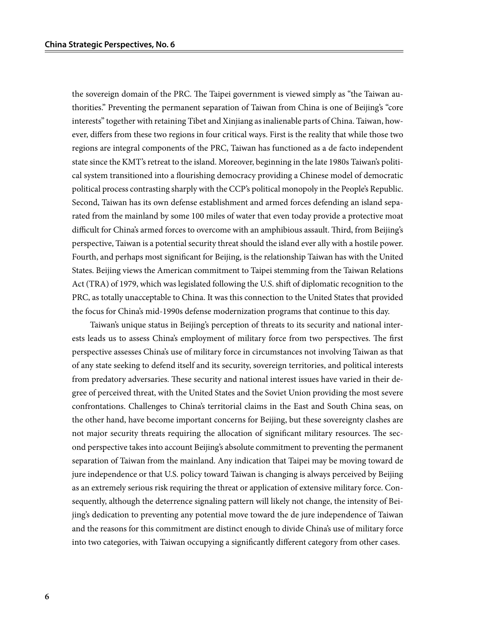the sovereign domain of the PRC. The Taipei government is viewed simply as "the Taiwan authorities." Preventing the permanent separation of Taiwan from China is one of Beijing's "core interests" together with retaining Tibet and Xinjiang as inalienable parts of China. Taiwan, however, differs from these two regions in four critical ways. First is the reality that while those two regions are integral components of the PRC, Taiwan has functioned as a de facto independent state since the KMT's retreat to the island. Moreover, beginning in the late 1980s Taiwan's political system transitioned into a flourishing democracy providing a Chinese model of democratic political process contrasting sharply with the CCP's political monopoly in the People's Republic. Second, Taiwan has its own defense establishment and armed forces defending an island separated from the mainland by some 100 miles of water that even today provide a protective moat difficult for China's armed forces to overcome with an amphibious assault. Third, from Beijing's perspective, Taiwan is a potential security threat should the island ever ally with a hostile power. Fourth, and perhaps most significant for Beijing, is the relationship Taiwan has with the United States. Beijing views the American commitment to Taipei stemming from the Taiwan Relations Act (TRA) of 1979, which was legislated following the U.S. shift of diplomatic recognition to the PRC, as totally unacceptable to China. It was this connection to the United States that provided the focus for China's mid-1990s defense modernization programs that continue to this day.

Taiwan's unique status in Beijing's perception of threats to its security and national interests leads us to assess China's employment of military force from two perspectives. The first perspective assesses China's use of military force in circumstances not involving Taiwan as that of any state seeking to defend itself and its security, sovereign territories, and political interests from predatory adversaries. These security and national interest issues have varied in their degree of perceived threat, with the United States and the Soviet Union providing the most severe confrontations. Challenges to China's territorial claims in the East and South China seas, on the other hand, have become important concerns for Beijing, but these sovereignty clashes are not major security threats requiring the allocation of significant military resources. The second perspective takes into account Beijing's absolute commitment to preventing the permanent separation of Taiwan from the mainland. Any indication that Taipei may be moving toward de jure independence or that U.S. policy toward Taiwan is changing is always perceived by Beijing as an extremely serious risk requiring the threat or application of extensive military force. Consequently, although the deterrence signaling pattern will likely not change, the intensity of Beijing's dedication to preventing any potential move toward the de jure independence of Taiwan and the reasons for this commitment are distinct enough to divide China's use of military force into two categories, with Taiwan occupying a significantly different category from other cases.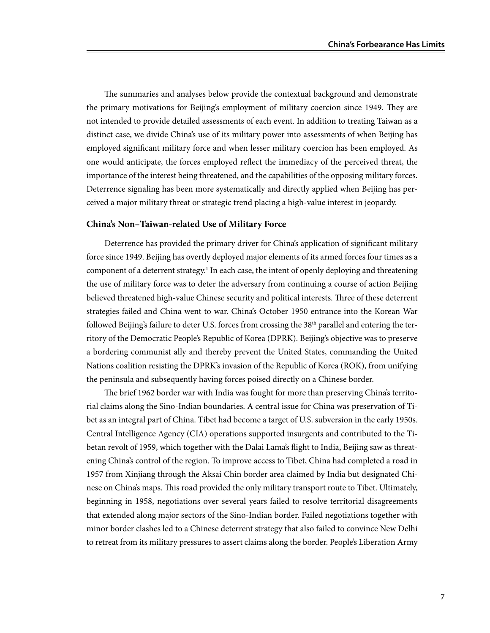The summaries and analyses below provide the contextual background and demonstrate the primary motivations for Beijing's employment of military coercion since 1949. They are not intended to provide detailed assessments of each event. In addition to treating Taiwan as a distinct case, we divide China's use of its military power into assessments of when Beijing has employed significant military force and when lesser military coercion has been employed. As one would anticipate, the forces employed reflect the immediacy of the perceived threat, the importance of the interest being threatened, and the capabilities of the opposing military forces. Deterrence signaling has been more systematically and directly applied when Beijing has perceived a major military threat or strategic trend placing a high-value interest in jeopardy.

#### **China's Non–Taiwan-related Use of Military Force**

Deterrence has provided the primary driver for China's application of significant military force since 1949. Beijing has overtly deployed major elements of its armed forces four times as a component of a deterrent strategy.<sup>1</sup> In each case, the intent of openly deploying and threatening the use of military force was to deter the adversary from continuing a course of action Beijing believed threatened high-value Chinese security and political interests. Three of these deterrent strategies failed and China went to war. China's October 1950 entrance into the Korean War followed Beijing's failure to deter U.S. forces from crossing the 38<sup>th</sup> parallel and entering the territory of the Democratic People's Republic of Korea (DPRK). Beijing's objective was to preserve a bordering communist ally and thereby prevent the United States, commanding the United Nations coalition resisting the DPRK's invasion of the Republic of Korea (ROK), from unifying the peninsula and subsequently having forces poised directly on a Chinese border.

The brief 1962 border war with India was fought for more than preserving China's territorial claims along the Sino-Indian boundaries. A central issue for China was preservation of Tibet as an integral part of China. Tibet had become a target of U.S. subversion in the early 1950s. Central Intelligence Agency (CIA) operations supported insurgents and contributed to the Tibetan revolt of 1959, which together with the Dalai Lama's flight to India, Beijing saw as threatening China's control of the region. To improve access to Tibet, China had completed a road in 1957 from Xinjiang through the Aksai Chin border area claimed by India but designated Chinese on China's maps. This road provided the only military transport route to Tibet. Ultimately, beginning in 1958, negotiations over several years failed to resolve territorial disagreements that extended along major sectors of the Sino-Indian border. Failed negotiations together with minor border clashes led to a Chinese deterrent strategy that also failed to convince New Delhi to retreat from its military pressures to assert claims along the border. People's Liberation Army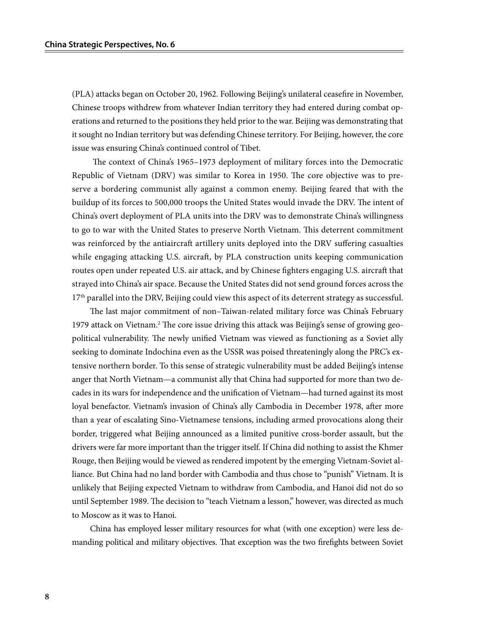(PLA) attacks began on October 20, 1962. Following Beijing's unilateral ceasefire in November, Chinese troops withdrew from whatever Indian territory they had entered during combat operations and returned to the positions they held prior to the war. Beijing was demonstrating that it sought no Indian territory but was defending Chinese territory. For Beijing, however, the core issue was ensuring China's continued control of Tibet.

 The context of China's 1965–1973 deployment of military forces into the Democratic Republic of Vietnam (DRV) was similar to Korea in 1950. The core objective was to preserve a bordering communist ally against a common enemy. Beijing feared that with the buildup of its forces to 500,000 troops the United States would invade the DRV. The intent of China's overt deployment of PLA units into the DRV was to demonstrate China's willingness to go to war with the United States to preserve North Vietnam. This deterrent commitment was reinforced by the antiaircraft artillery units deployed into the DRV suffering casualties while engaging attacking U.S. aircraft, by PLA construction units keeping communication routes open under repeated U.S. air attack, and by Chinese fighters engaging U.S. aircraft that strayed into China's air space. Because the United States did not send ground forces across the  $17<sup>th</sup>$  parallel into the DRV, Beijing could view this aspect of its deterrent strategy as successful.

The last major commitment of non–Taiwan-related military force was China's February 1979 attack on Vietnam.<sup>2</sup> The core issue driving this attack was Beijing's sense of growing geopolitical vulnerability. The newly unified Vietnam was viewed as functioning as a Soviet ally seeking to dominate Indochina even as the USSR was poised threateningly along the PRC's extensive northern border. To this sense of strategic vulnerability must be added Beijing's intense anger that North Vietnam—a communist ally that China had supported for more than two decades in its wars for independence and the unification of Vietnam—had turned against its most loyal benefactor. Vietnam's invasion of China's ally Cambodia in December 1978, after more than a year of escalating Sino-Vietnamese tensions, including armed provocations along their border, triggered what Beijing announced as a limited punitive cross-border assault, but the drivers were far more important than the trigger itself. If China did nothing to assist the Khmer Rouge, then Beijing would be viewed as rendered impotent by the emerging Vietnam-Soviet alliance. But China had no land border with Cambodia and thus chose to "punish" Vietnam. It is unlikely that Beijing expected Vietnam to withdraw from Cambodia, and Hanoi did not do so until September 1989. The decision to "teach Vietnam a lesson," however, was directed as much to Moscow as it was to Hanoi.

China has employed lesser military resources for what (with one exception) were less demanding political and military objectives. That exception was the two firefights between Soviet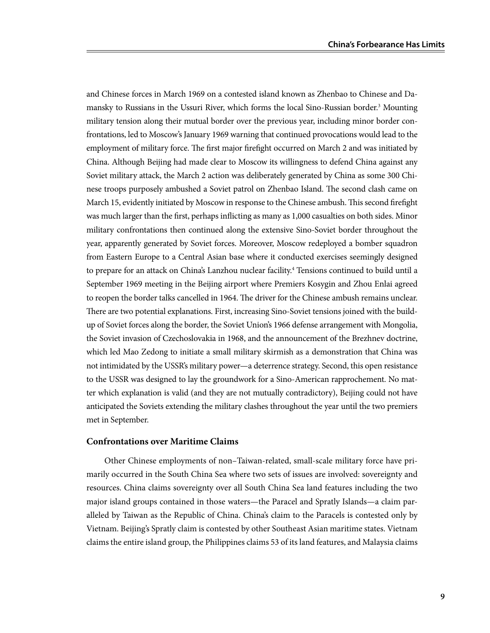and Chinese forces in March 1969 on a contested island known as Zhenbao to Chinese and Damansky to Russians in the Ussuri River, which forms the local Sino-Russian border.<sup>3</sup> Mounting military tension along their mutual border over the previous year, including minor border confrontations, led to Moscow's January 1969 warning that continued provocations would lead to the employment of military force. The first major firefight occurred on March 2 and was initiated by China. Although Beijing had made clear to Moscow its willingness to defend China against any Soviet military attack, the March 2 action was deliberately generated by China as some 300 Chinese troops purposely ambushed a Soviet patrol on Zhenbao Island. The second clash came on March 15, evidently initiated by Moscow in response to the Chinese ambush. This second firefight was much larger than the first, perhaps inflicting as many as 1,000 casualties on both sides. Minor military confrontations then continued along the extensive Sino-Soviet border throughout the year, apparently generated by Soviet forces. Moreover, Moscow redeployed a bomber squadron from Eastern Europe to a Central Asian base where it conducted exercises seemingly designed to prepare for an attack on China's Lanzhou nuclear facility.<sup>4</sup> Tensions continued to build until a September 1969 meeting in the Beijing airport where Premiers Kosygin and Zhou Enlai agreed to reopen the border talks cancelled in 1964. The driver for the Chinese ambush remains unclear. There are two potential explanations. First, increasing Sino-Soviet tensions joined with the buildup of Soviet forces along the border, the Soviet Union's 1966 defense arrangement with Mongolia, the Soviet invasion of Czechoslovakia in 1968, and the announcement of the Brezhnev doctrine, which led Mao Zedong to initiate a small military skirmish as a demonstration that China was not intimidated by the USSR's military power—a deterrence strategy. Second, this open resistance to the USSR was designed to lay the groundwork for a Sino-American rapprochement. No matter which explanation is valid (and they are not mutually contradictory), Beijing could not have anticipated the Soviets extending the military clashes throughout the year until the two premiers met in September.

#### **Confrontations over Maritime Claims**

Other Chinese employments of non–Taiwan-related, small-scale military force have primarily occurred in the South China Sea where two sets of issues are involved: sovereignty and resources. China claims sovereignty over all South China Sea land features including the two major island groups contained in those waters—the Paracel and Spratly Islands—a claim paralleled by Taiwan as the Republic of China. China's claim to the Paracels is contested only by Vietnam. Beijing's Spratly claim is contested by other Southeast Asian maritime states. Vietnam claims the entire island group, the Philippines claims 53 of its land features, and Malaysia claims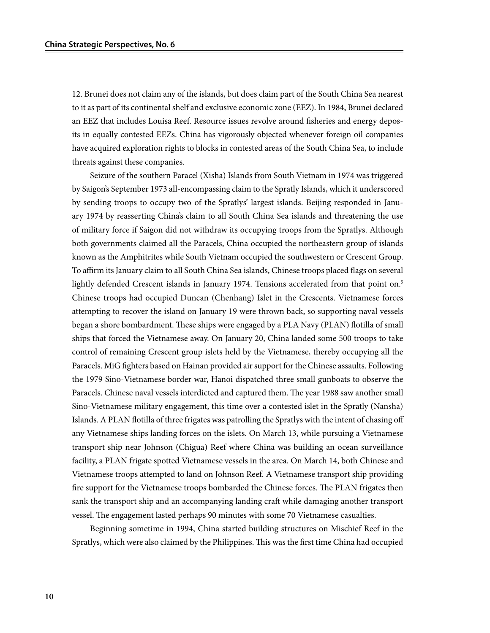12. Brunei does not claim any of the islands, but does claim part of the South China Sea nearest to it as part of its continental shelf and exclusive economic zone (EEZ). In 1984, Brunei declared an EEZ that includes Louisa Reef. Resource issues revolve around fisheries and energy deposits in equally contested EEZs. China has vigorously objected whenever foreign oil companies have acquired exploration rights to blocks in contested areas of the South China Sea, to include threats against these companies.

Seizure of the southern Paracel (Xisha) Islands from South Vietnam in 1974 was triggered by Saigon's September 1973 all-encompassing claim to the Spratly Islands, which it underscored by sending troops to occupy two of the Spratlys' largest islands. Beijing responded in January 1974 by reasserting China's claim to all South China Sea islands and threatening the use of military force if Saigon did not withdraw its occupying troops from the Spratlys. Although both governments claimed all the Paracels, China occupied the northeastern group of islands known as the Amphitrites while South Vietnam occupied the southwestern or Crescent Group. To affirm its January claim to all South China Sea islands, Chinese troops placed flags on several lightly defended Crescent islands in January 1974. Tensions accelerated from that point on.<sup>5</sup> Chinese troops had occupied Duncan (Chenhang) Islet in the Crescents. Vietnamese forces attempting to recover the island on January 19 were thrown back, so supporting naval vessels began a shore bombardment. These ships were engaged by a PLA Navy (PLAN) flotilla of small ships that forced the Vietnamese away. On January 20, China landed some 500 troops to take control of remaining Crescent group islets held by the Vietnamese, thereby occupying all the Paracels. MiG fighters based on Hainan provided air support for the Chinese assaults. Following the 1979 Sino-Vietnamese border war, Hanoi dispatched three small gunboats to observe the Paracels. Chinese naval vessels interdicted and captured them. The year 1988 saw another small Sino-Vietnamese military engagement, this time over a contested islet in the Spratly (Nansha) Islands. A PLAN flotilla of three frigates was patrolling the Spratlys with the intent of chasing off any Vietnamese ships landing forces on the islets. On March 13, while pursuing a Vietnamese transport ship near Johnson (Chigua) Reef where China was building an ocean surveillance facility, a PLAN frigate spotted Vietnamese vessels in the area. On March 14, both Chinese and Vietnamese troops attempted to land on Johnson Reef. A Vietnamese transport ship providing fire support for the Vietnamese troops bombarded the Chinese forces. The PLAN frigates then sank the transport ship and an accompanying landing craft while damaging another transport vessel. The engagement lasted perhaps 90 minutes with some 70 Vietnamese casualties.

Beginning sometime in 1994, China started building structures on Mischief Reef in the Spratlys, which were also claimed by the Philippines. This was the first time China had occupied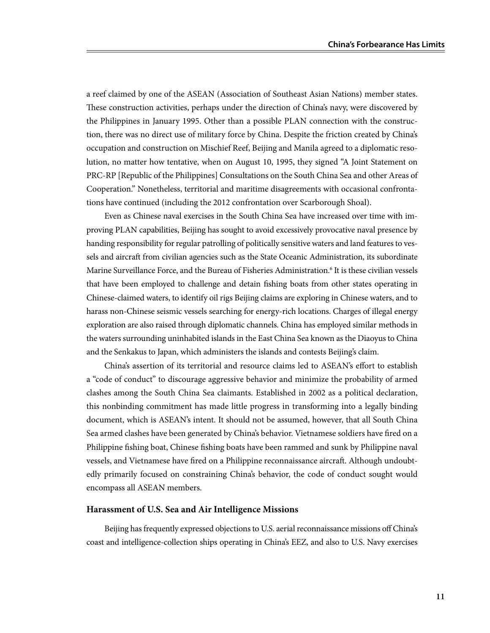a reef claimed by one of the ASEAN (Association of Southeast Asian Nations) member states. These construction activities, perhaps under the direction of China's navy, were discovered by the Philippines in January 1995. Other than a possible PLAN connection with the construction, there was no direct use of military force by China. Despite the friction created by China's occupation and construction on Mischief Reef, Beijing and Manila agreed to a diplomatic resolution, no matter how tentative, when on August 10, 1995, they signed "A Joint Statement on PRC-RP [Republic of the Philippines] Consultations on the South China Sea and other Areas of Cooperation." Nonetheless, territorial and maritime disagreements with occasional confrontations have continued (including the 2012 confrontation over Scarborough Shoal).

Even as Chinese naval exercises in the South China Sea have increased over time with improving PLAN capabilities, Beijing has sought to avoid excessively provocative naval presence by handing responsibility for regular patrolling of politically sensitive waters and land features to vessels and aircraft from civilian agencies such as the State Oceanic Administration, its subordinate Marine Surveillance Force, and the Bureau of Fisheries Administration.<sup>6</sup> It is these civilian vessels that have been employed to challenge and detain fishing boats from other states operating in Chinese-claimed waters, to identify oil rigs Beijing claims are exploring in Chinese waters, and to harass non-Chinese seismic vessels searching for energy-rich locations. Charges of illegal energy exploration are also raised through diplomatic channels. China has employed similar methods in the waters surrounding uninhabited islands in the East China Sea known as the Diaoyus to China and the Senkakus to Japan, which administers the islands and contests Beijing's claim.

China's assertion of its territorial and resource claims led to ASEAN's effort to establish a "code of conduct" to discourage aggressive behavior and minimize the probability of armed clashes among the South China Sea claimants. Established in 2002 as a political declaration, this nonbinding commitment has made little progress in transforming into a legally binding document, which is ASEAN's intent. It should not be assumed, however, that all South China Sea armed clashes have been generated by China's behavior. Vietnamese soldiers have fired on a Philippine fishing boat, Chinese fishing boats have been rammed and sunk by Philippine naval vessels, and Vietnamese have fired on a Philippine reconnaissance aircraft. Although undoubtedly primarily focused on constraining China's behavior, the code of conduct sought would encompass all ASEAN members.

#### **Harassment of U.S. Sea and Air Intelligence Missions**

Beijing has frequently expressed objections to U.S. aerial reconnaissance missions off China's coast and intelligence-collection ships operating in China's EEZ, and also to U.S. Navy exercises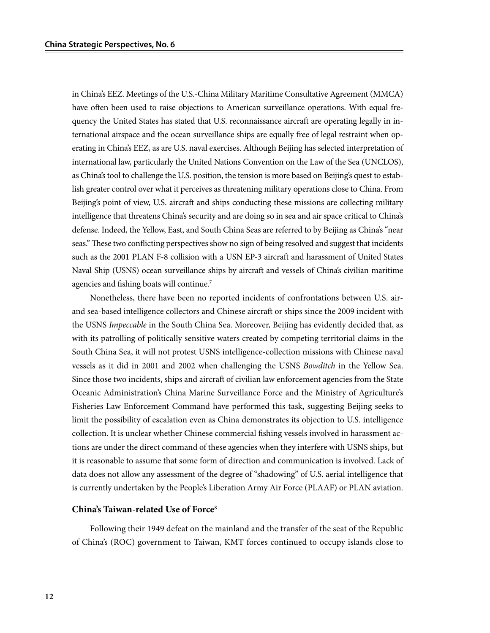in China's EEZ. Meetings of the U.S.-China Military Maritime Consultative Agreement (MMCA) have often been used to raise objections to American surveillance operations. With equal frequency the United States has stated that U.S. reconnaissance aircraft are operating legally in international airspace and the ocean surveillance ships are equally free of legal restraint when operating in China's EEZ, as are U.S. naval exercises. Although Beijing has selected interpretation of international law, particularly the United Nations Convention on the Law of the Sea (UNCLOS), as China's tool to challenge the U.S. position, the tension is more based on Beijing's quest to establish greater control over what it perceives as threatening military operations close to China. From Beijing's point of view, U.S. aircraft and ships conducting these missions are collecting military intelligence that threatens China's security and are doing so in sea and air space critical to China's defense. Indeed, the Yellow, East, and South China Seas are referred to by Beijing as China's "near seas." These two conflicting perspectives show no sign of being resolved and suggest that incidents such as the 2001 PLAN F-8 collision with a USN EP-3 aircraft and harassment of United States Naval Ship (USNS) ocean surveillance ships by aircraft and vessels of China's civilian maritime agencies and fishing boats will continue.7

Nonetheless, there have been no reported incidents of confrontations between U.S. airand sea-based intelligence collectors and Chinese aircraft or ships since the 2009 incident with the USNS *Impeccable* in the South China Sea. Moreover, Beijing has evidently decided that, as with its patrolling of politically sensitive waters created by competing territorial claims in the South China Sea, it will not protest USNS intelligence-collection missions with Chinese naval vessels as it did in 2001 and 2002 when challenging the USNS *Bowditch* in the Yellow Sea. Since those two incidents, ships and aircraft of civilian law enforcement agencies from the State Oceanic Administration's China Marine Surveillance Force and the Ministry of Agriculture's Fisheries Law Enforcement Command have performed this task, suggesting Beijing seeks to limit the possibility of escalation even as China demonstrates its objection to U.S. intelligence collection. It is unclear whether Chinese commercial fishing vessels involved in harassment actions are under the direct command of these agencies when they interfere with USNS ships, but it is reasonable to assume that some form of direction and communication is involved. Lack of data does not allow any assessment of the degree of "shadowing" of U.S. aerial intelligence that is currently undertaken by the People's Liberation Army Air Force (PLAAF) or PLAN aviation.

#### **China's Taiwan-related Use of Force**<sup>8</sup>

Following their 1949 defeat on the mainland and the transfer of the seat of the Republic of China's (ROC) government to Taiwan, KMT forces continued to occupy islands close to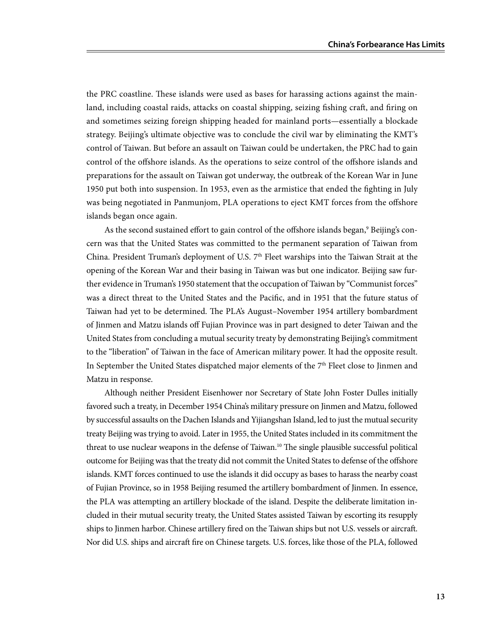the PRC coastline. These islands were used as bases for harassing actions against the mainland, including coastal raids, attacks on coastal shipping, seizing fishing craft, and firing on and sometimes seizing foreign shipping headed for mainland ports—essentially a blockade strategy. Beijing's ultimate objective was to conclude the civil war by eliminating the KMT's control of Taiwan. But before an assault on Taiwan could be undertaken, the PRC had to gain control of the offshore islands. As the operations to seize control of the offshore islands and preparations for the assault on Taiwan got underway, the outbreak of the Korean War in June 1950 put both into suspension. In 1953, even as the armistice that ended the fighting in July was being negotiated in Panmunjom, PLA operations to eject KMT forces from the offshore islands began once again.

As the second sustained effort to gain control of the offshore islands began,<sup>9</sup> Beijing's concern was that the United States was committed to the permanent separation of Taiwan from China. President Truman's deployment of U.S. 7<sup>th</sup> Fleet warships into the Taiwan Strait at the opening of the Korean War and their basing in Taiwan was but one indicator. Beijing saw further evidence in Truman's 1950 statement that the occupation of Taiwan by "Communist forces" was a direct threat to the United States and the Pacific, and in 1951 that the future status of Taiwan had yet to be determined. The PLA's August–November 1954 artillery bombardment of Jinmen and Matzu islands off Fujian Province was in part designed to deter Taiwan and the United States from concluding a mutual security treaty by demonstrating Beijing's commitment to the "liberation" of Taiwan in the face of American military power. It had the opposite result. In September the United States dispatched major elements of the 7<sup>th</sup> Fleet close to Jinmen and Matzu in response.

Although neither President Eisenhower nor Secretary of State John Foster Dulles initially favored such a treaty, in December 1954 China's military pressure on Jinmen and Matzu, followed by successful assaults on the Dachen Islands and Yijiangshan Island, led to just the mutual security treaty Beijing was trying to avoid. Later in 1955, the United States included in its commitment the threat to use nuclear weapons in the defense of Taiwan.<sup>10</sup> The single plausible successful political outcome for Beijing was that the treaty did not commit the United States to defense of the offshore islands. KMT forces continued to use the islands it did occupy as bases to harass the nearby coast of Fujian Province, so in 1958 Beijing resumed the artillery bombardment of Jinmen. In essence, the PLA was attempting an artillery blockade of the island. Despite the deliberate limitation included in their mutual security treaty, the United States assisted Taiwan by escorting its resupply ships to Jinmen harbor. Chinese artillery fired on the Taiwan ships but not U.S. vessels or aircraft. Nor did U.S. ships and aircraft fire on Chinese targets. U.S. forces, like those of the PLA, followed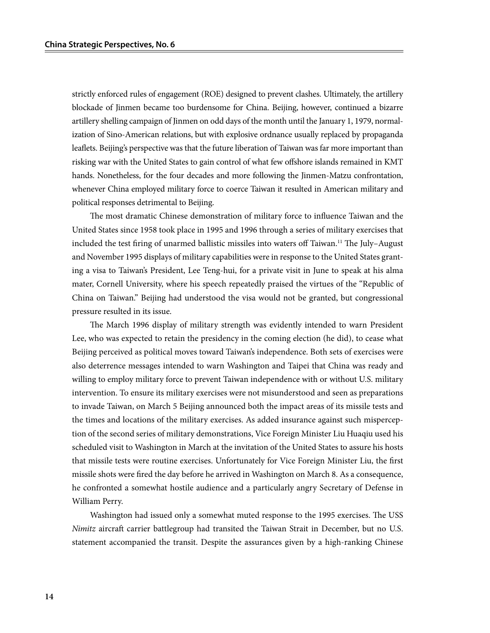strictly enforced rules of engagement (ROE) designed to prevent clashes. Ultimately, the artillery blockade of Jinmen became too burdensome for China. Beijing, however, continued a bizarre artillery shelling campaign of Jinmen on odd days of the month until the January 1, 1979, normalization of Sino-American relations, but with explosive ordnance usually replaced by propaganda leaflets. Beijing's perspective was that the future liberation of Taiwan was far more important than risking war with the United States to gain control of what few offshore islands remained in KMT hands. Nonetheless, for the four decades and more following the Jinmen-Matzu confrontation, whenever China employed military force to coerce Taiwan it resulted in American military and political responses detrimental to Beijing.

The most dramatic Chinese demonstration of military force to influence Taiwan and the United States since 1958 took place in 1995 and 1996 through a series of military exercises that included the test firing of unarmed ballistic missiles into waters off Taiwan.11 The July–August and November 1995 displays of military capabilities were in response to the United States granting a visa to Taiwan's President, Lee Teng-hui, for a private visit in June to speak at his alma mater, Cornell University, where his speech repeatedly praised the virtues of the "Republic of China on Taiwan." Beijing had understood the visa would not be granted, but congressional pressure resulted in its issue.

The March 1996 display of military strength was evidently intended to warn President Lee, who was expected to retain the presidency in the coming election (he did), to cease what Beijing perceived as political moves toward Taiwan's independence. Both sets of exercises were also deterrence messages intended to warn Washington and Taipei that China was ready and willing to employ military force to prevent Taiwan independence with or without U.S. military intervention. To ensure its military exercises were not misunderstood and seen as preparations to invade Taiwan, on March 5 Beijing announced both the impact areas of its missile tests and the times and locations of the military exercises. As added insurance against such misperception of the second series of military demonstrations, Vice Foreign Minister Liu Huaqiu used his scheduled visit to Washington in March at the invitation of the United States to assure his hosts that missile tests were routine exercises. Unfortunately for Vice Foreign Minister Liu, the first missile shots were fired the day before he arrived in Washington on March 8. As a consequence, he confronted a somewhat hostile audience and a particularly angry Secretary of Defense in William Perry.

Washington had issued only a somewhat muted response to the 1995 exercises. The USS *Nimitz* aircraft carrier battlegroup had transited the Taiwan Strait in December, but no U.S. statement accompanied the transit. Despite the assurances given by a high-ranking Chinese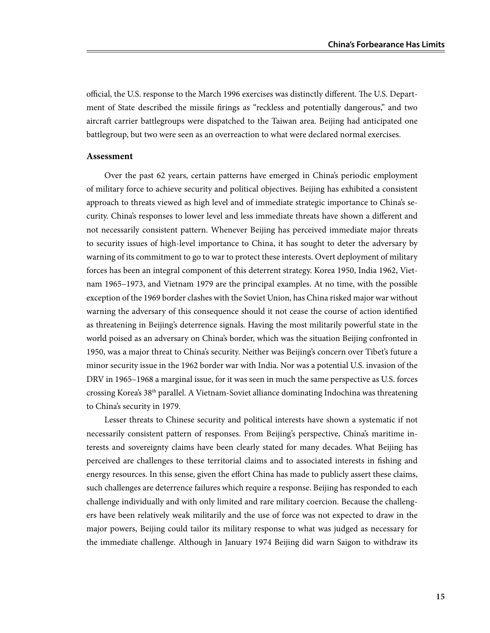official, the U.S. response to the March 1996 exercises was distinctly different. The U.S. Department of State described the missile firings as "reckless and potentially dangerous," and two aircraft carrier battlegroups were dispatched to the Taiwan area. Beijing had anticipated one battlegroup, but two were seen as an overreaction to what were declared normal exercises.

#### **Assessment**

Over the past 62 years, certain patterns have emerged in China's periodic employment of military force to achieve security and political objectives. Beijing has exhibited a consistent approach to threats viewed as high level and of immediate strategic importance to China's security. China's responses to lower level and less immediate threats have shown a different and not necessarily consistent pattern. Whenever Beijing has perceived immediate major threats to security issues of high-level importance to China, it has sought to deter the adversary by warning of its commitment to go to war to protect these interests. Overt deployment of military forces has been an integral component of this deterrent strategy. Korea 1950, India 1962, Vietnam 1965–1973, and Vietnam 1979 are the principal examples. At no time, with the possible exception of the 1969 border clashes with the Soviet Union, has China risked major war without warning the adversary of this consequence should it not cease the course of action identified as threatening in Beijing's deterrence signals. Having the most militarily powerful state in the world poised as an adversary on China's border, which was the situation Beijing confronted in 1950, was a major threat to China's security. Neither was Beijing's concern over Tibet's future a minor security issue in the 1962 border war with India. Nor was a potential U.S. invasion of the DRV in 1965–1968 a marginal issue, for it was seen in much the same perspective as U.S. forces crossing Korea's 38th parallel. A Vietnam-Soviet alliance dominating Indochina was threatening to China's security in 1979.

Lesser threats to Chinese security and political interests have shown a systematic if not necessarily consistent pattern of responses. From Beijing's perspective, China's maritime interests and sovereignty claims have been clearly stated for many decades. What Beijing has perceived are challenges to these territorial claims and to associated interests in fishing and energy resources. In this sense, given the effort China has made to publicly assert these claims, such challenges are deterrence failures which require a response. Beijing has responded to each challenge individually and with only limited and rare military coercion. Because the challengers have been relatively weak militarily and the use of force was not expected to draw in the major powers, Beijing could tailor its military response to what was judged as necessary for the immediate challenge. Although in January 1974 Beijing did warn Saigon to withdraw its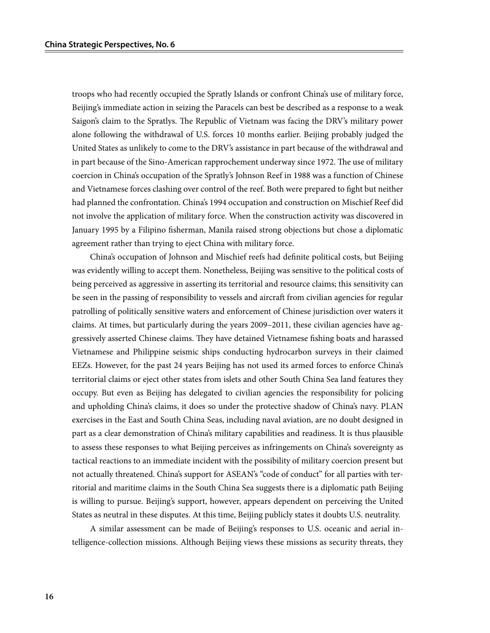troops who had recently occupied the Spratly Islands or confront China's use of military force, Beijing's immediate action in seizing the Paracels can best be described as a response to a weak Saigon's claim to the Spratlys. The Republic of Vietnam was facing the DRV's military power alone following the withdrawal of U.S. forces 10 months earlier. Beijing probably judged the United States as unlikely to come to the DRV's assistance in part because of the withdrawal and in part because of the Sino-American rapprochement underway since 1972. The use of military coercion in China's occupation of the Spratly's Johnson Reef in 1988 was a function of Chinese and Vietnamese forces clashing over control of the reef. Both were prepared to fight but neither had planned the confrontation. China's 1994 occupation and construction on Mischief Reef did not involve the application of military force. When the construction activity was discovered in January 1995 by a Filipino fisherman, Manila raised strong objections but chose a diplomatic agreement rather than trying to eject China with military force.

China's occupation of Johnson and Mischief reefs had definite political costs, but Beijing was evidently willing to accept them. Nonetheless, Beijing was sensitive to the political costs of being perceived as aggressive in asserting its territorial and resource claims; this sensitivity can be seen in the passing of responsibility to vessels and aircraft from civilian agencies for regular patrolling of politically sensitive waters and enforcement of Chinese jurisdiction over waters it claims. At times, but particularly during the years 2009–2011, these civilian agencies have aggressively asserted Chinese claims. They have detained Vietnamese fishing boats and harassed Vietnamese and Philippine seismic ships conducting hydrocarbon surveys in their claimed EEZs. However, for the past 24 years Beijing has not used its armed forces to enforce China's territorial claims or eject other states from islets and other South China Sea land features they occupy. But even as Beijing has delegated to civilian agencies the responsibility for policing and upholding China's claims, it does so under the protective shadow of China's navy. PLAN exercises in the East and South China Seas, including naval aviation, are no doubt designed in part as a clear demonstration of China's military capabilities and readiness. It is thus plausible to assess these responses to what Beijing perceives as infringements on China's sovereignty as tactical reactions to an immediate incident with the possibility of military coercion present but not actually threatened. China's support for ASEAN's "code of conduct" for all parties with territorial and maritime claims in the South China Sea suggests there is a diplomatic path Beijing is willing to pursue. Beijing's support, however, appears dependent on perceiving the United States as neutral in these disputes. At this time, Beijing publicly states it doubts U.S. neutrality.

A similar assessment can be made of Beijing's responses to U.S. oceanic and aerial intelligence-collection missions. Although Beijing views these missions as security threats, they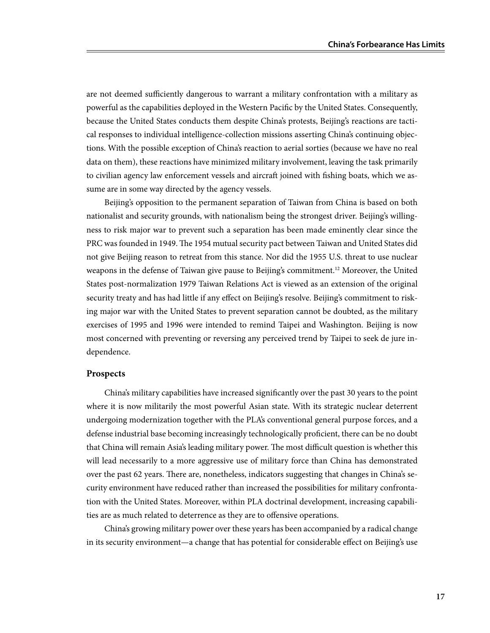are not deemed sufficiently dangerous to warrant a military confrontation with a military as powerful as the capabilities deployed in the Western Pacific by the United States. Consequently, because the United States conducts them despite China's protests, Beijing's reactions are tactical responses to individual intelligence-collection missions asserting China's continuing objections. With the possible exception of China's reaction to aerial sorties (because we have no real data on them), these reactions have minimized military involvement, leaving the task primarily to civilian agency law enforcement vessels and aircraft joined with fishing boats, which we assume are in some way directed by the agency vessels.

Beijing's opposition to the permanent separation of Taiwan from China is based on both nationalist and security grounds, with nationalism being the strongest driver. Beijing's willingness to risk major war to prevent such a separation has been made eminently clear since the PRC was founded in 1949. The 1954 mutual security pact between Taiwan and United States did not give Beijing reason to retreat from this stance. Nor did the 1955 U.S. threat to use nuclear weapons in the defense of Taiwan give pause to Beijing's commitment.<sup>12</sup> Moreover, the United States post-normalization 1979 Taiwan Relations Act is viewed as an extension of the original security treaty and has had little if any effect on Beijing's resolve. Beijing's commitment to risking major war with the United States to prevent separation cannot be doubted, as the military exercises of 1995 and 1996 were intended to remind Taipei and Washington. Beijing is now most concerned with preventing or reversing any perceived trend by Taipei to seek de jure independence.

#### **Prospects**

China's military capabilities have increased significantly over the past 30 years to the point where it is now militarily the most powerful Asian state. With its strategic nuclear deterrent undergoing modernization together with the PLA's conventional general purpose forces, and a defense industrial base becoming increasingly technologically proficient, there can be no doubt that China will remain Asia's leading military power. The most difficult question is whether this will lead necessarily to a more aggressive use of military force than China has demonstrated over the past 62 years. There are, nonetheless, indicators suggesting that changes in China's security environment have reduced rather than increased the possibilities for military confrontation with the United States. Moreover, within PLA doctrinal development, increasing capabilities are as much related to deterrence as they are to offensive operations.

China's growing military power over these years has been accompanied by a radical change in its security environment—a change that has potential for considerable effect on Beijing's use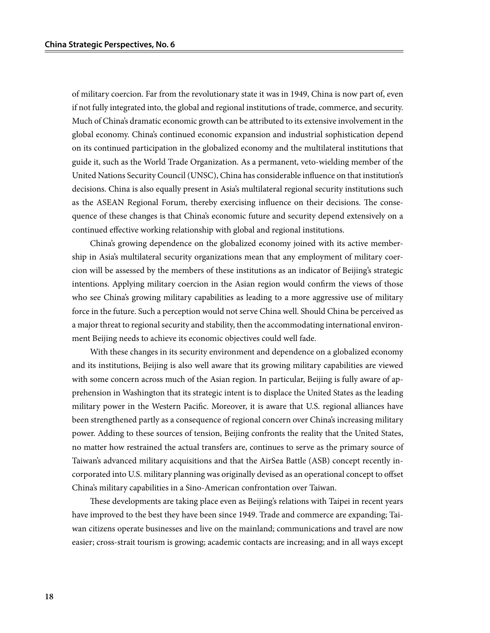of military coercion. Far from the revolutionary state it was in 1949, China is now part of, even if not fully integrated into, the global and regional institutions of trade, commerce, and security. Much of China's dramatic economic growth can be attributed to its extensive involvement in the global economy. China's continued economic expansion and industrial sophistication depend on its continued participation in the globalized economy and the multilateral institutions that guide it, such as the World Trade Organization. As a permanent, veto-wielding member of the United Nations Security Council (UNSC), China has considerable influence on that institution's decisions. China is also equally present in Asia's multilateral regional security institutions such as the ASEAN Regional Forum, thereby exercising influence on their decisions. The consequence of these changes is that China's economic future and security depend extensively on a continued effective working relationship with global and regional institutions.

China's growing dependence on the globalized economy joined with its active membership in Asia's multilateral security organizations mean that any employment of military coercion will be assessed by the members of these institutions as an indicator of Beijing's strategic intentions. Applying military coercion in the Asian region would confirm the views of those who see China's growing military capabilities as leading to a more aggressive use of military force in the future. Such a perception would not serve China well. Should China be perceived as a major threat to regional security and stability, then the accommodating international environment Beijing needs to achieve its economic objectives could well fade.

With these changes in its security environment and dependence on a globalized economy and its institutions, Beijing is also well aware that its growing military capabilities are viewed with some concern across much of the Asian region. In particular, Beijing is fully aware of apprehension in Washington that its strategic intent is to displace the United States as the leading military power in the Western Pacific. Moreover, it is aware that U.S. regional alliances have been strengthened partly as a consequence of regional concern over China's increasing military power. Adding to these sources of tension, Beijing confronts the reality that the United States, no matter how restrained the actual transfers are, continues to serve as the primary source of Taiwan's advanced military acquisitions and that the AirSea Battle (ASB) concept recently incorporated into U.S. military planning was originally devised as an operational concept to offset China's military capabilities in a Sino-American confrontation over Taiwan.

These developments are taking place even as Beijing's relations with Taipei in recent years have improved to the best they have been since 1949. Trade and commerce are expanding; Taiwan citizens operate businesses and live on the mainland; communications and travel are now easier; cross-strait tourism is growing; academic contacts are increasing; and in all ways except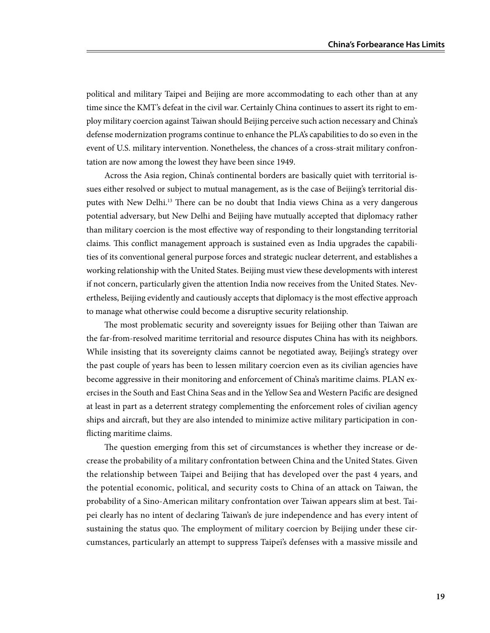political and military Taipei and Beijing are more accommodating to each other than at any time since the KMT's defeat in the civil war. Certainly China continues to assert its right to employ military coercion against Taiwan should Beijing perceive such action necessary and China's defense modernization programs continue to enhance the PLA's capabilities to do so even in the event of U.S. military intervention. Nonetheless, the chances of a cross-strait military confrontation are now among the lowest they have been since 1949.

Across the Asia region, China's continental borders are basically quiet with territorial issues either resolved or subject to mutual management, as is the case of Beijing's territorial disputes with New Delhi.<sup>13</sup> There can be no doubt that India views China as a very dangerous potential adversary, but New Delhi and Beijing have mutually accepted that diplomacy rather than military coercion is the most effective way of responding to their longstanding territorial claims. This conflict management approach is sustained even as India upgrades the capabilities of its conventional general purpose forces and strategic nuclear deterrent, and establishes a working relationship with the United States. Beijing must view these developments with interest if not concern, particularly given the attention India now receives from the United States. Nevertheless, Beijing evidently and cautiously accepts that diplomacy is the most effective approach to manage what otherwise could become a disruptive security relationship.

The most problematic security and sovereignty issues for Beijing other than Taiwan are the far-from-resolved maritime territorial and resource disputes China has with its neighbors. While insisting that its sovereignty claims cannot be negotiated away, Beijing's strategy over the past couple of years has been to lessen military coercion even as its civilian agencies have become aggressive in their monitoring and enforcement of China's maritime claims. PLAN exercises in the South and East China Seas and in the Yellow Sea and Western Pacific are designed at least in part as a deterrent strategy complementing the enforcement roles of civilian agency ships and aircraft, but they are also intended to minimize active military participation in conflicting maritime claims.

The question emerging from this set of circumstances is whether they increase or decrease the probability of a military confrontation between China and the United States. Given the relationship between Taipei and Beijing that has developed over the past 4 years, and the potential economic, political, and security costs to China of an attack on Taiwan, the probability of a Sino-American military confrontation over Taiwan appears slim at best. Taipei clearly has no intent of declaring Taiwan's de jure independence and has every intent of sustaining the status quo. The employment of military coercion by Beijing under these circumstances, particularly an attempt to suppress Taipei's defenses with a massive missile and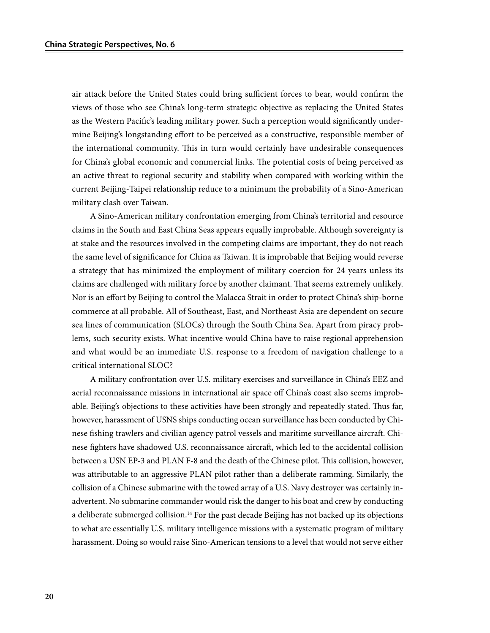air attack before the United States could bring sufficient forces to bear, would confirm the views of those who see China's long-term strategic objective as replacing the United States as the Western Pacific's leading military power. Such a perception would significantly undermine Beijing's longstanding effort to be perceived as a constructive, responsible member of the international community. This in turn would certainly have undesirable consequences for China's global economic and commercial links. The potential costs of being perceived as an active threat to regional security and stability when compared with working within the current Beijing-Taipei relationship reduce to a minimum the probability of a Sino-American military clash over Taiwan.

A Sino-American military confrontation emerging from China's territorial and resource claims in the South and East China Seas appears equally improbable. Although sovereignty is at stake and the resources involved in the competing claims are important, they do not reach the same level of significance for China as Taiwan. It is improbable that Beijing would reverse a strategy that has minimized the employment of military coercion for 24 years unless its claims are challenged with military force by another claimant. That seems extremely unlikely. Nor is an effort by Beijing to control the Malacca Strait in order to protect China's ship-borne commerce at all probable. All of Southeast, East, and Northeast Asia are dependent on secure sea lines of communication (SLOCs) through the South China Sea. Apart from piracy problems, such security exists. What incentive would China have to raise regional apprehension and what would be an immediate U.S. response to a freedom of navigation challenge to a critical international SLOC?

A military confrontation over U.S. military exercises and surveillance in China's EEZ and aerial reconnaissance missions in international air space off China's coast also seems improbable. Beijing's objections to these activities have been strongly and repeatedly stated. Thus far, however, harassment of USNS ships conducting ocean surveillance has been conducted by Chinese fishing trawlers and civilian agency patrol vessels and maritime surveillance aircraft. Chinese fighters have shadowed U.S. reconnaissance aircraft, which led to the accidental collision between a USN EP-3 and PLAN F-8 and the death of the Chinese pilot. This collision, however, was attributable to an aggressive PLAN pilot rather than a deliberate ramming. Similarly, the collision of a Chinese submarine with the towed array of a U.S. Navy destroyer was certainly inadvertent. No submarine commander would risk the danger to his boat and crew by conducting a deliberate submerged collision.<sup>14</sup> For the past decade Beijing has not backed up its objections to what are essentially U.S. military intelligence missions with a systematic program of military harassment. Doing so would raise Sino-American tensions to a level that would not serve either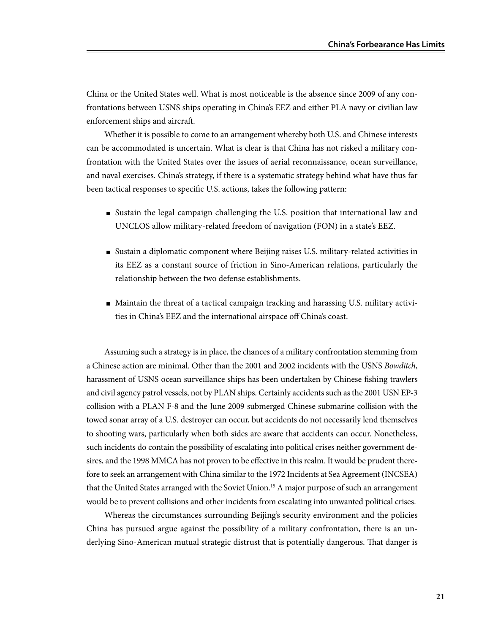China or the United States well. What is most noticeable is the absence since 2009 of any confrontations between USNS ships operating in China's EEZ and either PLA navy or civilian law enforcement ships and aircraft.

Whether it is possible to come to an arrangement whereby both U.S. and Chinese interests can be accommodated is uncertain. What is clear is that China has not risked a military confrontation with the United States over the issues of aerial reconnaissance, ocean surveillance, and naval exercises. China's strategy, if there is a systematic strategy behind what have thus far been tactical responses to specific U.S. actions, takes the following pattern:

- Sustain the legal campaign challenging the U.S. position that international law and UNCLOS allow military-related freedom of navigation (FON) in a state's EEZ.
- Sustain a diplomatic component where Beijing raises U.S. military-related activities in its EEZ as a constant source of friction in Sino-American relations, particularly the relationship between the two defense establishments.
- Maintain the threat of a tactical campaign tracking and harassing U.S. military activities in China's EEZ and the international airspace off China's coast.

Assuming such a strategy is in place, the chances of a military confrontation stemming from a Chinese action are minimal. Other than the 2001 and 2002 incidents with the USNS *Bowditch*, harassment of USNS ocean surveillance ships has been undertaken by Chinese fishing trawlers and civil agency patrol vessels, not by PLAN ships. Certainly accidents such as the 2001 USN EP-3 collision with a PLAN F-8 and the June 2009 submerged Chinese submarine collision with the towed sonar array of a U.S. destroyer can occur, but accidents do not necessarily lend themselves to shooting wars, particularly when both sides are aware that accidents can occur. Nonetheless, such incidents do contain the possibility of escalating into political crises neither government desires, and the 1998 MMCA has not proven to be effective in this realm. It would be prudent therefore to seek an arrangement with China similar to the 1972 Incidents at Sea Agreement (INCSEA) that the United States arranged with the Soviet Union.<sup>15</sup> A major purpose of such an arrangement would be to prevent collisions and other incidents from escalating into unwanted political crises.

Whereas the circumstances surrounding Beijing's security environment and the policies China has pursued argue against the possibility of a military confrontation, there is an underlying Sino-American mutual strategic distrust that is potentially dangerous. That danger is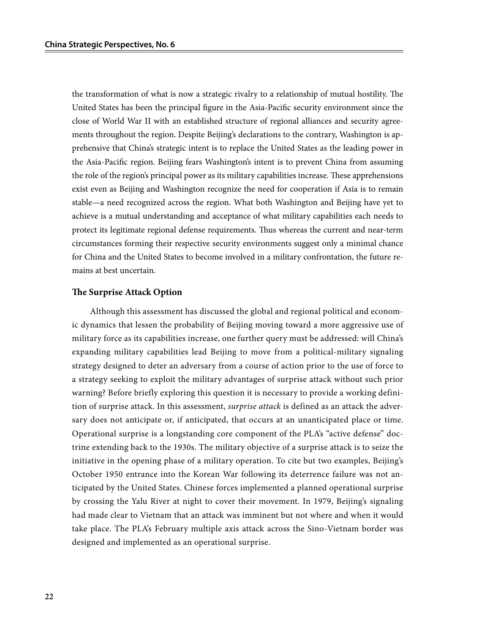the transformation of what is now a strategic rivalry to a relationship of mutual hostility. The United States has been the principal figure in the Asia-Pacific security environment since the close of World War II with an established structure of regional alliances and security agreements throughout the region. Despite Beijing's declarations to the contrary, Washington is apprehensive that China's strategic intent is to replace the United States as the leading power in the Asia-Pacific region. Beijing fears Washington's intent is to prevent China from assuming the role of the region's principal power as its military capabilities increase. These apprehensions exist even as Beijing and Washington recognize the need for cooperation if Asia is to remain stable—a need recognized across the region. What both Washington and Beijing have yet to achieve is a mutual understanding and acceptance of what military capabilities each needs to protect its legitimate regional defense requirements. Thus whereas the current and near-term circumstances forming their respective security environments suggest only a minimal chance for China and the United States to become involved in a military confrontation, the future remains at best uncertain.

#### **The Surprise Attack Option**

Although this assessment has discussed the global and regional political and economic dynamics that lessen the probability of Beijing moving toward a more aggressive use of military force as its capabilities increase, one further query must be addressed: will China's expanding military capabilities lead Beijing to move from a political-military signaling strategy designed to deter an adversary from a course of action prior to the use of force to a strategy seeking to exploit the military advantages of surprise attack without such prior warning? Before briefly exploring this question it is necessary to provide a working definition of surprise attack. In this assessment, *surprise attack* is defined as an attack the adversary does not anticipate or, if anticipated, that occurs at an unanticipated place or time. Operational surprise is a longstanding core component of the PLA's "active defense" doctrine extending back to the 1930s. The military objective of a surprise attack is to seize the initiative in the opening phase of a military operation. To cite but two examples, Beijing's October 1950 entrance into the Korean War following its deterrence failure was not anticipated by the United States. Chinese forces implemented a planned operational surprise by crossing the Yalu River at night to cover their movement. In 1979, Beijing's signaling had made clear to Vietnam that an attack was imminent but not where and when it would take place. The PLA's February multiple axis attack across the Sino-Vietnam border was designed and implemented as an operational surprise.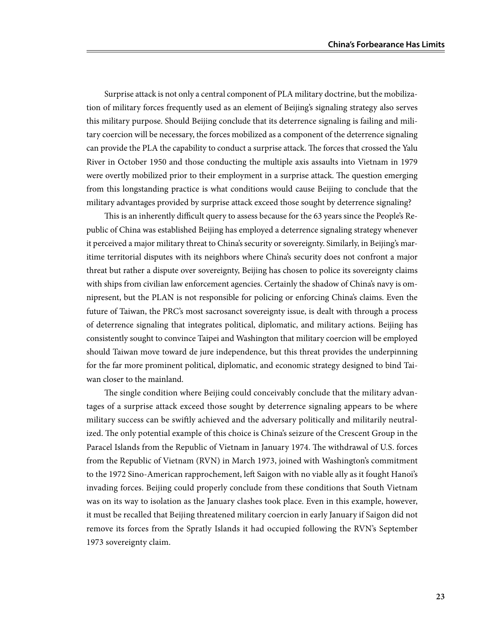Surprise attack is not only a central component of PLA military doctrine, but the mobilization of military forces frequently used as an element of Beijing's signaling strategy also serves this military purpose. Should Beijing conclude that its deterrence signaling is failing and military coercion will be necessary, the forces mobilized as a component of the deterrence signaling can provide the PLA the capability to conduct a surprise attack. The forces that crossed the Yalu River in October 1950 and those conducting the multiple axis assaults into Vietnam in 1979 were overtly mobilized prior to their employment in a surprise attack. The question emerging from this longstanding practice is what conditions would cause Beijing to conclude that the military advantages provided by surprise attack exceed those sought by deterrence signaling?

This is an inherently difficult query to assess because for the 63 years since the People's Republic of China was established Beijing has employed a deterrence signaling strategy whenever it perceived a major military threat to China's security or sovereignty. Similarly, in Beijing's maritime territorial disputes with its neighbors where China's security does not confront a major threat but rather a dispute over sovereignty, Beijing has chosen to police its sovereignty claims with ships from civilian law enforcement agencies. Certainly the shadow of China's navy is omnipresent, but the PLAN is not responsible for policing or enforcing China's claims. Even the future of Taiwan, the PRC's most sacrosanct sovereignty issue, is dealt with through a process of deterrence signaling that integrates political, diplomatic, and military actions. Beijing has consistently sought to convince Taipei and Washington that military coercion will be employed should Taiwan move toward de jure independence, but this threat provides the underpinning for the far more prominent political, diplomatic, and economic strategy designed to bind Taiwan closer to the mainland.

The single condition where Beijing could conceivably conclude that the military advantages of a surprise attack exceed those sought by deterrence signaling appears to be where military success can be swiftly achieved and the adversary politically and militarily neutralized. The only potential example of this choice is China's seizure of the Crescent Group in the Paracel Islands from the Republic of Vietnam in January 1974. The withdrawal of U.S. forces from the Republic of Vietnam (RVN) in March 1973, joined with Washington's commitment to the 1972 Sino-American rapprochement, left Saigon with no viable ally as it fought Hanoi's invading forces. Beijing could properly conclude from these conditions that South Vietnam was on its way to isolation as the January clashes took place. Even in this example, however, it must be recalled that Beijing threatened military coercion in early January if Saigon did not remove its forces from the Spratly Islands it had occupied following the RVN's September 1973 sovereignty claim.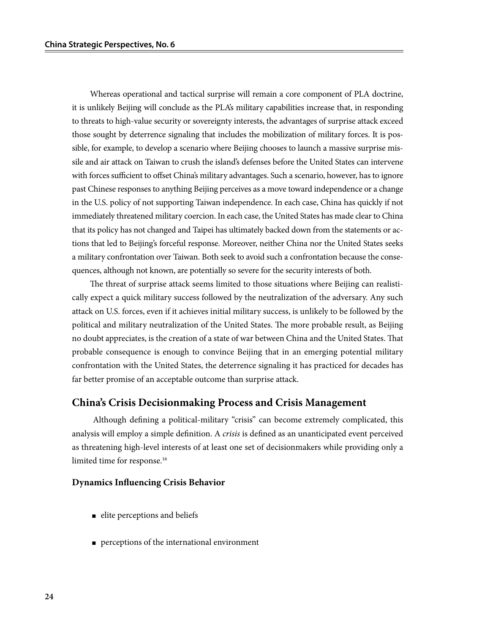Whereas operational and tactical surprise will remain a core component of PLA doctrine, it is unlikely Beijing will conclude as the PLA's military capabilities increase that, in responding to threats to high-value security or sovereignty interests, the advantages of surprise attack exceed those sought by deterrence signaling that includes the mobilization of military forces. It is possible, for example, to develop a scenario where Beijing chooses to launch a massive surprise missile and air attack on Taiwan to crush the island's defenses before the United States can intervene with forces sufficient to offset China's military advantages. Such a scenario, however, has to ignore past Chinese responses to anything Beijing perceives as a move toward independence or a change in the U.S. policy of not supporting Taiwan independence. In each case, China has quickly if not immediately threatened military coercion. In each case, the United States has made clear to China that its policy has not changed and Taipei has ultimately backed down from the statements or actions that led to Beijing's forceful response. Moreover, neither China nor the United States seeks a military confrontation over Taiwan. Both seek to avoid such a confrontation because the consequences, although not known, are potentially so severe for the security interests of both.

The threat of surprise attack seems limited to those situations where Beijing can realistically expect a quick military success followed by the neutralization of the adversary. Any such attack on U.S. forces, even if it achieves initial military success, is unlikely to be followed by the political and military neutralization of the United States. The more probable result, as Beijing no doubt appreciates, is the creation of a state of war between China and the United States. That probable consequence is enough to convince Beijing that in an emerging potential military confrontation with the United States, the deterrence signaling it has practiced for decades has far better promise of an acceptable outcome than surprise attack.

#### **China's Crisis Decisionmaking Process and Crisis Management**

Although defining a political-military "crisis" can become extremely complicated, this analysis will employ a simple definition. A *crisis* is defined as an unanticipated event perceived as threatening high-level interests of at least one set of decisionmakers while providing only a limited time for response.<sup>16</sup>

#### **Dynamics Influencing Crisis Behavior**

- elite perceptions and beliefs
- perceptions of the international environment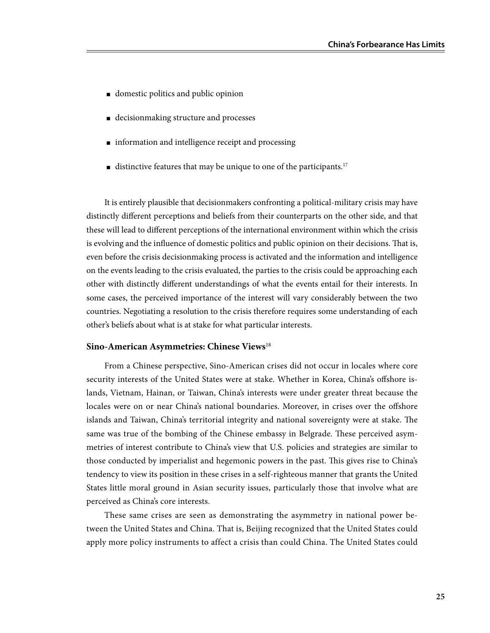- domestic politics and public opinion
- decisionmaking structure and processes
- information and intelligence receipt and processing
- distinctive features that may be unique to one of the participants.<sup>17</sup>

It is entirely plausible that decisionmakers confronting a political-military crisis may have distinctly different perceptions and beliefs from their counterparts on the other side, and that these will lead to different perceptions of the international environment within which the crisis is evolving and the influence of domestic politics and public opinion on their decisions. That is, even before the crisis decisionmaking process is activated and the information and intelligence on the events leading to the crisis evaluated, the parties to the crisis could be approaching each other with distinctly different understandings of what the events entail for their interests. In some cases, the perceived importance of the interest will vary considerably between the two countries. Negotiating a resolution to the crisis therefore requires some understanding of each other's beliefs about what is at stake for what particular interests.

#### **Sino-American Asymmetries: Chinese Views**<sup>18</sup>

From a Chinese perspective, Sino-American crises did not occur in locales where core security interests of the United States were at stake. Whether in Korea, China's offshore islands, Vietnam, Hainan, or Taiwan, China's interests were under greater threat because the locales were on or near China's national boundaries. Moreover, in crises over the offshore islands and Taiwan, China's territorial integrity and national sovereignty were at stake. The same was true of the bombing of the Chinese embassy in Belgrade. These perceived asymmetries of interest contribute to China's view that U.S. policies and strategies are similar to those conducted by imperialist and hegemonic powers in the past. This gives rise to China's tendency to view its position in these crises in a self-righteous manner that grants the United States little moral ground in Asian security issues, particularly those that involve what are perceived as China's core interests.

These same crises are seen as demonstrating the asymmetry in national power between the United States and China. That is, Beijing recognized that the United States could apply more policy instruments to affect a crisis than could China. The United States could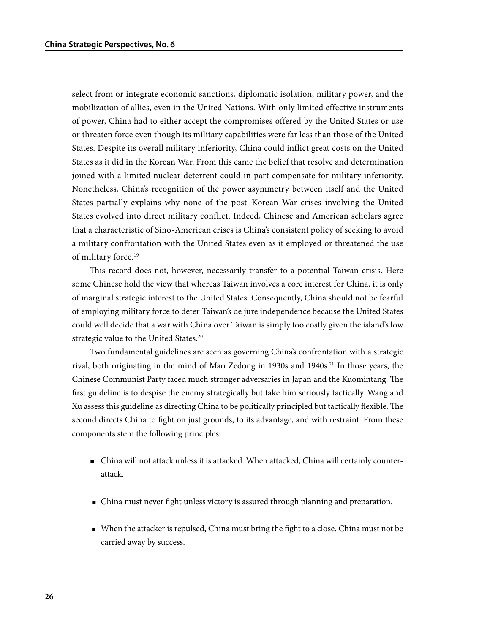select from or integrate economic sanctions, diplomatic isolation, military power, and the mobilization of allies, even in the United Nations. With only limited effective instruments of power, China had to either accept the compromises offered by the United States or use or threaten force even though its military capabilities were far less than those of the United States. Despite its overall military inferiority, China could inflict great costs on the United States as it did in the Korean War. From this came the belief that resolve and determination joined with a limited nuclear deterrent could in part compensate for military inferiority. Nonetheless, China's recognition of the power asymmetry between itself and the United States partially explains why none of the post–Korean War crises involving the United States evolved into direct military conflict. Indeed, Chinese and American scholars agree that a characteristic of Sino-American crises is China's consistent policy of seeking to avoid a military confrontation with the United States even as it employed or threatened the use of military force.<sup>19</sup>

This record does not, however, necessarily transfer to a potential Taiwan crisis. Here some Chinese hold the view that whereas Taiwan involves a core interest for China, it is only of marginal strategic interest to the United States. Consequently, China should not be fearful of employing military force to deter Taiwan's de jure independence because the United States could well decide that a war with China over Taiwan is simply too costly given the island's low strategic value to the United States.<sup>20</sup>

Two fundamental guidelines are seen as governing China's confrontation with a strategic rival, both originating in the mind of Mao Zedong in 1930s and 1940s.<sup>21</sup> In those years, the Chinese Communist Party faced much stronger adversaries in Japan and the Kuomintang. The first guideline is to despise the enemy strategically but take him seriously tactically. Wang and Xu assess this guideline as directing China to be politically principled but tactically flexible. The second directs China to fight on just grounds, to its advantage, and with restraint. From these components stem the following principles:

- China will not attack unless it is attacked. When attacked, China will certainly counterattack.
- China must never fight unless victory is assured through planning and preparation.
- When the attacker is repulsed, China must bring the fight to a close. China must not be carried away by success.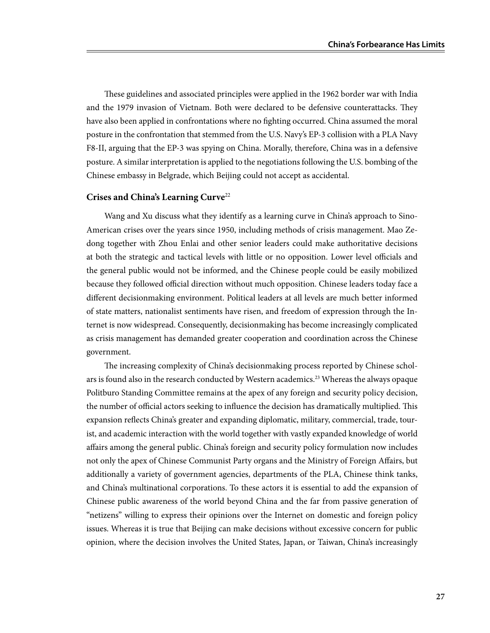These guidelines and associated principles were applied in the 1962 border war with India and the 1979 invasion of Vietnam. Both were declared to be defensive counterattacks. They have also been applied in confrontations where no fighting occurred. China assumed the moral posture in the confrontation that stemmed from the U.S. Navy's EP-3 collision with a PLA Navy F8-II, arguing that the EP-3 was spying on China. Morally, therefore, China was in a defensive posture. A similar interpretation is applied to the negotiations following the U.S. bombing of the Chinese embassy in Belgrade, which Beijing could not accept as accidental.

#### **Crises and China's Learning Curve**<sup>22</sup>

Wang and Xu discuss what they identify as a learning curve in China's approach to Sino-American crises over the years since 1950, including methods of crisis management. Mao Zedong together with Zhou Enlai and other senior leaders could make authoritative decisions at both the strategic and tactical levels with little or no opposition. Lower level officials and the general public would not be informed, and the Chinese people could be easily mobilized because they followed official direction without much opposition. Chinese leaders today face a different decisionmaking environment. Political leaders at all levels are much better informed of state matters, nationalist sentiments have risen, and freedom of expression through the Internet is now widespread. Consequently, decisionmaking has become increasingly complicated as crisis management has demanded greater cooperation and coordination across the Chinese government.

The increasing complexity of China's decisionmaking process reported by Chinese scholars is found also in the research conducted by Western academics.<sup>23</sup> Whereas the always opaque Politburo Standing Committee remains at the apex of any foreign and security policy decision, the number of official actors seeking to influence the decision has dramatically multiplied. This expansion reflects China's greater and expanding diplomatic, military, commercial, trade, tourist, and academic interaction with the world together with vastly expanded knowledge of world affairs among the general public. China's foreign and security policy formulation now includes not only the apex of Chinese Communist Party organs and the Ministry of Foreign Affairs, but additionally a variety of government agencies, departments of the PLA, Chinese think tanks, and China's multinational corporations. To these actors it is essential to add the expansion of Chinese public awareness of the world beyond China and the far from passive generation of "netizens" willing to express their opinions over the Internet on domestic and foreign policy issues. Whereas it is true that Beijing can make decisions without excessive concern for public opinion, where the decision involves the United States, Japan, or Taiwan, China's increasingly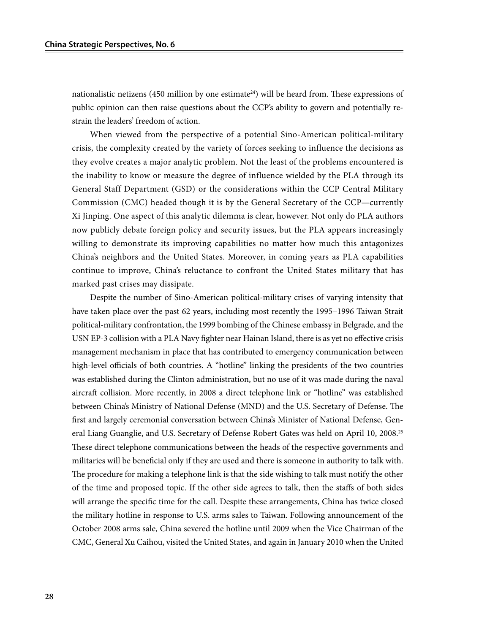nationalistic netizens (450 million by one estimate<sup>24</sup>) will be heard from. These expressions of public opinion can then raise questions about the CCP's ability to govern and potentially restrain the leaders' freedom of action.

When viewed from the perspective of a potential Sino-American political-military crisis, the complexity created by the variety of forces seeking to influence the decisions as they evolve creates a major analytic problem. Not the least of the problems encountered is the inability to know or measure the degree of influence wielded by the PLA through its General Staff Department (GSD) or the considerations within the CCP Central Military Commission (CMC) headed though it is by the General Secretary of the CCP—currently Xi Jinping. One aspect of this analytic dilemma is clear, however. Not only do PLA authors now publicly debate foreign policy and security issues, but the PLA appears increasingly willing to demonstrate its improving capabilities no matter how much this antagonizes China's neighbors and the United States. Moreover, in coming years as PLA capabilities continue to improve, China's reluctance to confront the United States military that has marked past crises may dissipate.

Despite the number of Sino-American political-military crises of varying intensity that have taken place over the past 62 years, including most recently the 1995–1996 Taiwan Strait political-military confrontation, the 1999 bombing of the Chinese embassy in Belgrade, and the USN EP-3 collision with a PLA Navy fighter near Hainan Island, there is as yet no effective crisis management mechanism in place that has contributed to emergency communication between high-level officials of both countries. A "hotline" linking the presidents of the two countries was established during the Clinton administration, but no use of it was made during the naval aircraft collision. More recently, in 2008 a direct telephone link or "hotline" was established between China's Ministry of National Defense (MND) and the U.S. Secretary of Defense. The first and largely ceremonial conversation between China's Minister of National Defense, General Liang Guanglie, and U.S. Secretary of Defense Robert Gates was held on April 10, 2008.<sup>25</sup> These direct telephone communications between the heads of the respective governments and militaries will be beneficial only if they are used and there is someone in authority to talk with. The procedure for making a telephone link is that the side wishing to talk must notify the other of the time and proposed topic. If the other side agrees to talk, then the staffs of both sides will arrange the specific time for the call. Despite these arrangements, China has twice closed the military hotline in response to U.S. arms sales to Taiwan. Following announcement of the October 2008 arms sale, China severed the hotline until 2009 when the Vice Chairman of the CMC, General Xu Caihou, visited the United States, and again in January 2010 when the United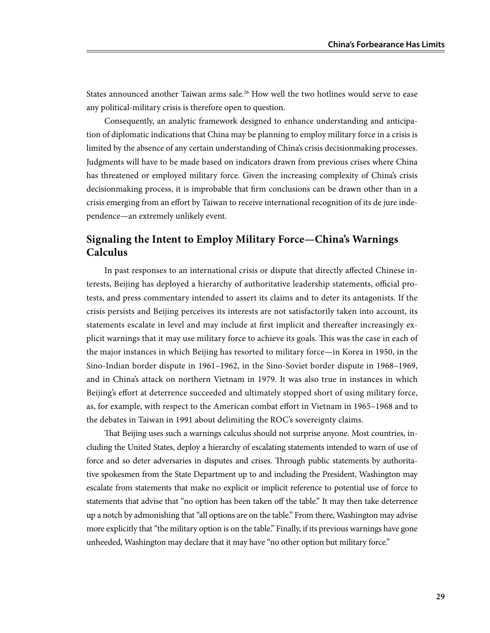States announced another Taiwan arms sale.<sup>26</sup> How well the two hotlines would serve to ease any political-military crisis is therefore open to question.

Consequently, an analytic framework designed to enhance understanding and anticipation of diplomatic indications that China may be planning to employ military force in a crisis is limited by the absence of any certain understanding of China's crisis decisionmaking processes. Judgments will have to be made based on indicators drawn from previous crises where China has threatened or employed military force. Given the increasing complexity of China's crisis decisionmaking process, it is improbable that firm conclusions can be drawn other than in a crisis emerging from an effort by Taiwan to receive international recognition of its de jure independence—an extremely unlikely event.

# **Signaling the Intent to Employ Military Force—China's Warnings Calculus**

In past responses to an international crisis or dispute that directly affected Chinese interests, Beijing has deployed a hierarchy of authoritative leadership statements, official protests, and press commentary intended to assert its claims and to deter its antagonists. If the crisis persists and Beijing perceives its interests are not satisfactorily taken into account, its statements escalate in level and may include at first implicit and thereafter increasingly explicit warnings that it may use military force to achieve its goals. This was the case in each of the major instances in which Beijing has resorted to military force—in Korea in 1950, in the Sino-Indian border dispute in 1961–1962, in the Sino-Soviet border dispute in 1968–1969, and in China's attack on northern Vietnam in 1979. It was also true in instances in which Beijing's effort at deterrence succeeded and ultimately stopped short of using military force, as, for example, with respect to the American combat effort in Vietnam in 1965–1968 and to the debates in Taiwan in 1991 about delimiting the ROC's sovereignty claims.

That Beijing uses such a warnings calculus should not surprise anyone. Most countries, including the United States, deploy a hierarchy of escalating statements intended to warn of use of force and so deter adversaries in disputes and crises. Through public statements by authoritative spokesmen from the State Department up to and including the President, Washington may escalate from statements that make no explicit or implicit reference to potential use of force to statements that advise that "no option has been taken off the table." It may then take deterrence up a notch by admonishing that "all options are on the table." From there, Washington may advise more explicitly that "the military option is on the table." Finally, if its previous warnings have gone unheeded, Washington may declare that it may have "no other option but military force."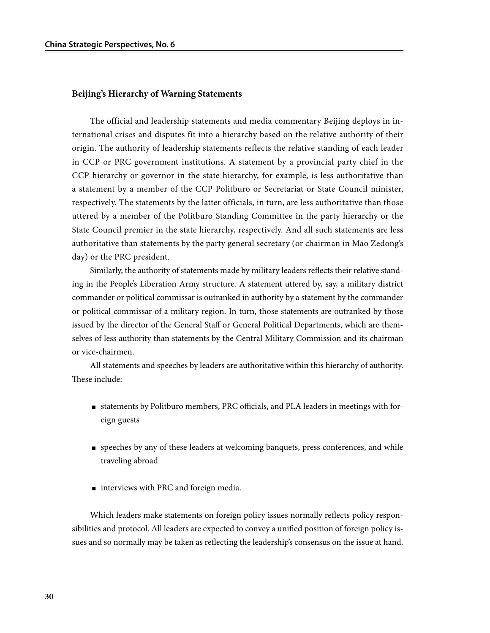### **Beijing's Hierarchy of Warning Statements**

The official and leadership statements and media commentary Beijing deploys in international crises and disputes fit into a hierarchy based on the relative authority of their origin. The authority of leadership statements reflects the relative standing of each leader in CCP or PRC government institutions. A statement by a provincial party chief in the CCP hierarchy or governor in the state hierarchy, for example, is less authoritative than a statement by a member of the CCP Politburo or Secretariat or State Council minister, respectively. The statements by the latter officials, in turn, are less authoritative than those uttered by a member of the Politburo Standing Committee in the party hierarchy or the State Council premier in the state hierarchy, respectively. And all such statements are less authoritative than statements by the party general secretary (or chairman in Mao Zedong's day) or the PRC president.

Similarly, the authority of statements made by military leaders reflects their relative standing in the People's Liberation Army structure. A statement uttered by, say, a military district commander or political commissar is outranked in authority by a statement by the commander or political commissar of a military region. In turn, those statements are outranked by those issued by the director of the General Staff or General Political Departments, which are themselves of less authority than statements by the Central Military Commission and its chairman or vice-chairmen.

All statements and speeches by leaders are authoritative within this hierarchy of authority. These include:

- statements by Politburo members, PRC officials, and PLA leaders in meetings with foreign guests
- speeches by any of these leaders at welcoming banquets, press conferences, and while traveling abroad
- interviews with PRC and foreign media.

Which leaders make statements on foreign policy issues normally reflects policy responsibilities and protocol. All leaders are expected to convey a unified position of foreign policy issues and so normally may be taken as reflecting the leadership's consensus on the issue at hand.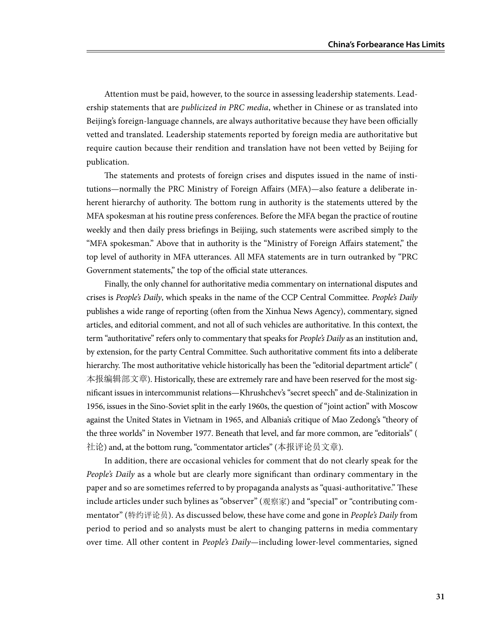Attention must be paid, however, to the source in assessing leadership statements. Leadership statements that are *publicized in PRC media*, whether in Chinese or as translated into Beijing's foreign-language channels, are always authoritative because they have been officially vetted and translated. Leadership statements reported by foreign media are authoritative but require caution because their rendition and translation have not been vetted by Beijing for publication.

The statements and protests of foreign crises and disputes issued in the name of institutions—normally the PRC Ministry of Foreign Affairs (MFA)—also feature a deliberate inherent hierarchy of authority. The bottom rung in authority is the statements uttered by the MFA spokesman at his routine press conferences. Before the MFA began the practice of routine weekly and then daily press briefings in Beijing, such statements were ascribed simply to the "MFA spokesman." Above that in authority is the "Ministry of Foreign Affairs statement," the top level of authority in MFA utterances. All MFA statements are in turn outranked by "PRC Government statements," the top of the official state utterances.

Finally, the only channel for authoritative media commentary on international disputes and crises is *People's Daily*, which speaks in the name of the CCP Central Committee. *People's Daily* publishes a wide range of reporting (often from the Xinhua News Agency), commentary, signed articles, and editorial comment, and not all of such vehicles are authoritative. In this context, the term "authoritative" refers only to commentary that speaks for *People's Daily* as an institution and, by extension, for the party Central Committee. Such authoritative comment fits into a deliberate hierarchy. The most authoritative vehicle historically has been the "editorial department article" ( 本报编辑部文章). Historically, these are extremely rare and have been reserved for the most significant issues in intercommunist relations—Khrushchev's "secret speech" and de-Stalinization in 1956, issues in the Sino-Soviet split in the early 1960s, the question of "joint action" with Moscow against the United States in Vietnam in 1965, and Albania's critique of Mao Zedong's "theory of the three worlds" in November 1977. Beneath that level, and far more common, are "editorials" ( 社论) and, at the bottom rung, "commentator articles" (本报评论员文章).

In addition, there are occasional vehicles for comment that do not clearly speak for the *People's Daily* as a whole but are clearly more significant than ordinary commentary in the paper and so are sometimes referred to by propaganda analysts as "quasi-authoritative." These include articles under such bylines as "observer" (观察家) and "special" or "contributing commentator" (特约评论员). As discussed below, these have come and gone in *People's Daily* from period to period and so analysts must be alert to changing patterns in media commentary over time. All other content in *People's Daily—*including lower-level commentaries, signed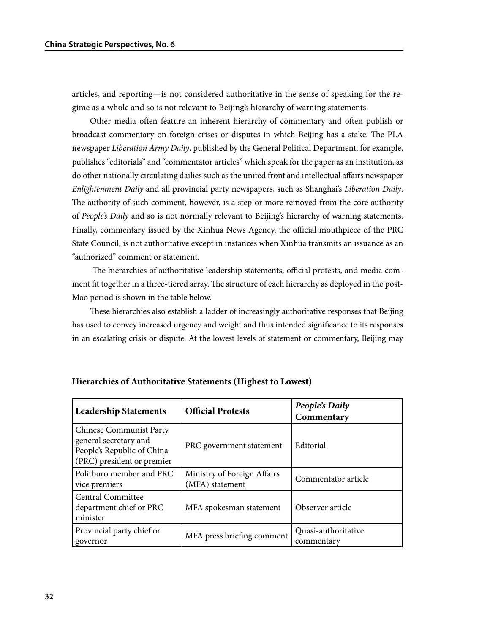articles, and reporting—is not considered authoritative in the sense of speaking for the regime as a whole and so is not relevant to Beijing's hierarchy of warning statements.

Other media often feature an inherent hierarchy of commentary and often publish or broadcast commentary on foreign crises or disputes in which Beijing has a stake. The PLA newspaper *Liberation Army Daily*, published by the General Political Department, for example, publishes "editorials" and "commentator articles" which speak for the paper as an institution, as do other nationally circulating dailies such as the united front and intellectual affairs newspaper *Enlightenment Daily* and all provincial party newspapers, such as Shanghai's *Liberation Daily*. The authority of such comment, however, is a step or more removed from the core authority of *People's Daily* and so is not normally relevant to Beijing's hierarchy of warning statements. Finally, commentary issued by the Xinhua News Agency, the official mouthpiece of the PRC State Council, is not authoritative except in instances when Xinhua transmits an issuance as an "authorized" comment or statement.

 The hierarchies of authoritative leadership statements, official protests, and media comment fit together in a three-tiered array. The structure of each hierarchy as deployed in the post-Mao period is shown in the table below.

These hierarchies also establish a ladder of increasingly authoritative responses that Beijing has used to convey increased urgency and weight and thus intended significance to its responses in an escalating crisis or dispute. At the lowest levels of statement or commentary, Beijing may

| <b>Leadership Statements</b>                                                                                        | <b>Official Protests</b>                       | People's Daily<br>Commentary      |
|---------------------------------------------------------------------------------------------------------------------|------------------------------------------------|-----------------------------------|
| <b>Chinese Communist Party</b><br>general secretary and<br>People's Republic of China<br>(PRC) president or premier | PRC government statement                       | Editorial                         |
| Politburo member and PRC<br>vice premiers                                                                           | Ministry of Foreign Affairs<br>(MFA) statement | Commentator article               |
| Central Committee<br>department chief or PRC<br>minister                                                            | MFA spokesman statement                        | Observer article                  |
| Provincial party chief or<br>governor                                                                               | MFA press briefing comment                     | Quasi-authoritative<br>commentary |

| Hierarchies of Authoritative Statements (Highest to Lowest) |  |
|-------------------------------------------------------------|--|
|-------------------------------------------------------------|--|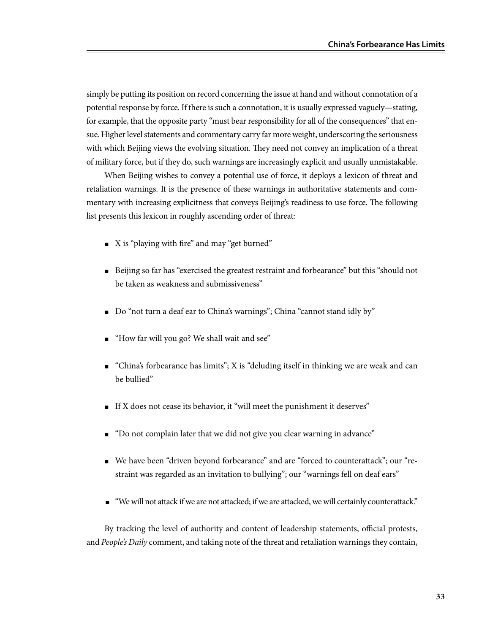simply be putting its position on record concerning the issue at hand and without connotation of a potential response by force. If there is such a connotation, it is usually expressed vaguely—stating, for example, that the opposite party "must bear responsibility for all of the consequences" that ensue. Higher level statements and commentary carry far more weight, underscoring the seriousness with which Beijing views the evolving situation. They need not convey an implication of a threat of military force, but if they do, such warnings are increasingly explicit and usually unmistakable.

When Beijing wishes to convey a potential use of force, it deploys a lexicon of threat and retaliation warnings. It is the presence of these warnings in authoritative statements and commentary with increasing explicitness that conveys Beijing's readiness to use force. The following list presents this lexicon in roughly ascending order of threat:

- X is "playing with fire" and may "get burned"
- Beijing so far has "exercised the greatest restraint and forbearance" but this "should not be taken as weakness and submissiveness"
- Do "not turn a deaf ear to China's warnings"; China "cannot stand idly by"
- "How far will you go? We shall wait and see"
- $\blacksquare$  "China's forbearance has limits"; X is "deluding itself in thinking we are weak and can be bullied"
- If X does not cease its behavior, it "will meet the punishment it deserves"
- "Do not complain later that we did not give you clear warning in advance"
- We have been "driven beyond forbearance" and are "forced to counterattack"; our "restraint was regarded as an invitation to bullying"; our "warnings fell on deaf ears"
- "We will not attack if we are not attacked; if we are attacked, we will certainly counterattack."

By tracking the level of authority and content of leadership statements, official protests, and *People's Daily* comment, and taking note of the threat and retaliation warnings they contain,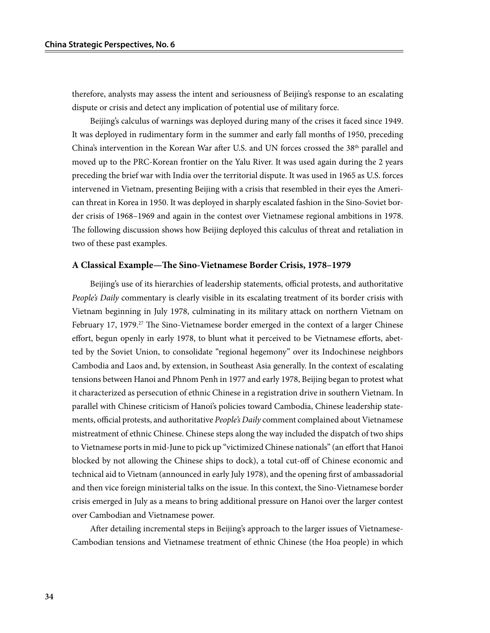therefore, analysts may assess the intent and seriousness of Beijing's response to an escalating dispute or crisis and detect any implication of potential use of military force.

Beijing's calculus of warnings was deployed during many of the crises it faced since 1949. It was deployed in rudimentary form in the summer and early fall months of 1950, preceding China's intervention in the Korean War after U.S. and UN forces crossed the 38<sup>th</sup> parallel and moved up to the PRC-Korean frontier on the Yalu River. It was used again during the 2 years preceding the brief war with India over the territorial dispute. It was used in 1965 as U.S. forces intervened in Vietnam, presenting Beijing with a crisis that resembled in their eyes the American threat in Korea in 1950. It was deployed in sharply escalated fashion in the Sino-Soviet border crisis of 1968–1969 and again in the contest over Vietnamese regional ambitions in 1978. The following discussion shows how Beijing deployed this calculus of threat and retaliation in two of these past examples.

#### **A Classical Example—The Sino-Vietnamese Border Crisis, 1978–1979**

Beijing's use of its hierarchies of leadership statements, official protests, and authoritative *People's Daily* commentary is clearly visible in its escalating treatment of its border crisis with Vietnam beginning in July 1978, culminating in its military attack on northern Vietnam on February 17, 1979.<sup>27</sup> The Sino-Vietnamese border emerged in the context of a larger Chinese effort, begun openly in early 1978, to blunt what it perceived to be Vietnamese efforts, abetted by the Soviet Union, to consolidate "regional hegemony" over its Indochinese neighbors Cambodia and Laos and, by extension, in Southeast Asia generally. In the context of escalating tensions between Hanoi and Phnom Penh in 1977 and early 1978, Beijing began to protest what it characterized as persecution of ethnic Chinese in a registration drive in southern Vietnam. In parallel with Chinese criticism of Hanoi's policies toward Cambodia, Chinese leadership statements, official protests, and authoritative *People's Daily* comment complained about Vietnamese mistreatment of ethnic Chinese. Chinese steps along the way included the dispatch of two ships to Vietnamese ports in mid-June to pick up "victimized Chinese nationals" (an effort that Hanoi blocked by not allowing the Chinese ships to dock), a total cut-off of Chinese economic and technical aid to Vietnam (announced in early July 1978), and the opening first of ambassadorial and then vice foreign ministerial talks on the issue. In this context, the Sino-Vietnamese border crisis emerged in July as a means to bring additional pressure on Hanoi over the larger contest over Cambodian and Vietnamese power.

After detailing incremental steps in Beijing's approach to the larger issues of Vietnamese-Cambodian tensions and Vietnamese treatment of ethnic Chinese (the Hoa people) in which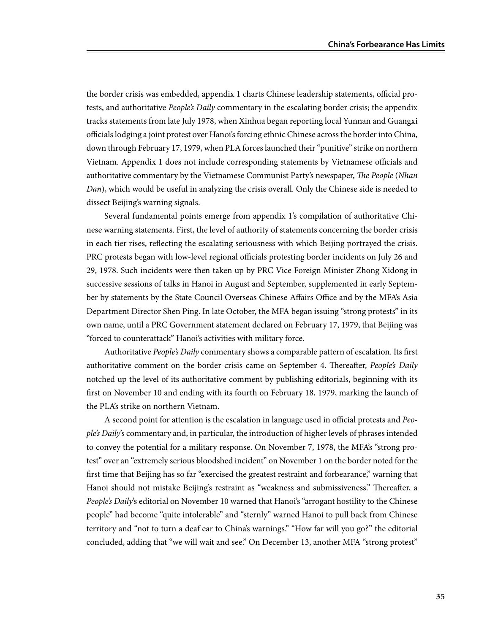the border crisis was embedded, appendix 1 charts Chinese leadership statements, official protests, and authoritative *People's Daily* commentary in the escalating border crisis; the appendix tracks statements from late July 1978, when Xinhua began reporting local Yunnan and Guangxi officials lodging a joint protest over Hanoi's forcing ethnic Chinese across the border into China, down through February 17, 1979, when PLA forces launched their "punitive" strike on northern Vietnam. Appendix 1 does not include corresponding statements by Vietnamese officials and authoritative commentary by the Vietnamese Communist Party's newspaper, *The People* (*Nhan Dan*), which would be useful in analyzing the crisis overall. Only the Chinese side is needed to dissect Beijing's warning signals.

Several fundamental points emerge from appendix 1's compilation of authoritative Chinese warning statements. First, the level of authority of statements concerning the border crisis in each tier rises, reflecting the escalating seriousness with which Beijing portrayed the crisis. PRC protests began with low-level regional officials protesting border incidents on July 26 and 29, 1978. Such incidents were then taken up by PRC Vice Foreign Minister Zhong Xidong in successive sessions of talks in Hanoi in August and September, supplemented in early September by statements by the State Council Overseas Chinese Affairs Office and by the MFA's Asia Department Director Shen Ping. In late October, the MFA began issuing "strong protests" in its own name, until a PRC Government statement declared on February 17, 1979, that Beijing was "forced to counterattack" Hanoi's activities with military force.

Authoritative *People's Daily* commentary shows a comparable pattern of escalation. Its first authoritative comment on the border crisis came on September 4. Thereafter, *People's Daily* notched up the level of its authoritative comment by publishing editorials, beginning with its first on November 10 and ending with its fourth on February 18, 1979, marking the launch of the PLA's strike on northern Vietnam.

A second point for attention is the escalation in language used in official protests and *People's Daily*'s commentary and, in particular, the introduction of higher levels of phrases intended to convey the potential for a military response. On November 7, 1978, the MFA's "strong protest" over an "extremely serious bloodshed incident" on November 1 on the border noted for the first time that Beijing has so far "exercised the greatest restraint and forbearance," warning that Hanoi should not mistake Beijing's restraint as "weakness and submissiveness." Thereafter, a *People's Daily*'s editorial on November 10 warned that Hanoi's "arrogant hostility to the Chinese people" had become "quite intolerable" and "sternly" warned Hanoi to pull back from Chinese territory and "not to turn a deaf ear to China's warnings." "How far will you go?" the editorial concluded, adding that "we will wait and see." On December 13, another MFA "strong protest"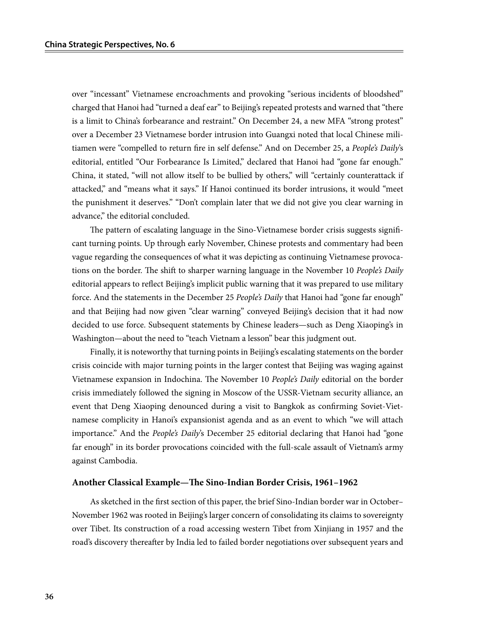over "incessant" Vietnamese encroachments and provoking "serious incidents of bloodshed" charged that Hanoi had "turned a deaf ear" to Beijing's repeated protests and warned that "there is a limit to China's forbearance and restraint." On December 24, a new MFA "strong protest" over a December 23 Vietnamese border intrusion into Guangxi noted that local Chinese militiamen were "compelled to return fire in self defense." And on December 25, a *People's Daily*'s editorial, entitled "Our Forbearance Is Limited," declared that Hanoi had "gone far enough." China, it stated, "will not allow itself to be bullied by others," will "certainly counterattack if attacked," and "means what it says." If Hanoi continued its border intrusions, it would "meet the punishment it deserves." "Don't complain later that we did not give you clear warning in advance," the editorial concluded.

The pattern of escalating language in the Sino-Vietnamese border crisis suggests significant turning points. Up through early November, Chinese protests and commentary had been vague regarding the consequences of what it was depicting as continuing Vietnamese provocations on the border. The shift to sharper warning language in the November 10 *People's Daily* editorial appears to reflect Beijing's implicit public warning that it was prepared to use military force. And the statements in the December 25 *People's Daily* that Hanoi had "gone far enough" and that Beijing had now given "clear warning" conveyed Beijing's decision that it had now decided to use force. Subsequent statements by Chinese leaders—such as Deng Xiaoping's in Washington—about the need to "teach Vietnam a lesson" bear this judgment out.

Finally, it is noteworthy that turning points in Beijing's escalating statements on the border crisis coincide with major turning points in the larger contest that Beijing was waging against Vietnamese expansion in Indochina. The November 10 *People's Daily* editorial on the border crisis immediately followed the signing in Moscow of the USSR-Vietnam security alliance, an event that Deng Xiaoping denounced during a visit to Bangkok as confirming Soviet-Vietnamese complicity in Hanoi's expansionist agenda and as an event to which "we will attach importance." And the *People's Daily*'s December 25 editorial declaring that Hanoi had "gone far enough" in its border provocations coincided with the full-scale assault of Vietnam's army against Cambodia.

#### **Another Classical Example—The Sino-Indian Border Crisis, 1961–1962**

As sketched in the first section of this paper, the brief Sino-Indian border war in October– November 1962 was rooted in Beijing's larger concern of consolidating its claims to sovereignty over Tibet. Its construction of a road accessing western Tibet from Xinjiang in 1957 and the road's discovery thereafter by India led to failed border negotiations over subsequent years and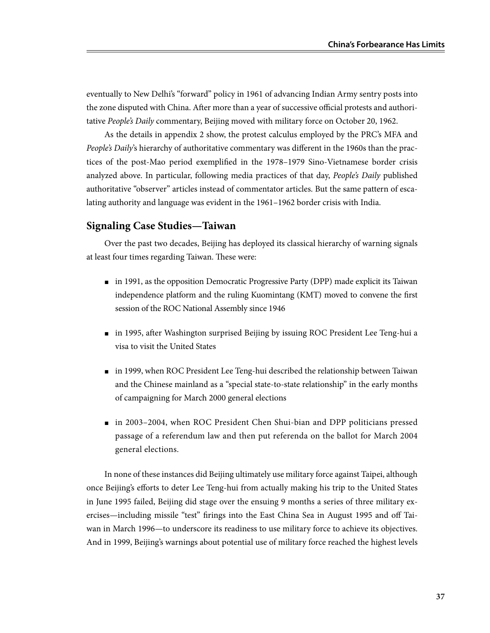eventually to New Delhi's "forward" policy in 1961 of advancing Indian Army sentry posts into the zone disputed with China. After more than a year of successive official protests and authoritative *People's Daily* commentary, Beijing moved with military force on October 20, 1962.

As the details in appendix 2 show, the protest calculus employed by the PRC's MFA and *People's Daily*'s hierarchy of authoritative commentary was different in the 1960s than the practices of the post-Mao period exemplified in the 1978–1979 Sino-Vietnamese border crisis analyzed above. In particular, following media practices of that day, *People's Daily* published authoritative "observer" articles instead of commentator articles. But the same pattern of escalating authority and language was evident in the 1961–1962 border crisis with India.

# **Signaling Case Studies—Taiwan**

Over the past two decades, Beijing has deployed its classical hierarchy of warning signals at least four times regarding Taiwan. These were:

- in 1991, as the opposition Democratic Progressive Party (DPP) made explicit its Taiwan independence platform and the ruling Kuomintang (KMT) moved to convene the first session of the ROC National Assembly since 1946
- in 1995, after Washington surprised Beijing by issuing ROC President Lee Teng-hui a visa to visit the United States
- in 1999, when ROC President Lee Teng-hui described the relationship between Taiwan and the Chinese mainland as a "special state-to-state relationship" in the early months of campaigning for March 2000 general elections
- in 2003–2004, when ROC President Chen Shui-bian and DPP politicians pressed passage of a referendum law and then put referenda on the ballot for March 2004 general elections.

In none of these instances did Beijing ultimately use military force against Taipei, although once Beijing's efforts to deter Lee Teng-hui from actually making his trip to the United States in June 1995 failed, Beijing did stage over the ensuing 9 months a series of three military exercises—including missile "test" firings into the East China Sea in August 1995 and off Taiwan in March 1996—to underscore its readiness to use military force to achieve its objectives. And in 1999, Beijing's warnings about potential use of military force reached the highest levels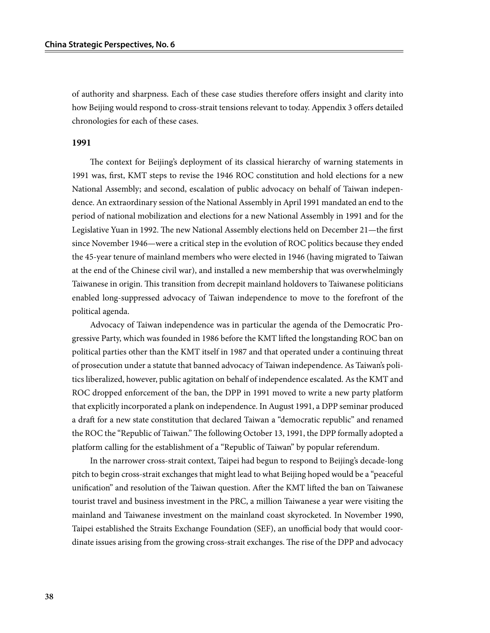of authority and sharpness. Each of these case studies therefore offers insight and clarity into how Beijing would respond to cross-strait tensions relevant to today. Appendix 3 offers detailed chronologies for each of these cases.

#### **1991**

The context for Beijing's deployment of its classical hierarchy of warning statements in 1991 was, first, KMT steps to revise the 1946 ROC constitution and hold elections for a new National Assembly; and second, escalation of public advocacy on behalf of Taiwan independence. An extraordinary session of the National Assembly in April 1991 mandated an end to the period of national mobilization and elections for a new National Assembly in 1991 and for the Legislative Yuan in 1992. The new National Assembly elections held on December 21—the first since November 1946—were a critical step in the evolution of ROC politics because they ended the 45-year tenure of mainland members who were elected in 1946 (having migrated to Taiwan at the end of the Chinese civil war), and installed a new membership that was overwhelmingly Taiwanese in origin. This transition from decrepit mainland holdovers to Taiwanese politicians enabled long-suppressed advocacy of Taiwan independence to move to the forefront of the political agenda.

Advocacy of Taiwan independence was in particular the agenda of the Democratic Progressive Party, which was founded in 1986 before the KMT lifted the longstanding ROC ban on political parties other than the KMT itself in 1987 and that operated under a continuing threat of prosecution under a statute that banned advocacy of Taiwan independence. As Taiwan's politics liberalized, however, public agitation on behalf of independence escalated. As the KMT and ROC dropped enforcement of the ban, the DPP in 1991 moved to write a new party platform that explicitly incorporated a plank on independence. In August 1991, a DPP seminar produced a draft for a new state constitution that declared Taiwan a "democratic republic" and renamed the ROC the "Republic of Taiwan." The following October 13, 1991, the DPP formally adopted a platform calling for the establishment of a "Republic of Taiwan" by popular referendum.

In the narrower cross-strait context, Taipei had begun to respond to Beijing's decade-long pitch to begin cross-strait exchanges that might lead to what Beijing hoped would be a "peaceful unification" and resolution of the Taiwan question. After the KMT lifted the ban on Taiwanese tourist travel and business investment in the PRC, a million Taiwanese a year were visiting the mainland and Taiwanese investment on the mainland coast skyrocketed. In November 1990, Taipei established the Straits Exchange Foundation (SEF), an unofficial body that would coordinate issues arising from the growing cross-strait exchanges. The rise of the DPP and advocacy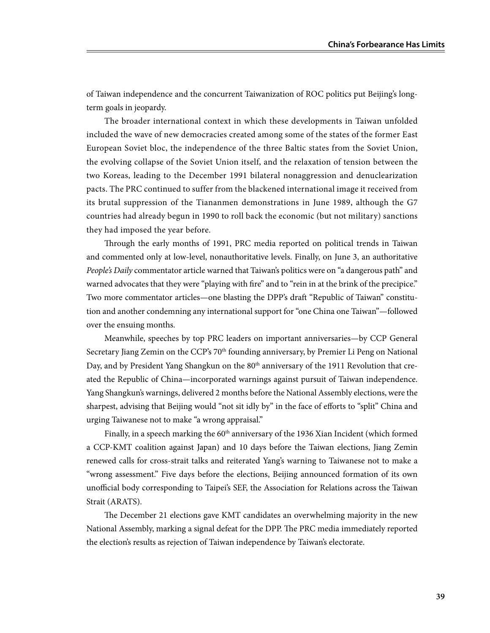of Taiwan independence and the concurrent Taiwanization of ROC politics put Beijing's longterm goals in jeopardy.

The broader international context in which these developments in Taiwan unfolded included the wave of new democracies created among some of the states of the former East European Soviet bloc, the independence of the three Baltic states from the Soviet Union, the evolving collapse of the Soviet Union itself, and the relaxation of tension between the two Koreas, leading to the December 1991 bilateral nonaggression and denuclearization pacts. The PRC continued to suffer from the blackened international image it received from its brutal suppression of the Tiananmen demonstrations in June 1989, although the G7 countries had already begun in 1990 to roll back the economic (but not military) sanctions they had imposed the year before.

Through the early months of 1991, PRC media reported on political trends in Taiwan and commented only at low-level, nonauthoritative levels. Finally, on June 3, an authoritative *People's Daily* commentator article warned that Taiwan's politics were on "a dangerous path" and warned advocates that they were "playing with fire" and to "rein in at the brink of the precipice." Two more commentator articles—one blasting the DPP's draft "Republic of Taiwan" constitution and another condemning any international support for "one China one Taiwan"—followed over the ensuing months.

Meanwhile, speeches by top PRC leaders on important anniversaries—by CCP General Secretary Jiang Zemin on the  $CCP's 70<sup>th</sup>$  founding anniversary, by Premier Li Peng on National Day, and by President Yang Shangkun on the 80<sup>th</sup> anniversary of the 1911 Revolution that created the Republic of China—incorporated warnings against pursuit of Taiwan independence. Yang Shangkun's warnings, delivered 2 months before the National Assembly elections, were the sharpest, advising that Beijing would "not sit idly by" in the face of efforts to "split" China and urging Taiwanese not to make "a wrong appraisal."

Finally, in a speech marking the  $60<sup>th</sup>$  anniversary of the 1936 Xian Incident (which formed a CCP-KMT coalition against Japan) and 10 days before the Taiwan elections, Jiang Zemin renewed calls for cross-strait talks and reiterated Yang's warning to Taiwanese not to make a "wrong assessment." Five days before the elections, Beijing announced formation of its own unofficial body corresponding to Taipei's SEF, the Association for Relations across the Taiwan Strait (ARATS).

The December 21 elections gave KMT candidates an overwhelming majority in the new National Assembly, marking a signal defeat for the DPP. The PRC media immediately reported the election's results as rejection of Taiwan independence by Taiwan's electorate.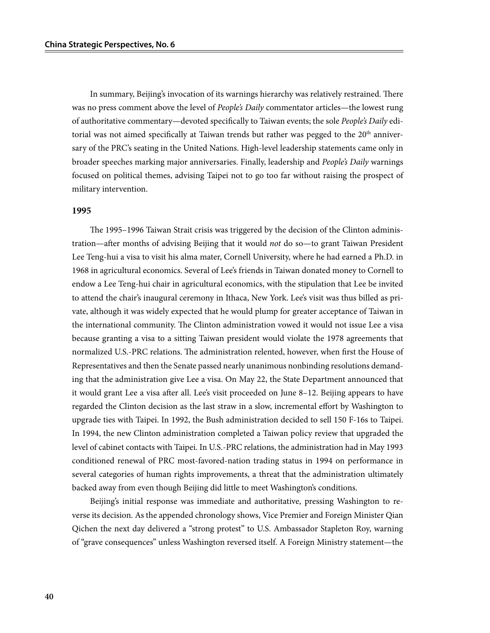In summary, Beijing's invocation of its warnings hierarchy was relatively restrained. There was no press comment above the level of *People's Daily* commentator articles—the lowest rung of authoritative commentary—devoted specifically to Taiwan events; the sole *People's Daily* editorial was not aimed specifically at Taiwan trends but rather was pegged to the 20<sup>th</sup> anniversary of the PRC's seating in the United Nations. High-level leadership statements came only in broader speeches marking major anniversaries. Finally, leadership and *People's Daily* warnings focused on political themes, advising Taipei not to go too far without raising the prospect of military intervention.

#### **1995**

The 1995–1996 Taiwan Strait crisis was triggered by the decision of the Clinton administration—after months of advising Beijing that it would *not* do so—to grant Taiwan President Lee Teng-hui a visa to visit his alma mater, Cornell University, where he had earned a Ph.D. in 1968 in agricultural economics. Several of Lee's friends in Taiwan donated money to Cornell to endow a Lee Teng-hui chair in agricultural economics, with the stipulation that Lee be invited to attend the chair's inaugural ceremony in Ithaca, New York. Lee's visit was thus billed as private, although it was widely expected that he would plump for greater acceptance of Taiwan in the international community. The Clinton administration vowed it would not issue Lee a visa because granting a visa to a sitting Taiwan president would violate the 1978 agreements that normalized U.S.-PRC relations. The administration relented, however, when first the House of Representatives and then the Senate passed nearly unanimous nonbinding resolutions demanding that the administration give Lee a visa. On May 22, the State Department announced that it would grant Lee a visa after all. Lee's visit proceeded on June 8–12. Beijing appears to have regarded the Clinton decision as the last straw in a slow, incremental effort by Washington to upgrade ties with Taipei. In 1992, the Bush administration decided to sell 150 F-16s to Taipei. In 1994, the new Clinton administration completed a Taiwan policy review that upgraded the level of cabinet contacts with Taipei. In U.S.-PRC relations, the administration had in May 1993 conditioned renewal of PRC most-favored-nation trading status in 1994 on performance in several categories of human rights improvements, a threat that the administration ultimately backed away from even though Beijing did little to meet Washington's conditions.

Beijing's initial response was immediate and authoritative, pressing Washington to reverse its decision. As the appended chronology shows, Vice Premier and Foreign Minister Qian Qichen the next day delivered a "strong protest" to U.S. Ambassador Stapleton Roy, warning of "grave consequences" unless Washington reversed itself. A Foreign Ministry statement—the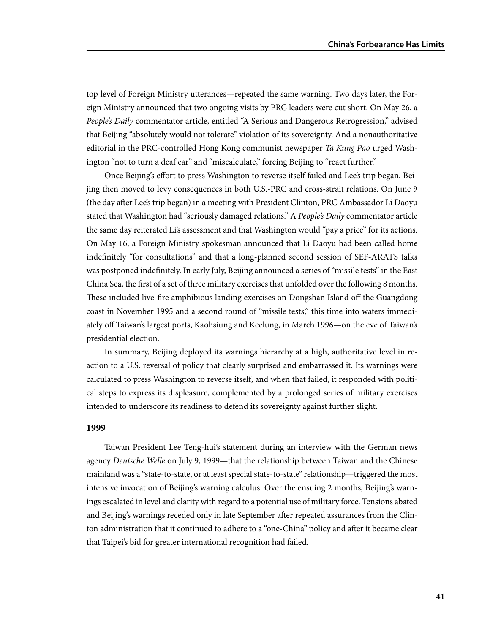top level of Foreign Ministry utterances—repeated the same warning. Two days later, the Foreign Ministry announced that two ongoing visits by PRC leaders were cut short. On May 26, a *People's Daily* commentator article, entitled "A Serious and Dangerous Retrogression," advised that Beijing "absolutely would not tolerate" violation of its sovereignty. And a nonauthoritative editorial in the PRC-controlled Hong Kong communist newspaper *Ta Kung Pao* urged Washington "not to turn a deaf ear" and "miscalculate," forcing Beijing to "react further."

Once Beijing's effort to press Washington to reverse itself failed and Lee's trip began, Beijing then moved to levy consequences in both U.S.-PRC and cross-strait relations. On June 9 (the day after Lee's trip began) in a meeting with President Clinton, PRC Ambassador Li Daoyu stated that Washington had "seriously damaged relations." A *People's Daily* commentator article the same day reiterated Li's assessment and that Washington would "pay a price" for its actions. On May 16, a Foreign Ministry spokesman announced that Li Daoyu had been called home indefinitely "for consultations" and that a long-planned second session of SEF-ARATS talks was postponed indefinitely. In early July, Beijing announced a series of "missile tests" in the East China Sea, the first of a set of three military exercises that unfolded over the following 8 months. These included live-fire amphibious landing exercises on Dongshan Island off the Guangdong coast in November 1995 and a second round of "missile tests," this time into waters immediately off Taiwan's largest ports, Kaohsiung and Keelung, in March 1996—on the eve of Taiwan's presidential election.

In summary, Beijing deployed its warnings hierarchy at a high, authoritative level in reaction to a U.S. reversal of policy that clearly surprised and embarrassed it. Its warnings were calculated to press Washington to reverse itself, and when that failed, it responded with political steps to express its displeasure, complemented by a prolonged series of military exercises intended to underscore its readiness to defend its sovereignty against further slight.

## **1999**

Taiwan President Lee Teng-hui's statement during an interview with the German news agency *Deutsche Welle* on July 9, 1999—that the relationship between Taiwan and the Chinese mainland was a "state-to-state, or at least special state-to-state" relationship—triggered the most intensive invocation of Beijing's warning calculus. Over the ensuing 2 months, Beijing's warnings escalated in level and clarity with regard to a potential use of military force. Tensions abated and Beijing's warnings receded only in late September after repeated assurances from the Clinton administration that it continued to adhere to a "one-China" policy and after it became clear that Taipei's bid for greater international recognition had failed.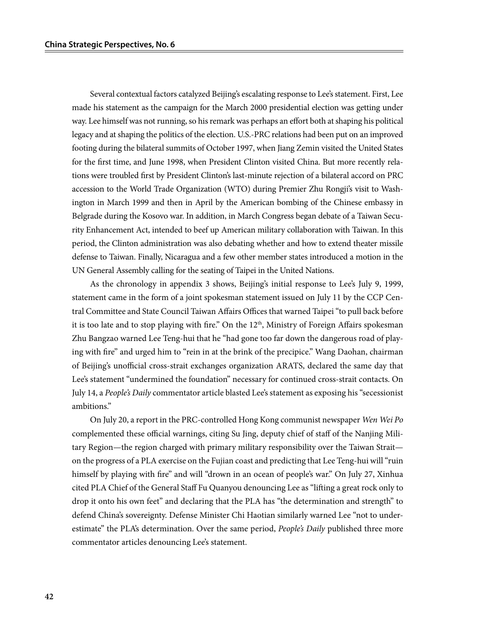Several contextual factors catalyzed Beijing's escalating response to Lee's statement. First, Lee made his statement as the campaign for the March 2000 presidential election was getting under way. Lee himself was not running, so his remark was perhaps an effort both at shaping his political legacy and at shaping the politics of the election. U.S.-PRC relations had been put on an improved footing during the bilateral summits of October 1997, when Jiang Zemin visited the United States for the first time, and June 1998, when President Clinton visited China. But more recently relations were troubled first by President Clinton's last-minute rejection of a bilateral accord on PRC accession to the World Trade Organization (WTO) during Premier Zhu Rongji's visit to Washington in March 1999 and then in April by the American bombing of the Chinese embassy in Belgrade during the Kosovo war. In addition, in March Congress began debate of a Taiwan Security Enhancement Act, intended to beef up American military collaboration with Taiwan. In this period, the Clinton administration was also debating whether and how to extend theater missile defense to Taiwan. Finally, Nicaragua and a few other member states introduced a motion in the UN General Assembly calling for the seating of Taipei in the United Nations.

As the chronology in appendix 3 shows, Beijing's initial response to Lee's July 9, 1999, statement came in the form of a joint spokesman statement issued on July 11 by the CCP Central Committee and State Council Taiwan Affairs Offices that warned Taipei "to pull back before it is too late and to stop playing with fire." On the 12<sup>th</sup>, Ministry of Foreign Affairs spokesman Zhu Bangzao warned Lee Teng-hui that he "had gone too far down the dangerous road of playing with fire" and urged him to "rein in at the brink of the precipice." Wang Daohan, chairman of Beijing's unofficial cross-strait exchanges organization ARATS, declared the same day that Lee's statement "undermined the foundation" necessary for continued cross-strait contacts. On July 14, a *People's Daily* commentator article blasted Lee's statement as exposing his "secessionist ambitions."

On July 20, a report in the PRC-controlled Hong Kong communist newspaper *Wen Wei Po* complemented these official warnings, citing Su Jing, deputy chief of staff of the Nanjing Military Region—the region charged with primary military responsibility over the Taiwan Strait on the progress of a PLA exercise on the Fujian coast and predicting that Lee Teng-hui will "ruin himself by playing with fire" and will "drown in an ocean of people's war." On July 27, Xinhua cited PLA Chief of the General Staff Fu Quanyou denouncing Lee as "lifting a great rock only to drop it onto his own feet" and declaring that the PLA has "the determination and strength" to defend China's sovereignty. Defense Minister Chi Haotian similarly warned Lee "not to underestimate" the PLA's determination. Over the same period, *People's Daily* published three more commentator articles denouncing Lee's statement.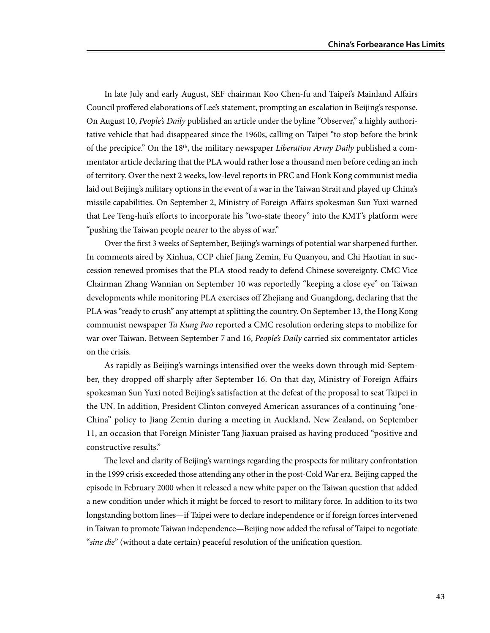In late July and early August, SEF chairman Koo Chen-fu and Taipei's Mainland Affairs Council proffered elaborations of Lee's statement, prompting an escalation in Beijing's response. On August 10, *People's Daily* published an article under the byline "Observer," a highly authoritative vehicle that had disappeared since the 1960s, calling on Taipei "to stop before the brink of the precipice." On the 18th, the military newspaper *Liberation Army Daily* published a commentator article declaring that the PLA would rather lose a thousand men before ceding an inch of territory. Over the next 2 weeks, low-level reports in PRC and Honk Kong communist media laid out Beijing's military options in the event of a war in the Taiwan Strait and played up China's missile capabilities. On September 2, Ministry of Foreign Affairs spokesman Sun Yuxi warned that Lee Teng-hui's efforts to incorporate his "two-state theory" into the KMT's platform were "pushing the Taiwan people nearer to the abyss of war."

Over the first 3 weeks of September, Beijing's warnings of potential war sharpened further. In comments aired by Xinhua, CCP chief Jiang Zemin, Fu Quanyou, and Chi Haotian in succession renewed promises that the PLA stood ready to defend Chinese sovereignty. CMC Vice Chairman Zhang Wannian on September 10 was reportedly "keeping a close eye" on Taiwan developments while monitoring PLA exercises off Zhejiang and Guangdong, declaring that the PLA was "ready to crush" any attempt at splitting the country. On September 13, the Hong Kong communist newspaper *Ta Kung Pao* reported a CMC resolution ordering steps to mobilize for war over Taiwan. Between September 7 and 16, *People's Daily* carried six commentator articles on the crisis.

As rapidly as Beijing's warnings intensified over the weeks down through mid-September, they dropped off sharply after September 16. On that day, Ministry of Foreign Affairs spokesman Sun Yuxi noted Beijing's satisfaction at the defeat of the proposal to seat Taipei in the UN. In addition, President Clinton conveyed American assurances of a continuing "one-China" policy to Jiang Zemin during a meeting in Auckland, New Zealand, on September 11, an occasion that Foreign Minister Tang Jiaxuan praised as having produced "positive and constructive results."

The level and clarity of Beijing's warnings regarding the prospects for military confrontation in the 1999 crisis exceeded those attending any other in the post-Cold War era. Beijing capped the episode in February 2000 when it released a new white paper on the Taiwan question that added a new condition under which it might be forced to resort to military force. In addition to its two longstanding bottom lines—if Taipei were to declare independence or if foreign forces intervened in Taiwan to promote Taiwan independence—Beijing now added the refusal of Taipei to negotiate "*sine die*" (without a date certain) peaceful resolution of the unification question.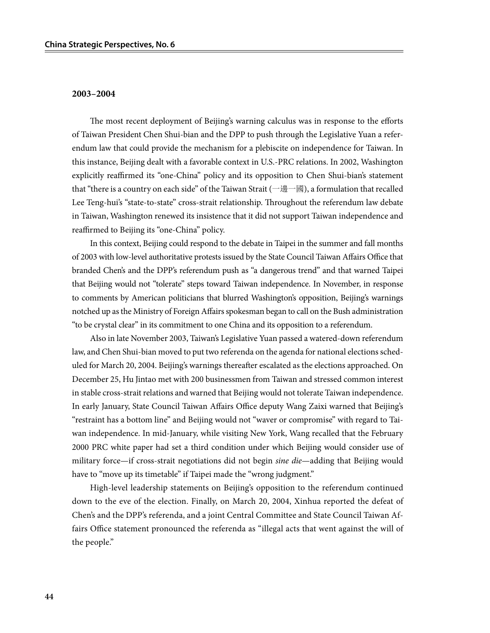#### **2003–2004**

The most recent deployment of Beijing's warning calculus was in response to the efforts of Taiwan President Chen Shui-bian and the DPP to push through the Legislative Yuan a referendum law that could provide the mechanism for a plebiscite on independence for Taiwan. In this instance, Beijing dealt with a favorable context in U.S.-PRC relations. In 2002, Washington explicitly reaffirmed its "one-China" policy and its opposition to Chen Shui-bian's statement that "there is a country on each side" of the Taiwan Strait (一邊一國), a formulation that recalled Lee Teng-hui's "state-to-state" cross-strait relationship. Throughout the referendum law debate in Taiwan, Washington renewed its insistence that it did not support Taiwan independence and reaffirmed to Beijing its "one-China" policy.

In this context, Beijing could respond to the debate in Taipei in the summer and fall months of 2003 with low-level authoritative protests issued by the State Council Taiwan Affairs Office that branded Chen's and the DPP's referendum push as "a dangerous trend" and that warned Taipei that Beijing would not "tolerate" steps toward Taiwan independence. In November, in response to comments by American politicians that blurred Washington's opposition, Beijing's warnings notched up as the Ministry of Foreign Affairs spokesman began to call on the Bush administration "to be crystal clear" in its commitment to one China and its opposition to a referendum.

Also in late November 2003, Taiwan's Legislative Yuan passed a watered-down referendum law, and Chen Shui-bian moved to put two referenda on the agenda for national elections scheduled for March 20, 2004. Beijing's warnings thereafter escalated as the elections approached. On December 25, Hu Jintao met with 200 businessmen from Taiwan and stressed common interest in stable cross-strait relations and warned that Beijing would not tolerate Taiwan independence. In early January, State Council Taiwan Affairs Office deputy Wang Zaixi warned that Beijing's "restraint has a bottom line" and Beijing would not "waver or compromise" with regard to Taiwan independence. In mid-January, while visiting New York, Wang recalled that the February 2000 PRC white paper had set a third condition under which Beijing would consider use of military force—if cross-strait negotiations did not begin *sine die*—adding that Beijing would have to "move up its timetable" if Taipei made the "wrong judgment."

High-level leadership statements on Beijing's opposition to the referendum continued down to the eve of the election. Finally, on March 20, 2004, Xinhua reported the defeat of Chen's and the DPP's referenda, and a joint Central Committee and State Council Taiwan Affairs Office statement pronounced the referenda as "illegal acts that went against the will of the people."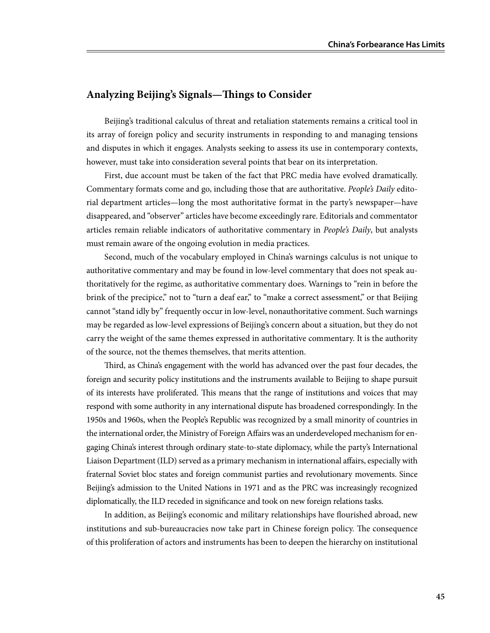# **Analyzing Beijing's Signals—Things to Consider**

Beijing's traditional calculus of threat and retaliation statements remains a critical tool in its array of foreign policy and security instruments in responding to and managing tensions and disputes in which it engages. Analysts seeking to assess its use in contemporary contexts, however, must take into consideration several points that bear on its interpretation.

First, due account must be taken of the fact that PRC media have evolved dramatically. Commentary formats come and go, including those that are authoritative. *People's Daily* editorial department articles—long the most authoritative format in the party's newspaper—have disappeared, and "observer" articles have become exceedingly rare. Editorials and commentator articles remain reliable indicators of authoritative commentary in *People's Daily*, but analysts must remain aware of the ongoing evolution in media practices.

Second, much of the vocabulary employed in China's warnings calculus is not unique to authoritative commentary and may be found in low-level commentary that does not speak authoritatively for the regime, as authoritative commentary does. Warnings to "rein in before the brink of the precipice," not to "turn a deaf ear," to "make a correct assessment," or that Beijing cannot "stand idly by" frequently occur in low-level, nonauthoritative comment. Such warnings may be regarded as low-level expressions of Beijing's concern about a situation, but they do not carry the weight of the same themes expressed in authoritative commentary. It is the authority of the source, not the themes themselves, that merits attention.

Third, as China's engagement with the world has advanced over the past four decades, the foreign and security policy institutions and the instruments available to Beijing to shape pursuit of its interests have proliferated. This means that the range of institutions and voices that may respond with some authority in any international dispute has broadened correspondingly. In the 1950s and 1960s, when the People's Republic was recognized by a small minority of countries in the international order, the Ministry of Foreign Affairs was an underdeveloped mechanism for engaging China's interest through ordinary state-to-state diplomacy, while the party's International Liaison Department (ILD) served as a primary mechanism in international affairs, especially with fraternal Soviet bloc states and foreign communist parties and revolutionary movements. Since Beijing's admission to the United Nations in 1971 and as the PRC was increasingly recognized diplomatically, the ILD receded in significance and took on new foreign relations tasks.

In addition, as Beijing's economic and military relationships have flourished abroad, new institutions and sub-bureaucracies now take part in Chinese foreign policy. The consequence of this proliferation of actors and instruments has been to deepen the hierarchy on institutional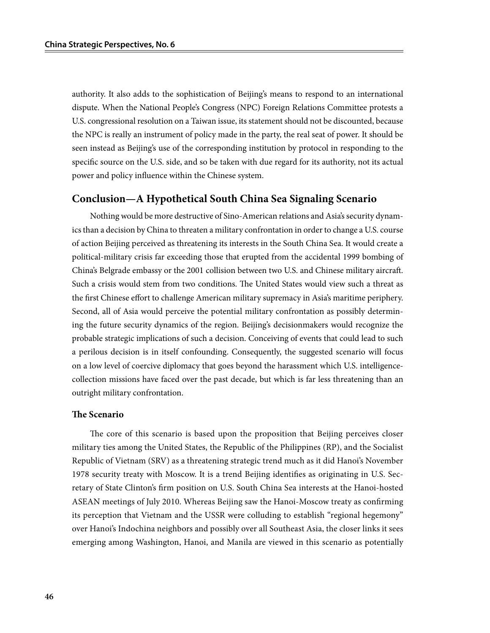authority. It also adds to the sophistication of Beijing's means to respond to an international dispute. When the National People's Congress (NPC) Foreign Relations Committee protests a U.S. congressional resolution on a Taiwan issue, its statement should not be discounted, because the NPC is really an instrument of policy made in the party, the real seat of power. It should be seen instead as Beijing's use of the corresponding institution by protocol in responding to the specific source on the U.S. side, and so be taken with due regard for its authority, not its actual power and policy influence within the Chinese system.

## **Conclusion—A Hypothetical South China Sea Signaling Scenario**

Nothing would be more destructive of Sino-American relations and Asia's security dynamics than a decision by China to threaten a military confrontation in order to change a U.S. course of action Beijing perceived as threatening its interests in the South China Sea. It would create a political-military crisis far exceeding those that erupted from the accidental 1999 bombing of China's Belgrade embassy or the 2001 collision between two U.S. and Chinese military aircraft. Such a crisis would stem from two conditions. The United States would view such a threat as the first Chinese effort to challenge American military supremacy in Asia's maritime periphery. Second, all of Asia would perceive the potential military confrontation as possibly determining the future security dynamics of the region. Beijing's decisionmakers would recognize the probable strategic implications of such a decision. Conceiving of events that could lead to such a perilous decision is in itself confounding. Consequently, the suggested scenario will focus on a low level of coercive diplomacy that goes beyond the harassment which U.S. intelligencecollection missions have faced over the past decade, but which is far less threatening than an outright military confrontation.

## **The Scenario**

The core of this scenario is based upon the proposition that Beijing perceives closer military ties among the United States, the Republic of the Philippines (RP), and the Socialist Republic of Vietnam (SRV) as a threatening strategic trend much as it did Hanoi's November 1978 security treaty with Moscow. It is a trend Beijing identifies as originating in U.S. Secretary of State Clinton's firm position on U.S. South China Sea interests at the Hanoi-hosted ASEAN meetings of July 2010. Whereas Beijing saw the Hanoi-Moscow treaty as confirming its perception that Vietnam and the USSR were colluding to establish "regional hegemony" over Hanoi's Indochina neighbors and possibly over all Southeast Asia, the closer links it sees emerging among Washington, Hanoi, and Manila are viewed in this scenario as potentially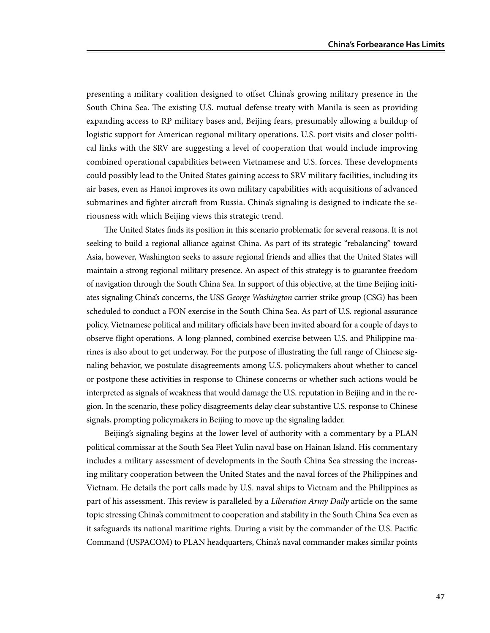presenting a military coalition designed to offset China's growing military presence in the South China Sea. The existing U.S. mutual defense treaty with Manila is seen as providing expanding access to RP military bases and, Beijing fears, presumably allowing a buildup of logistic support for American regional military operations. U.S. port visits and closer political links with the SRV are suggesting a level of cooperation that would include improving combined operational capabilities between Vietnamese and U.S. forces. These developments could possibly lead to the United States gaining access to SRV military facilities, including its air bases, even as Hanoi improves its own military capabilities with acquisitions of advanced submarines and fighter aircraft from Russia. China's signaling is designed to indicate the seriousness with which Beijing views this strategic trend.

The United States finds its position in this scenario problematic for several reasons. It is not seeking to build a regional alliance against China. As part of its strategic "rebalancing" toward Asia, however, Washington seeks to assure regional friends and allies that the United States will maintain a strong regional military presence. An aspect of this strategy is to guarantee freedom of navigation through the South China Sea. In support of this objective, at the time Beijing initiates signaling China's concerns, the USS *George Washington* carrier strike group (CSG) has been scheduled to conduct a FON exercise in the South China Sea. As part of U.S. regional assurance policy, Vietnamese political and military officials have been invited aboard for a couple of days to observe flight operations. A long-planned, combined exercise between U.S. and Philippine marines is also about to get underway. For the purpose of illustrating the full range of Chinese signaling behavior, we postulate disagreements among U.S. policymakers about whether to cancel or postpone these activities in response to Chinese concerns or whether such actions would be interpreted as signals of weakness that would damage the U.S. reputation in Beijing and in the region. In the scenario, these policy disagreements delay clear substantive U.S. response to Chinese signals, prompting policymakers in Beijing to move up the signaling ladder.

Beijing's signaling begins at the lower level of authority with a commentary by a PLAN political commissar at the South Sea Fleet Yulin naval base on Hainan Island. His commentary includes a military assessment of developments in the South China Sea stressing the increasing military cooperation between the United States and the naval forces of the Philippines and Vietnam. He details the port calls made by U.S. naval ships to Vietnam and the Philippines as part of his assessment. This review is paralleled by a *Liberation Army Daily* article on the same topic stressing China's commitment to cooperation and stability in the South China Sea even as it safeguards its national maritime rights. During a visit by the commander of the U.S. Pacific Command (USPACOM) to PLAN headquarters, China's naval commander makes similar points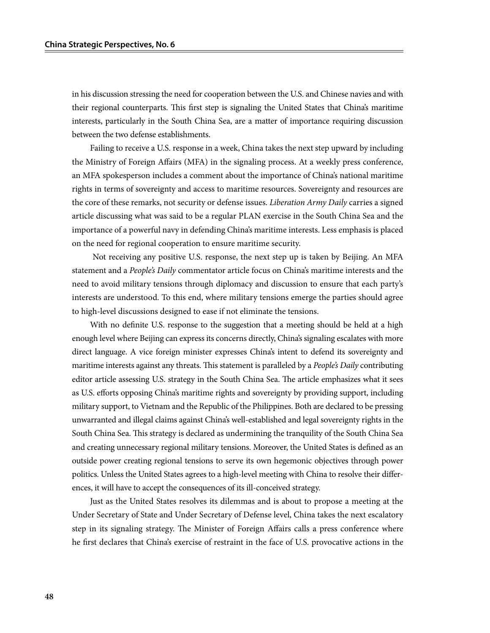in his discussion stressing the need for cooperation between the U.S. and Chinese navies and with their regional counterparts. This first step is signaling the United States that China's maritime interests, particularly in the South China Sea, are a matter of importance requiring discussion between the two defense establishments.

Failing to receive a U.S. response in a week, China takes the next step upward by including the Ministry of Foreign Affairs (MFA) in the signaling process. At a weekly press conference, an MFA spokesperson includes a comment about the importance of China's national maritime rights in terms of sovereignty and access to maritime resources. Sovereignty and resources are the core of these remarks, not security or defense issues. *Liberation Army Daily* carries a signed article discussing what was said to be a regular PLAN exercise in the South China Sea and the importance of a powerful navy in defending China's maritime interests. Less emphasis is placed on the need for regional cooperation to ensure maritime security.

 Not receiving any positive U.S. response, the next step up is taken by Beijing. An MFA statement and a *People's Daily* commentator article focus on China's maritime interests and the need to avoid military tensions through diplomacy and discussion to ensure that each party's interests are understood. To this end, where military tensions emerge the parties should agree to high-level discussions designed to ease if not eliminate the tensions.

With no definite U.S. response to the suggestion that a meeting should be held at a high enough level where Beijing can express its concerns directly, China's signaling escalates with more direct language. A vice foreign minister expresses China's intent to defend its sovereignty and maritime interests against any threats. This statement is paralleled by a *People's Daily* contributing editor article assessing U.S. strategy in the South China Sea. The article emphasizes what it sees as U.S. efforts opposing China's maritime rights and sovereignty by providing support, including military support, to Vietnam and the Republic of the Philippines. Both are declared to be pressing unwarranted and illegal claims against China's well-established and legal sovereignty rights in the South China Sea. This strategy is declared as undermining the tranquility of the South China Sea and creating unnecessary regional military tensions. Moreover, the United States is defined as an outside power creating regional tensions to serve its own hegemonic objectives through power politics. Unless the United States agrees to a high-level meeting with China to resolve their differences, it will have to accept the consequences of its ill-conceived strategy.

Just as the United States resolves its dilemmas and is about to propose a meeting at the Under Secretary of State and Under Secretary of Defense level, China takes the next escalatory step in its signaling strategy. The Minister of Foreign Affairs calls a press conference where he first declares that China's exercise of restraint in the face of U.S. provocative actions in the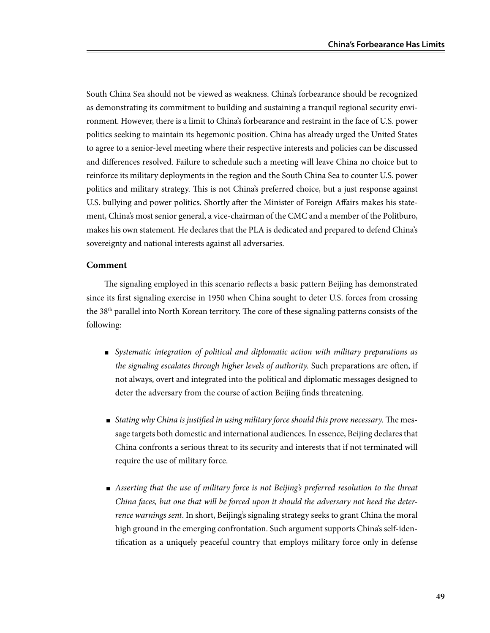South China Sea should not be viewed as weakness. China's forbearance should be recognized as demonstrating its commitment to building and sustaining a tranquil regional security environment. However, there is a limit to China's forbearance and restraint in the face of U.S. power politics seeking to maintain its hegemonic position. China has already urged the United States to agree to a senior-level meeting where their respective interests and policies can be discussed and differences resolved. Failure to schedule such a meeting will leave China no choice but to reinforce its military deployments in the region and the South China Sea to counter U.S. power politics and military strategy. This is not China's preferred choice, but a just response against U.S. bullying and power politics. Shortly after the Minister of Foreign Affairs makes his statement, China's most senior general, a vice-chairman of the CMC and a member of the Politburo, makes his own statement. He declares that the PLA is dedicated and prepared to defend China's sovereignty and national interests against all adversaries.

## **Comment**

The signaling employed in this scenario reflects a basic pattern Beijing has demonstrated since its first signaling exercise in 1950 when China sought to deter U.S. forces from crossing the 38th parallel into North Korean territory. The core of these signaling patterns consists of the following:

- Systematic integration of political and diplomatic action with military preparations as *the signaling escalates through higher levels of authority.* Such preparations are often, if not always, overt and integrated into the political and diplomatic messages designed to deter the adversary from the course of action Beijing finds threatening.
- *Stating why China is justified in using military force should this prove necessary.* The message targets both domestic and international audiences. In essence, Beijing declares that China confronts a serious threat to its security and interests that if not terminated will require the use of military force.
- *Asserting that the use of military force is not Beijing's preferred resolution to the threat China faces, but one that will be forced upon it should the adversary not heed the deterrence warnings sent*. In short, Beijing's signaling strategy seeks to grant China the moral high ground in the emerging confrontation. Such argument supports China's self-identification as a uniquely peaceful country that employs military force only in defense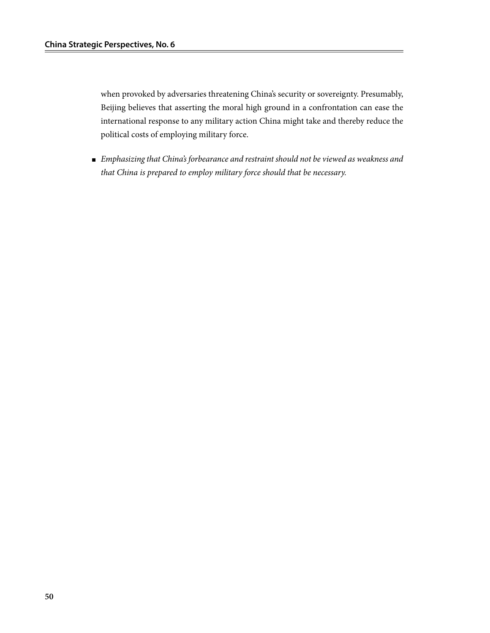when provoked by adversaries threatening China's security or sovereignty. Presumably, Beijing believes that asserting the moral high ground in a confrontation can ease the international response to any military action China might take and thereby reduce the political costs of employing military force.

■ *Emphasizing that China's forbearance and restraint should not be viewed as weakness and that China is prepared to employ military force should that be necessary.*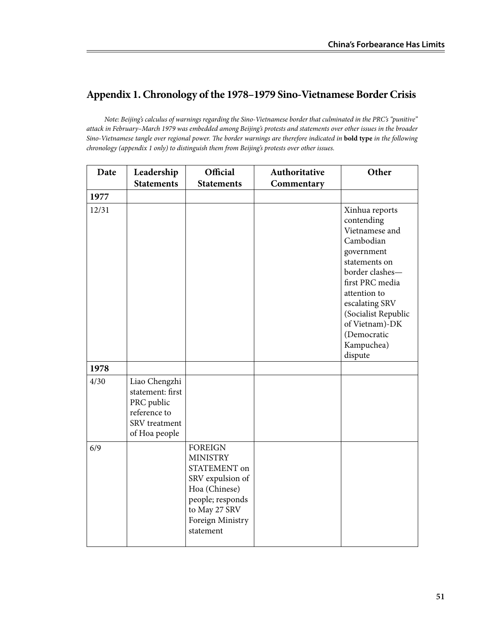# **Appendix 1. Chronology of the 1978–1979 Sino-Vietnamese Border Crisis**

*Note: Beijing's calculus of warnings regarding the Sino-Vietnamese border that culminated in the PRC's "punitive" attack in February–March 1979 was embedded among Beijing's protests and statements over other issues in the broader Sino-Vietnamese tangle over regional power. The border warnings are therefore indicated in* **bold type** *in the following chronology (appendix 1 only) to distinguish them from Beijing's protests over other issues.*

| Date  | Leadership                                                                                        | Official                                                                                                                                                     | Authoritative | Other                                                                                                                                                                                                                                               |
|-------|---------------------------------------------------------------------------------------------------|--------------------------------------------------------------------------------------------------------------------------------------------------------------|---------------|-----------------------------------------------------------------------------------------------------------------------------------------------------------------------------------------------------------------------------------------------------|
|       | <b>Statements</b>                                                                                 | <b>Statements</b>                                                                                                                                            | Commentary    |                                                                                                                                                                                                                                                     |
| 1977  |                                                                                                   |                                                                                                                                                              |               |                                                                                                                                                                                                                                                     |
| 12/31 |                                                                                                   |                                                                                                                                                              |               | Xinhua reports<br>contending<br>Vietnamese and<br>Cambodian<br>government<br>statements on<br>border clashes-<br>first PRC media<br>attention to<br>escalating SRV<br>(Socialist Republic<br>of Vietnam)-DK<br>(Democratic<br>Kampuchea)<br>dispute |
| 1978  |                                                                                                   |                                                                                                                                                              |               |                                                                                                                                                                                                                                                     |
| 4/30  | Liao Chengzhi<br>statement: first<br>PRC public<br>reference to<br>SRV treatment<br>of Hoa people |                                                                                                                                                              |               |                                                                                                                                                                                                                                                     |
| 6/9   |                                                                                                   | <b>FOREIGN</b><br><b>MINISTRY</b><br>STATEMENT on<br>SRV expulsion of<br>Hoa (Chinese)<br>people; responds<br>to May 27 SRV<br>Foreign Ministry<br>statement |               |                                                                                                                                                                                                                                                     |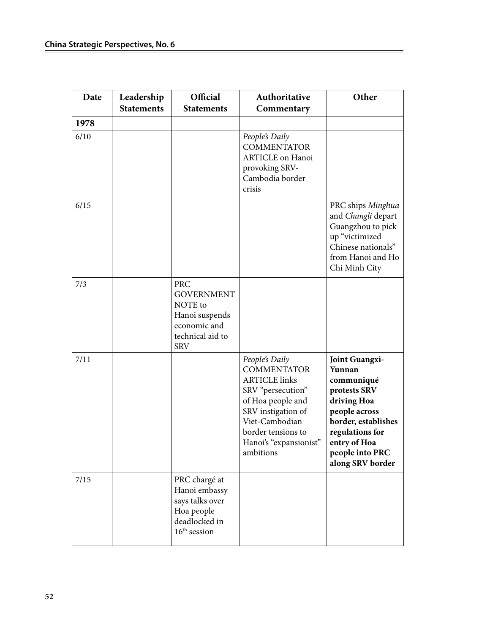| Date | Leadership<br><b>Statements</b> | Official<br><b>Statements</b>                                                                                  | Authoritative<br>Commentary                                                                                                                                                                                 | Other                                                                                                                                                                                          |
|------|---------------------------------|----------------------------------------------------------------------------------------------------------------|-------------------------------------------------------------------------------------------------------------------------------------------------------------------------------------------------------------|------------------------------------------------------------------------------------------------------------------------------------------------------------------------------------------------|
| 1978 |                                 |                                                                                                                |                                                                                                                                                                                                             |                                                                                                                                                                                                |
| 6/10 |                                 |                                                                                                                | People's Daily<br><b>COMMENTATOR</b><br><b>ARTICLE</b> on Hanoi<br>provoking SRV-<br>Cambodia border<br>crisis                                                                                              |                                                                                                                                                                                                |
| 6/15 |                                 |                                                                                                                |                                                                                                                                                                                                             | PRC ships Minghua<br>and Changli depart<br>Guangzhou to pick<br>up "victimized<br>Chinese nationals"<br>from Hanoi and Ho<br>Chi Minh City                                                     |
| 7/3  |                                 | <b>PRC</b><br><b>GOVERNMENT</b><br>NOTE to<br>Hanoi suspends<br>economic and<br>technical aid to<br><b>SRV</b> |                                                                                                                                                                                                             |                                                                                                                                                                                                |
| 7/11 |                                 |                                                                                                                | People's Daily<br><b>COMMENTATOR</b><br><b>ARTICLE links</b><br>SRV "persecution"<br>of Hoa people and<br>SRV instigation of<br>Viet-Cambodian<br>border tensions to<br>Hanoi's "expansionist"<br>ambitions | <b>Joint Guangxi-</b><br>Yunnan<br>communiqué<br>protests SRV<br>driving Hoa<br>people across<br>border, establishes<br>regulations for<br>entry of Hoa<br>people into PRC<br>along SRV border |
| 7/15 |                                 | PRC chargé at<br>Hanoi embassy<br>says talks over<br>Hoa people<br>deadlocked in<br>$16th$ session             |                                                                                                                                                                                                             |                                                                                                                                                                                                |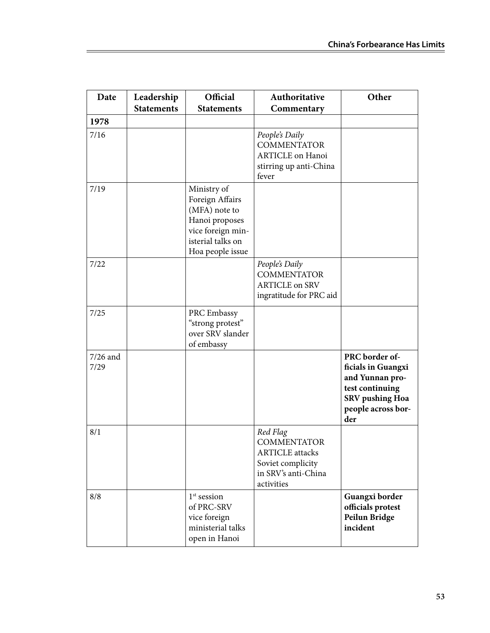| Date               | Leadership<br><b>Statements</b> | Official<br><b>Statements</b>                                                                                                   | Authoritative<br>Commentary                                                                                        | Other                                                                                                                             |
|--------------------|---------------------------------|---------------------------------------------------------------------------------------------------------------------------------|--------------------------------------------------------------------------------------------------------------------|-----------------------------------------------------------------------------------------------------------------------------------|
| 1978               |                                 |                                                                                                                                 |                                                                                                                    |                                                                                                                                   |
| 7/16               |                                 |                                                                                                                                 | People's Daily<br><b>COMMENTATOR</b><br><b>ARTICLE</b> on Hanoi<br>stirring up anti-China<br>fever                 |                                                                                                                                   |
| 7/19               |                                 | Ministry of<br>Foreign Affairs<br>(MFA) note to<br>Hanoi proposes<br>vice foreign min-<br>isterial talks on<br>Hoa people issue |                                                                                                                    |                                                                                                                                   |
| 7/22               |                                 |                                                                                                                                 | People's Daily<br><b>COMMENTATOR</b><br><b>ARTICLE on SRV</b><br>ingratitude for PRC aid                           |                                                                                                                                   |
| 7/25               |                                 | PRC Embassy<br>"strong protest"<br>over SRV slander<br>of embassy                                                               |                                                                                                                    |                                                                                                                                   |
| $7/26$ and<br>7/29 |                                 |                                                                                                                                 |                                                                                                                    | PRC border of-<br>ficials in Guangxi<br>and Yunnan pro-<br>test continuing<br><b>SRV</b> pushing Hoa<br>people across bor-<br>der |
| 8/1                |                                 |                                                                                                                                 | Red Flag<br><b>COMMENTATOR</b><br><b>ARTICLE</b> attacks<br>Soviet complicity<br>in SRV's anti-China<br>activities |                                                                                                                                   |
| 8/8                |                                 | $1st$ session<br>of PRC-SRV<br>vice foreign<br>ministerial talks<br>open in Hanoi                                               |                                                                                                                    | Guangxi border<br>officials protest<br>Peilun Bridge<br>incident                                                                  |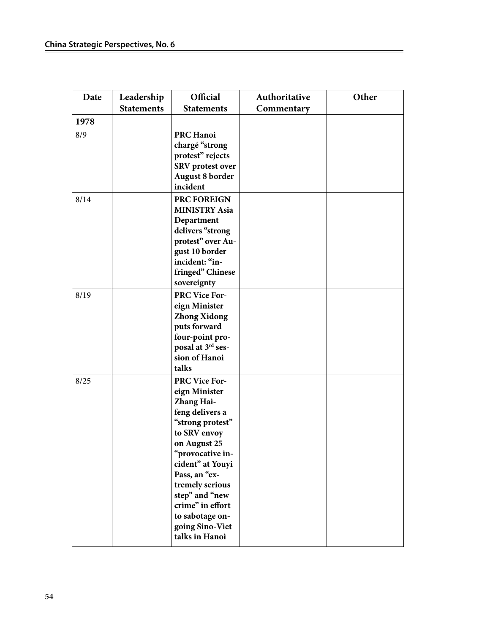| Date | Leadership        | Official                           | Authoritative | Other |
|------|-------------------|------------------------------------|---------------|-------|
|      | <b>Statements</b> | <b>Statements</b>                  | Commentary    |       |
| 1978 |                   |                                    |               |       |
| 8/9  |                   | <b>PRC Hanoi</b>                   |               |       |
|      |                   | chargé "strong                     |               |       |
|      |                   | protest" rejects                   |               |       |
|      |                   | <b>SRV</b> protest over            |               |       |
|      |                   | <b>August 8 border</b>             |               |       |
|      |                   | incident                           |               |       |
| 8/14 |                   | PRC FOREIGN                        |               |       |
|      |                   | <b>MINISTRY Asia</b>               |               |       |
|      |                   | Department                         |               |       |
|      |                   | delivers "strong                   |               |       |
|      |                   | protest" over Au-                  |               |       |
|      |                   | gust 10 border                     |               |       |
|      |                   | incident: "in-                     |               |       |
|      |                   | fringed" Chinese                   |               |       |
|      |                   | sovereignty                        |               |       |
| 8/19 |                   | <b>PRC Vice For-</b>               |               |       |
|      |                   | eign Minister                      |               |       |
|      |                   | <b>Zhong Xidong</b>                |               |       |
|      |                   | puts forward<br>four-point pro-    |               |       |
|      |                   | posal at 3rd ses-                  |               |       |
|      |                   | sion of Hanoi                      |               |       |
|      |                   | talks                              |               |       |
| 8/25 |                   | <b>PRC Vice For-</b>               |               |       |
|      |                   | eign Minister                      |               |       |
|      |                   | Zhang Hai-                         |               |       |
|      |                   | feng delivers a                    |               |       |
|      |                   | "strong protest"                   |               |       |
|      |                   | to SRV envoy                       |               |       |
|      |                   | on August 25                       |               |       |
|      |                   | "provocative in-                   |               |       |
|      |                   | cident" at Youyi                   |               |       |
|      |                   | Pass, an "ex-                      |               |       |
|      |                   | tremely serious                    |               |       |
|      |                   | step" and "new<br>crime" in effort |               |       |
|      |                   | to sabotage on-                    |               |       |
|      |                   | going Sino-Viet                    |               |       |
|      |                   | talks in Hanoi                     |               |       |
|      |                   |                                    |               |       |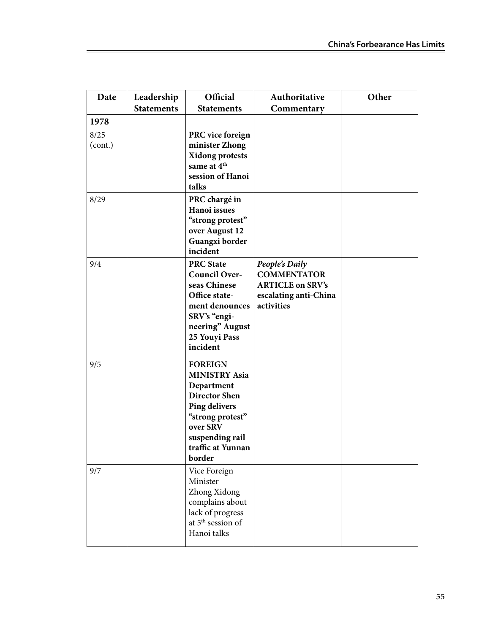| Date                    | Leadership<br><b>Statements</b> | Official<br><b>Statements</b>                                                                                                                                                          | Authoritative<br>Commentary                                                                            | Other |
|-------------------------|---------------------------------|----------------------------------------------------------------------------------------------------------------------------------------------------------------------------------------|--------------------------------------------------------------------------------------------------------|-------|
|                         |                                 |                                                                                                                                                                                        |                                                                                                        |       |
| 1978<br>8/25<br>(cont.) |                                 | PRC vice foreign<br>minister Zhong<br><b>Xidong protests</b><br>same at 4 <sup>th</sup><br>session of Hanoi<br>talks                                                                   |                                                                                                        |       |
| 8/29                    |                                 | PRC chargé in<br>Hanoi issues<br>"strong protest"<br>over August 12<br>Guangxi border<br>incident                                                                                      |                                                                                                        |       |
| 9/4                     |                                 | <b>PRC State</b><br><b>Council Over-</b><br>seas Chinese<br>Office state-<br>ment denounces<br>SRV's "engi-<br>neering" August<br>25 Youyi Pass<br>incident                            | People's Daily<br><b>COMMENTATOR</b><br><b>ARTICLE on SRV's</b><br>escalating anti-China<br>activities |       |
| 9/5                     |                                 | <b>FOREIGN</b><br><b>MINISTRY Asia</b><br>Department<br><b>Director Shen</b><br><b>Ping delivers</b><br>"strong protest"<br>over SRV<br>suspending rail<br>traffic at Yunnan<br>border |                                                                                                        |       |
| 9/7                     |                                 | Vice Foreign<br>Minister<br>Zhong Xidong<br>complains about<br>lack of progress<br>at 5 <sup>th</sup> session of<br>Hanoi talks                                                        |                                                                                                        |       |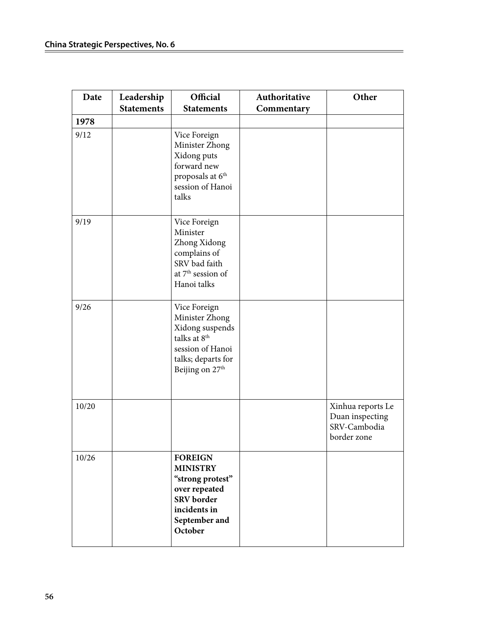| Date  | Leadership<br><b>Statements</b> | Official<br><b>Statements</b>                                                                                                                          | Authoritative<br>Commentary | Other                                                               |
|-------|---------------------------------|--------------------------------------------------------------------------------------------------------------------------------------------------------|-----------------------------|---------------------------------------------------------------------|
| 1978  |                                 |                                                                                                                                                        |                             |                                                                     |
| 9/12  |                                 | Vice Foreign<br>Minister Zhong<br>Xidong puts<br>forward new<br>proposals at 6 <sup>th</sup><br>session of Hanoi<br>talks                              |                             |                                                                     |
| 9/19  |                                 | Vice Foreign<br>Minister<br>Zhong Xidong<br>complains of<br>SRV bad faith<br>at 7 <sup>th</sup> session of<br>Hanoi talks                              |                             |                                                                     |
| 9/26  |                                 | Vice Foreign<br>Minister Zhong<br>Xidong suspends<br>talks at 8 <sup>th</sup><br>session of Hanoi<br>talks; departs for<br>Beijing on 27 <sup>th</sup> |                             |                                                                     |
| 10/20 |                                 |                                                                                                                                                        |                             | Xinhua reports Le<br>Duan inspecting<br>SRV-Cambodia<br>border zone |
| 10/26 |                                 | <b>FOREIGN</b><br><b>MINISTRY</b><br>"strong protest"<br>over repeated<br><b>SRV</b> border<br>incidents in<br>September and<br>October                |                             |                                                                     |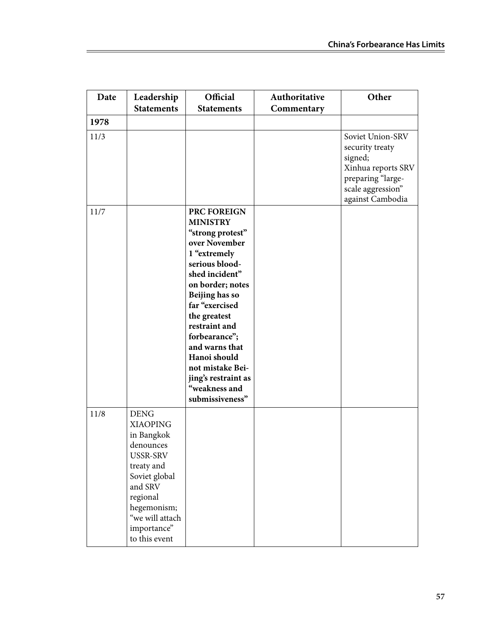| Date | Leadership                                                                                                                                                                                    | Official                                                                                                                                                                                                                                                                                                                                           | Authoritative | Other                                                                                                                              |
|------|-----------------------------------------------------------------------------------------------------------------------------------------------------------------------------------------------|----------------------------------------------------------------------------------------------------------------------------------------------------------------------------------------------------------------------------------------------------------------------------------------------------------------------------------------------------|---------------|------------------------------------------------------------------------------------------------------------------------------------|
|      | <b>Statements</b>                                                                                                                                                                             | <b>Statements</b>                                                                                                                                                                                                                                                                                                                                  | Commentary    |                                                                                                                                    |
| 1978 |                                                                                                                                                                                               |                                                                                                                                                                                                                                                                                                                                                    |               |                                                                                                                                    |
| 11/3 |                                                                                                                                                                                               |                                                                                                                                                                                                                                                                                                                                                    |               | Soviet Union-SRV<br>security treaty<br>signed;<br>Xinhua reports SRV<br>preparing "large-<br>scale aggression"<br>against Cambodia |
| 11/7 |                                                                                                                                                                                               | PRC FOREIGN<br><b>MINISTRY</b><br>"strong protest"<br>over November<br>1 "extremely<br>serious blood-<br>shed incident"<br>on border; notes<br>Beijing has so<br>far "exercised<br>the greatest<br>restraint and<br>forbearance";<br>and warns that<br>Hanoi should<br>not mistake Bei-<br>jing's restraint as<br>"weakness and<br>submissiveness" |               |                                                                                                                                    |
| 11/8 | <b>DENG</b><br><b>XIAOPING</b><br>in Bangkok<br>denounces<br>USSR-SRV<br>treaty and<br>Soviet global<br>and SRV<br>regional<br>hegemonism;<br>"we will attach<br>importance"<br>to this event |                                                                                                                                                                                                                                                                                                                                                    |               |                                                                                                                                    |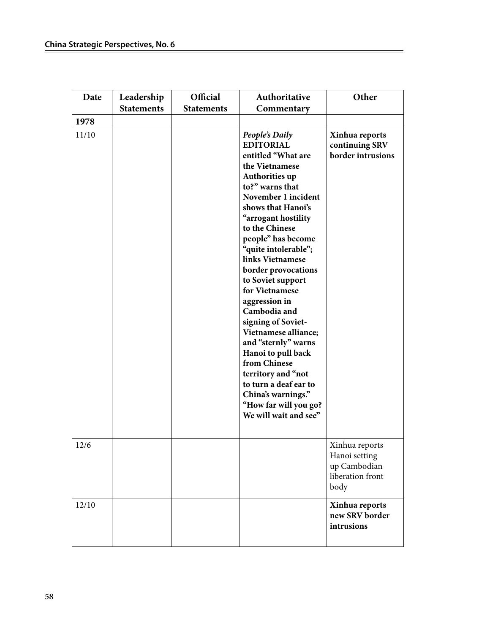| Date  | Leadership<br><b>Statements</b> | Official<br><b>Statements</b> | Authoritative<br>Commentary                                                                                                                                                                                                                                                                                                                                                                                                                                                                                                                                                                              | Other                                                                       |
|-------|---------------------------------|-------------------------------|----------------------------------------------------------------------------------------------------------------------------------------------------------------------------------------------------------------------------------------------------------------------------------------------------------------------------------------------------------------------------------------------------------------------------------------------------------------------------------------------------------------------------------------------------------------------------------------------------------|-----------------------------------------------------------------------------|
| 1978  |                                 |                               |                                                                                                                                                                                                                                                                                                                                                                                                                                                                                                                                                                                                          |                                                                             |
| 11/10 |                                 |                               | People's Daily<br><b>EDITORIAL</b><br>entitled "What are<br>the Vietnamese<br>Authorities up<br>to?" warns that<br>November 1 incident<br>shows that Hanoi's<br>"arrogant hostility<br>to the Chinese<br>people" has become<br>"quite intolerable";<br>links Vietnamese<br>border provocations<br>to Soviet support<br>for Vietnamese<br>aggression in<br>Cambodia and<br>signing of Soviet-<br>Vietnamese alliance;<br>and "sternly" warns<br>Hanoi to pull back<br>from Chinese<br>territory and "not<br>to turn a deaf ear to<br>China's warnings."<br>"How far will you go?<br>We will wait and see" | Xinhua reports<br>continuing SRV<br>border intrusions                       |
| 12/6  |                                 |                               |                                                                                                                                                                                                                                                                                                                                                                                                                                                                                                                                                                                                          | Xinhua reports<br>Hanoi setting<br>up Cambodian<br>liberation front<br>body |
| 12/10 |                                 |                               |                                                                                                                                                                                                                                                                                                                                                                                                                                                                                                                                                                                                          | Xinhua reports<br>new SRV border<br>intrusions                              |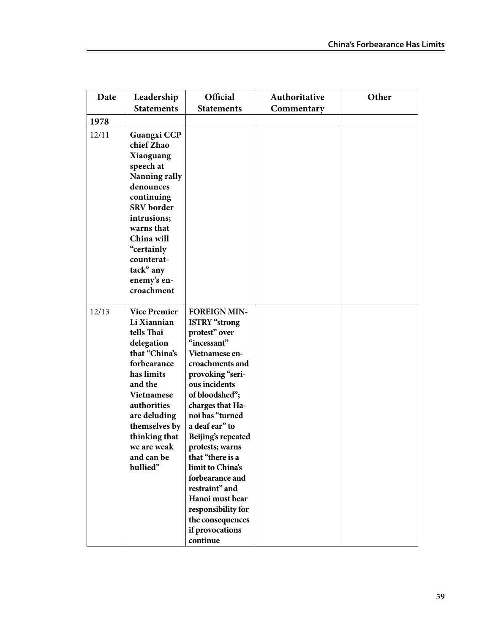| Date  | Leadership                                                                                                                                                                                                                                             | Official                                                                                                                                                                                                                                                                                                                                                                                                                                           | Authoritative | Other |
|-------|--------------------------------------------------------------------------------------------------------------------------------------------------------------------------------------------------------------------------------------------------------|----------------------------------------------------------------------------------------------------------------------------------------------------------------------------------------------------------------------------------------------------------------------------------------------------------------------------------------------------------------------------------------------------------------------------------------------------|---------------|-------|
|       | <b>Statements</b>                                                                                                                                                                                                                                      | <b>Statements</b>                                                                                                                                                                                                                                                                                                                                                                                                                                  | Commentary    |       |
| 1978  |                                                                                                                                                                                                                                                        |                                                                                                                                                                                                                                                                                                                                                                                                                                                    |               |       |
| 12/11 | <b>Guangxi CCP</b><br>chief Zhao<br>Xiaoguang<br>speech at<br>Nanning rally<br>denounces<br>continuing<br><b>SRV</b> border<br>intrusions;<br>warns that<br>China will<br>"certainly<br>counterat-<br>tack" any<br>enemy's en-<br>croachment           |                                                                                                                                                                                                                                                                                                                                                                                                                                                    |               |       |
| 12/13 | <b>Vice Premier</b><br>Li Xiannian<br>tells Thai<br>delegation<br>that "China's<br>forbearance<br>has limits<br>and the<br><b>Vietnamese</b><br>authorities<br>are deluding<br>themselves by<br>thinking that<br>we are weak<br>and can be<br>bullied" | <b>FOREIGN MIN-</b><br><b>ISTRY</b> "strong<br>protest" over<br>"incessant"<br>Vietnamese en-<br>croachments and<br>provoking "seri-<br>ous incidents<br>of bloodshed";<br>charges that Ha-<br>noi has "turned<br>a deaf ear" to<br>Beijing's repeated<br>protests; warns<br>that "there is a<br>limit to China's<br>forbearance and<br>restraint" and<br>Hanoi must bear<br>responsibility for<br>the consequences<br>if provocations<br>continue |               |       |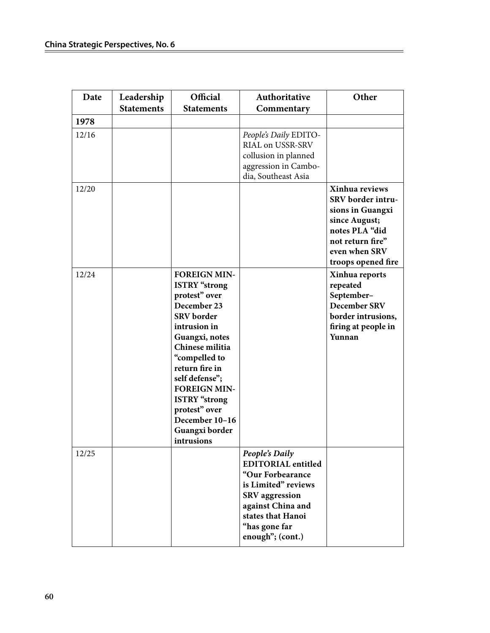| Date  | Leadership<br><b>Statements</b> | Official<br><b>Statements</b>                                                                                                                                                                                                                                                                                                | Authoritative<br>Commentary                                                                                                                                                                    | Other                                                                                                                                                 |
|-------|---------------------------------|------------------------------------------------------------------------------------------------------------------------------------------------------------------------------------------------------------------------------------------------------------------------------------------------------------------------------|------------------------------------------------------------------------------------------------------------------------------------------------------------------------------------------------|-------------------------------------------------------------------------------------------------------------------------------------------------------|
| 1978  |                                 |                                                                                                                                                                                                                                                                                                                              |                                                                                                                                                                                                |                                                                                                                                                       |
| 12/16 |                                 |                                                                                                                                                                                                                                                                                                                              | People's Daily EDITO-<br>RIAL on USSR-SRV<br>collusion in planned<br>aggression in Cambo-<br>dia, Southeast Asia                                                                               |                                                                                                                                                       |
| 12/20 |                                 |                                                                                                                                                                                                                                                                                                                              |                                                                                                                                                                                                | Xinhua reviews<br>SRV border intru-<br>sions in Guangxi<br>since August;<br>notes PLA "did<br>not return fire"<br>even when SRV<br>troops opened fire |
| 12/24 |                                 | <b>FOREIGN MIN-</b><br><b>ISTRY</b> "strong<br>protest" over<br>December 23<br><b>SRV</b> border<br>intrusion in<br>Guangxi, notes<br>Chinese militia<br>"compelled to<br>return fire in<br>self defense";<br><b>FOREIGN MIN-</b><br><b>ISTRY</b> "strong<br>protest" over<br>December 10-16<br>Guangxi border<br>intrusions |                                                                                                                                                                                                | Xinhua reports<br>repeated<br>September-<br><b>December SRV</b><br>border intrusions,<br>firing at people in<br>Yunnan                                |
| 12/25 |                                 |                                                                                                                                                                                                                                                                                                                              | People's Daily<br><b>EDITORIAL</b> entitled<br>"Our Forbearance<br>is Limited" reviews<br><b>SRV</b> aggression<br>against China and<br>states that Hanoi<br>"has gone far<br>enough"; (cont.) |                                                                                                                                                       |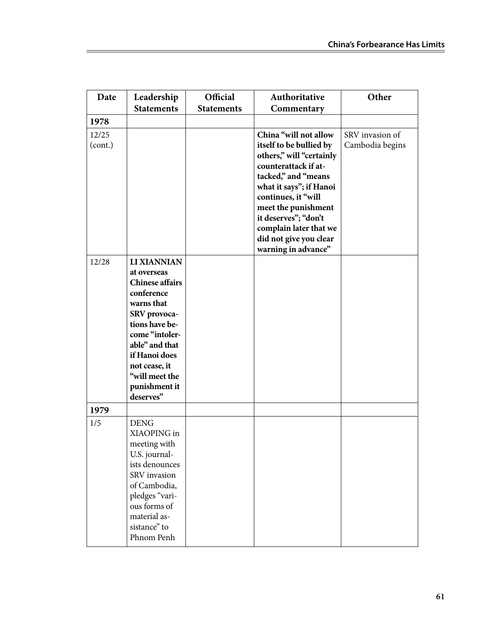| Date    | Leadership                     | Official          | Authoritative                                  | Other           |
|---------|--------------------------------|-------------------|------------------------------------------------|-----------------|
|         | <b>Statements</b>              | <b>Statements</b> | Commentary                                     |                 |
| 1978    |                                |                   |                                                |                 |
| 12/25   |                                |                   | China "will not allow                          | SRV invasion of |
| (cont.) |                                |                   | itself to be bullied by                        | Cambodia begins |
|         |                                |                   | others," will "certainly                       |                 |
|         |                                |                   | counterattack if at-                           |                 |
|         |                                |                   | tacked," and "means                            |                 |
|         |                                |                   | what it says"; if Hanoi<br>continues, it "will |                 |
|         |                                |                   | meet the punishment                            |                 |
|         |                                |                   | it deserves"; "don't                           |                 |
|         |                                |                   | complain later that we                         |                 |
|         |                                |                   | did not give you clear                         |                 |
|         |                                |                   | warning in advance"                            |                 |
| 12/28   | LI XIANNIAN                    |                   |                                                |                 |
|         | at overseas                    |                   |                                                |                 |
|         | <b>Chinese affairs</b>         |                   |                                                |                 |
|         | conference                     |                   |                                                |                 |
|         | warns that                     |                   |                                                |                 |
|         | SRV provoca-<br>tions have be- |                   |                                                |                 |
|         | come "intoler-                 |                   |                                                |                 |
|         | able" and that                 |                   |                                                |                 |
|         | if Hanoi does                  |                   |                                                |                 |
|         | not cease, it                  |                   |                                                |                 |
|         | "will meet the                 |                   |                                                |                 |
|         | punishment it                  |                   |                                                |                 |
|         | deserves"                      |                   |                                                |                 |
| 1979    |                                |                   |                                                |                 |
| 1/5     | <b>DENG</b>                    |                   |                                                |                 |
|         | XIAOPING in                    |                   |                                                |                 |
|         | meeting with                   |                   |                                                |                 |
|         | U.S. journal-                  |                   |                                                |                 |
|         | ists denounces<br>SRV invasion |                   |                                                |                 |
|         | of Cambodia,                   |                   |                                                |                 |
|         | pledges "vari-                 |                   |                                                |                 |
|         | ous forms of                   |                   |                                                |                 |
|         | material as-                   |                   |                                                |                 |
|         | sistance" to                   |                   |                                                |                 |
|         | Phnom Penh                     |                   |                                                |                 |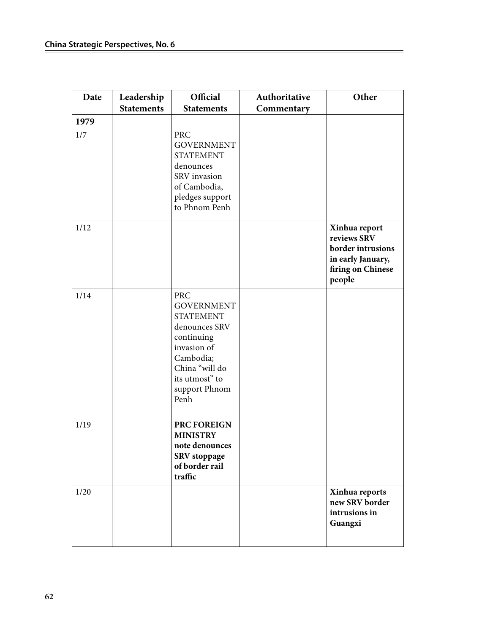| Date | Leadership<br><b>Statements</b> | Official<br><b>Statements</b>                                                                                                                                               | Authoritative<br>Commentary | Other                                                                                                 |
|------|---------------------------------|-----------------------------------------------------------------------------------------------------------------------------------------------------------------------------|-----------------------------|-------------------------------------------------------------------------------------------------------|
| 1979 |                                 |                                                                                                                                                                             |                             |                                                                                                       |
| 1/7  |                                 | <b>PRC</b><br><b>GOVERNMENT</b><br><b>STATEMENT</b><br>denounces<br>SRV invasion<br>of Cambodia,<br>pledges support<br>to Phnom Penh                                        |                             |                                                                                                       |
| 1/12 |                                 |                                                                                                                                                                             |                             | Xinhua report<br>reviews SRV<br>border intrusions<br>in early January,<br>firing on Chinese<br>people |
| 1/14 |                                 | <b>PRC</b><br><b>GOVERNMENT</b><br><b>STATEMENT</b><br>denounces SRV<br>continuing<br>invasion of<br>Cambodia;<br>China "will do<br>its utmost" to<br>support Phnom<br>Penh |                             |                                                                                                       |
| 1/19 |                                 | PRC FOREIGN<br><b>MINISTRY</b><br>note denounces<br>SRV stoppage<br>of border rail<br>traffic                                                                               |                             |                                                                                                       |
| 1/20 |                                 |                                                                                                                                                                             |                             | Xinhua reports<br>new SRV border<br>intrusions in<br>Guangxi                                          |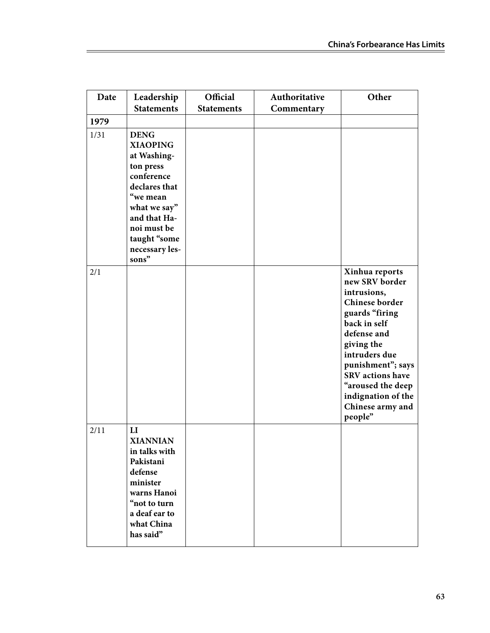| Date | Leadership                                                                                                                                                                                      | Official          | Authoritative | Other                                                                                                                                                                                                                                                                       |
|------|-------------------------------------------------------------------------------------------------------------------------------------------------------------------------------------------------|-------------------|---------------|-----------------------------------------------------------------------------------------------------------------------------------------------------------------------------------------------------------------------------------------------------------------------------|
|      | <b>Statements</b>                                                                                                                                                                               | <b>Statements</b> | Commentary    |                                                                                                                                                                                                                                                                             |
| 1979 |                                                                                                                                                                                                 |                   |               |                                                                                                                                                                                                                                                                             |
| 1/31 | <b>DENG</b><br><b>XIAOPING</b><br>at Washing-<br>ton press<br>conference<br>declares that<br>"we mean<br>what we say"<br>and that Ha-<br>noi must be<br>taught "some<br>necessary les-<br>sons" |                   |               |                                                                                                                                                                                                                                                                             |
| 2/1  |                                                                                                                                                                                                 |                   |               | Xinhua reports<br>new SRV border<br>intrusions,<br>Chinese border<br>guards "firing<br>back in self<br>defense and<br>giving the<br>intruders due<br>punishment"; says<br><b>SRV</b> actions have<br>"aroused the deep<br>indignation of the<br>Chinese army and<br>people" |
| 2/11 | $\mathbf{L}\mathbf{I}$<br><b>XIANNIAN</b><br>in talks with<br>Pakistani<br>defense<br>minister<br>warns Hanoi<br>"not to turn<br>a deaf ear to<br>what China<br>has said"                       |                   |               |                                                                                                                                                                                                                                                                             |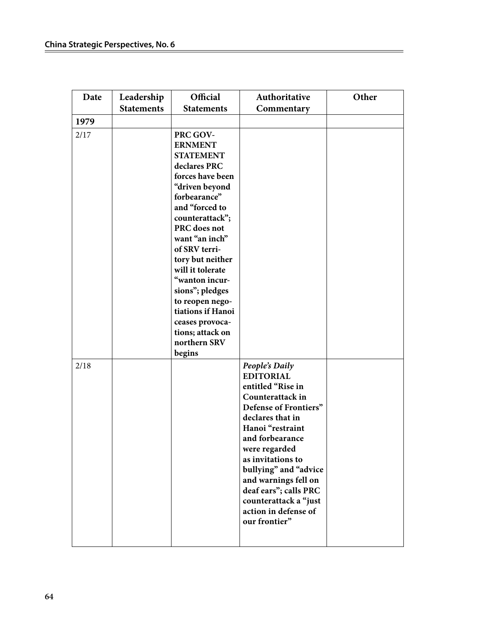| Date | Leadership        | Official                                                                                                                                                                                                                                                                                                                                                                                           | Authoritative                                                                                                                                                                                                                                                                                                                                     | Other |
|------|-------------------|----------------------------------------------------------------------------------------------------------------------------------------------------------------------------------------------------------------------------------------------------------------------------------------------------------------------------------------------------------------------------------------------------|---------------------------------------------------------------------------------------------------------------------------------------------------------------------------------------------------------------------------------------------------------------------------------------------------------------------------------------------------|-------|
|      | <b>Statements</b> | <b>Statements</b>                                                                                                                                                                                                                                                                                                                                                                                  | Commentary                                                                                                                                                                                                                                                                                                                                        |       |
| 1979 |                   |                                                                                                                                                                                                                                                                                                                                                                                                    |                                                                                                                                                                                                                                                                                                                                                   |       |
| 2/17 |                   | PRC GOV-<br><b>ERNMENT</b><br><b>STATEMENT</b><br>declares PRC<br>forces have been<br>"driven beyond<br>forbearance"<br>and "forced to<br>counterattack";<br>PRC does not<br>want "an inch"<br>of SRV terri-<br>tory but neither<br>will it tolerate<br>"wanton incur-<br>sions"; pledges<br>to reopen nego-<br>tiations if Hanoi<br>ceases provoca-<br>tions; attack on<br>northern SRV<br>begins |                                                                                                                                                                                                                                                                                                                                                   |       |
| 2/18 |                   |                                                                                                                                                                                                                                                                                                                                                                                                    | People's Daily<br><b>EDITORIAL</b><br>entitled "Rise in<br>Counterattack in<br>Defense of Frontiers"<br>declares that in<br>Hanoi "restraint<br>and forbearance<br>were regarded<br>as invitations to<br>bullying" and "advice<br>and warnings fell on<br>deaf ears"; calls PRC<br>counterattack a "just<br>action in defense of<br>our frontier" |       |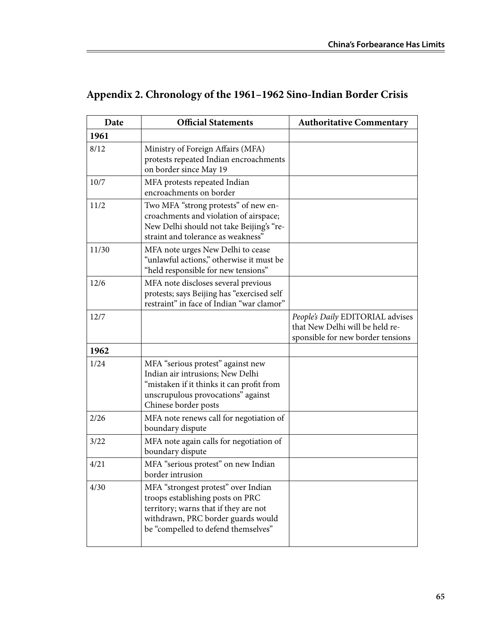| Date  | <b>Official Statements</b>                                                                                                                                                                    | <b>Authoritative Commentary</b>                                                                          |
|-------|-----------------------------------------------------------------------------------------------------------------------------------------------------------------------------------------------|----------------------------------------------------------------------------------------------------------|
| 1961  |                                                                                                                                                                                               |                                                                                                          |
| 8/12  | Ministry of Foreign Affairs (MFA)<br>protests repeated Indian encroachments<br>on border since May 19                                                                                         |                                                                                                          |
| 10/7  | MFA protests repeated Indian<br>encroachments on border                                                                                                                                       |                                                                                                          |
| 11/2  | Two MFA "strong protests" of new en-<br>croachments and violation of airspace;<br>New Delhi should not take Beijing's "re-<br>straint and tolerance as weakness"                              |                                                                                                          |
| 11/30 | MFA note urges New Delhi to cease<br>"unlawful actions," otherwise it must be<br>"held responsible for new tensions"                                                                          |                                                                                                          |
| 12/6  | MFA note discloses several previous<br>protests; says Beijing has "exercised self<br>restraint" in face of Indian "war clamor"                                                                |                                                                                                          |
| 12/7  |                                                                                                                                                                                               | People's Daily EDITORIAL advises<br>that New Delhi will be held re-<br>sponsible for new border tensions |
| 1962  |                                                                                                                                                                                               |                                                                                                          |
| 1/24  | MFA "serious protest" against new<br>Indian air intrusions; New Delhi<br>"mistaken if it thinks it can profit from<br>unscrupulous provocations" against<br>Chinese border posts              |                                                                                                          |
| 2/26  | MFA note renews call for negotiation of<br>boundary dispute                                                                                                                                   |                                                                                                          |
| 3/22  | MFA note again calls for negotiation of<br>boundary dispute                                                                                                                                   |                                                                                                          |
| 4/21  | MFA "serious protest" on new Indian<br>border intrusion                                                                                                                                       |                                                                                                          |
| 4/30  | MFA "strongest protest" over Indian<br>troops establishing posts on PRC<br>territory; warns that if they are not<br>withdrawn, PRC border guards would<br>be "compelled to defend themselves" |                                                                                                          |

# **Appendix 2. Chronology of the 1961–1962 Sino-Indian Border Crisis**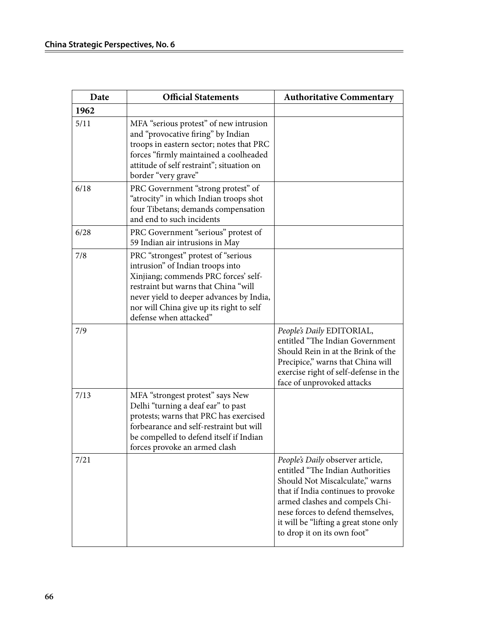| Date | <b>Official Statements</b>                                                                                                                                                                                                                                                | <b>Authoritative Commentary</b>                                                                                                                                                                                                                                                               |
|------|---------------------------------------------------------------------------------------------------------------------------------------------------------------------------------------------------------------------------------------------------------------------------|-----------------------------------------------------------------------------------------------------------------------------------------------------------------------------------------------------------------------------------------------------------------------------------------------|
| 1962 |                                                                                                                                                                                                                                                                           |                                                                                                                                                                                                                                                                                               |
| 5/11 | MFA "serious protest" of new intrusion<br>and "provocative firing" by Indian<br>troops in eastern sector; notes that PRC<br>forces "firmly maintained a coolheaded<br>attitude of self restraint"; situation on<br>border "very grave"                                    |                                                                                                                                                                                                                                                                                               |
| 6/18 | PRC Government "strong protest" of<br>"atrocity" in which Indian troops shot<br>four Tibetans; demands compensation<br>and end to such incidents                                                                                                                          |                                                                                                                                                                                                                                                                                               |
| 6/28 | PRC Government "serious" protest of<br>59 Indian air intrusions in May                                                                                                                                                                                                    |                                                                                                                                                                                                                                                                                               |
| 7/8  | PRC "strongest" protest of "serious<br>intrusion" of Indian troops into<br>Xinjiang; commends PRC forces' self-<br>restraint but warns that China "will<br>never yield to deeper advances by India,<br>nor will China give up its right to self<br>defense when attacked" |                                                                                                                                                                                                                                                                                               |
| 7/9  |                                                                                                                                                                                                                                                                           | People's Daily EDITORIAL,<br>entitled "The Indian Government<br>Should Rein in at the Brink of the<br>Precipice," warns that China will<br>exercise right of self-defense in the<br>face of unprovoked attacks                                                                                |
| 7/13 | MFA "strongest protest" says New<br>Delhi "turning a deaf ear" to past<br>protests; warns that PRC has exercised<br>forbearance and self-restraint but will<br>be compelled to defend itself if Indian<br>forces provoke an armed clash                                   |                                                                                                                                                                                                                                                                                               |
| 7/21 |                                                                                                                                                                                                                                                                           | People's Daily observer article,<br>entitled "The Indian Authorities<br>Should Not Miscalculate," warns<br>that if India continues to provoke<br>armed clashes and compels Chi-<br>nese forces to defend themselves,<br>it will be "lifting a great stone only<br>to drop it on its own foot" |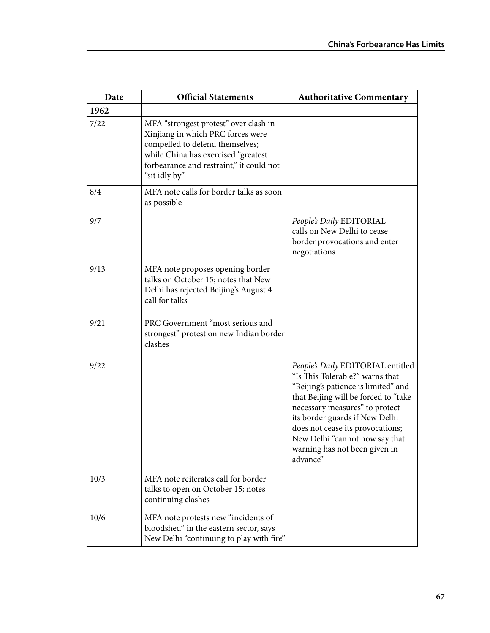| Date | <b>Official Statements</b>                                                                                                                                                                                        | <b>Authoritative Commentary</b>                                                                                                                                                                                                                                                                                                            |
|------|-------------------------------------------------------------------------------------------------------------------------------------------------------------------------------------------------------------------|--------------------------------------------------------------------------------------------------------------------------------------------------------------------------------------------------------------------------------------------------------------------------------------------------------------------------------------------|
| 1962 |                                                                                                                                                                                                                   |                                                                                                                                                                                                                                                                                                                                            |
| 7/22 | MFA "strongest protest" over clash in<br>Xinjiang in which PRC forces were<br>compelled to defend themselves;<br>while China has exercised "greatest<br>forbearance and restraint," it could not<br>"sit idly by" |                                                                                                                                                                                                                                                                                                                                            |
| 8/4  | MFA note calls for border talks as soon<br>as possible                                                                                                                                                            |                                                                                                                                                                                                                                                                                                                                            |
| 9/7  |                                                                                                                                                                                                                   | People's Daily EDITORIAL<br>calls on New Delhi to cease<br>border provocations and enter<br>negotiations                                                                                                                                                                                                                                   |
| 9/13 | MFA note proposes opening border<br>talks on October 15; notes that New<br>Delhi has rejected Beijing's August 4<br>call for talks                                                                                |                                                                                                                                                                                                                                                                                                                                            |
| 9/21 | PRC Government "most serious and<br>strongest" protest on new Indian border<br>clashes                                                                                                                            |                                                                                                                                                                                                                                                                                                                                            |
| 9/22 |                                                                                                                                                                                                                   | People's Daily EDITORIAL entitled<br>"Is This Tolerable?" warns that<br>"Beijing's patience is limited" and<br>that Beijing will be forced to "take<br>necessary measures" to protect<br>its border guards if New Delhi<br>does not cease its provocations;<br>New Delhi "cannot now say that<br>warning has not been given in<br>advance" |
| 10/3 | MFA note reiterates call for border<br>talks to open on October 15; notes<br>continuing clashes                                                                                                                   |                                                                                                                                                                                                                                                                                                                                            |
| 10/6 | MFA note protests new "incidents of<br>bloodshed" in the eastern sector, says<br>New Delhi "continuing to play with fire"                                                                                         |                                                                                                                                                                                                                                                                                                                                            |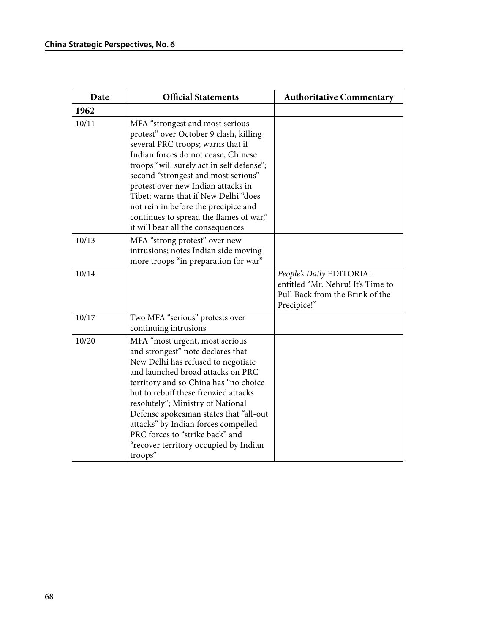| Date  | <b>Official Statements</b>                                                                                                                                                                                                                                                                                                                                                                                                                      | <b>Authoritative Commentary</b>                                                                                 |
|-------|-------------------------------------------------------------------------------------------------------------------------------------------------------------------------------------------------------------------------------------------------------------------------------------------------------------------------------------------------------------------------------------------------------------------------------------------------|-----------------------------------------------------------------------------------------------------------------|
| 1962  |                                                                                                                                                                                                                                                                                                                                                                                                                                                 |                                                                                                                 |
| 10/11 | MFA "strongest and most serious<br>protest" over October 9 clash, killing<br>several PRC troops; warns that if<br>Indian forces do not cease, Chinese<br>troops "will surely act in self defense";<br>second "strongest and most serious"<br>protest over new Indian attacks in<br>Tibet; warns that if New Delhi "does<br>not rein in before the precipice and<br>continues to spread the flames of war,"<br>it will bear all the consequences |                                                                                                                 |
| 10/13 | MFA "strong protest" over new<br>intrusions; notes Indian side moving<br>more troops "in preparation for war"                                                                                                                                                                                                                                                                                                                                   |                                                                                                                 |
| 10/14 |                                                                                                                                                                                                                                                                                                                                                                                                                                                 | People's Daily EDITORIAL<br>entitled "Mr. Nehru! It's Time to<br>Pull Back from the Brink of the<br>Precipice!" |
| 10/17 | Two MFA "serious" protests over<br>continuing intrusions                                                                                                                                                                                                                                                                                                                                                                                        |                                                                                                                 |
| 10/20 | MFA "most urgent, most serious<br>and strongest" note declares that<br>New Delhi has refused to negotiate<br>and launched broad attacks on PRC<br>territory and so China has "no choice<br>but to rebuff these frenzied attacks<br>resolutely"; Ministry of National<br>Defense spokesman states that "all-out<br>attacks" by Indian forces compelled<br>PRC forces to "strike back" and<br>"recover territory occupied by Indian<br>troops"    |                                                                                                                 |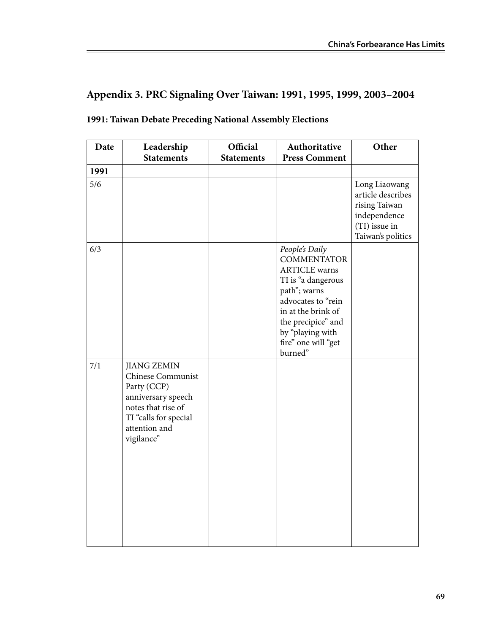# **Appendix 3. PRC Signaling Over Taiwan: 1991, 1995, 1999, 2003–2004**

| Date | Leadership                                                                                                                                                        | Official          | Authoritative                                                                                                                                                                                                              | Other                                                                                                     |
|------|-------------------------------------------------------------------------------------------------------------------------------------------------------------------|-------------------|----------------------------------------------------------------------------------------------------------------------------------------------------------------------------------------------------------------------------|-----------------------------------------------------------------------------------------------------------|
|      | <b>Statements</b>                                                                                                                                                 | <b>Statements</b> | <b>Press Comment</b>                                                                                                                                                                                                       |                                                                                                           |
| 1991 |                                                                                                                                                                   |                   |                                                                                                                                                                                                                            |                                                                                                           |
| 5/6  |                                                                                                                                                                   |                   |                                                                                                                                                                                                                            | Long Liaowang<br>article describes<br>rising Taiwan<br>independence<br>(TI) issue in<br>Taiwan's politics |
| 6/3  |                                                                                                                                                                   |                   | People's Daily<br><b>COMMENTATOR</b><br><b>ARTICLE</b> warns<br>TI is "a dangerous<br>path"; warns<br>advocates to "rein<br>in at the brink of<br>the precipice" and<br>by "playing with<br>fire" one will "get<br>burned" |                                                                                                           |
| 7/1  | <b>JIANG ZEMIN</b><br><b>Chinese Communist</b><br>Party (CCP)<br>anniversary speech<br>notes that rise of<br>TI "calls for special<br>attention and<br>vigilance" |                   |                                                                                                                                                                                                                            |                                                                                                           |

#### **1991: Taiwan Debate Preceding National Assembly Elections**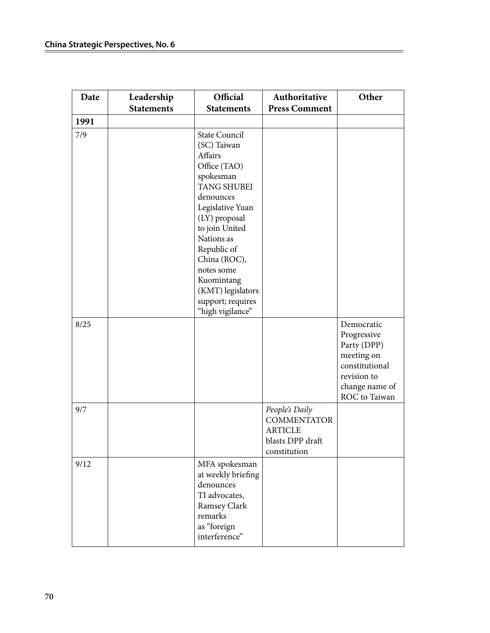| Date | Leadership        | Official                                                                                                                                                                                                                                                                                                     | Authoritative                                                                              | Other                                                                                                                      |
|------|-------------------|--------------------------------------------------------------------------------------------------------------------------------------------------------------------------------------------------------------------------------------------------------------------------------------------------------------|--------------------------------------------------------------------------------------------|----------------------------------------------------------------------------------------------------------------------------|
|      | <b>Statements</b> | <b>Statements</b>                                                                                                                                                                                                                                                                                            | <b>Press Comment</b>                                                                       |                                                                                                                            |
| 1991 |                   |                                                                                                                                                                                                                                                                                                              |                                                                                            |                                                                                                                            |
| 7/9  |                   | <b>State Council</b><br>(SC) Taiwan<br>Affairs<br>Office (TAO)<br>spokesman<br><b>TANG SHUBEI</b><br>denounces<br>Legislative Yuan<br>(LY) proposal<br>to join United<br>Nations as<br>Republic of<br>China (ROC),<br>notes some<br>Kuomintang<br>(KMT) legislators<br>support; requires<br>"high vigilance" |                                                                                            |                                                                                                                            |
| 8/25 |                   |                                                                                                                                                                                                                                                                                                              |                                                                                            | Democratic<br>Progressive<br>Party (DPP)<br>meeting on<br>constitutional<br>revision to<br>change name of<br>ROC to Taiwan |
| 9/7  |                   |                                                                                                                                                                                                                                                                                                              | People's Daily<br><b>COMMENTATOR</b><br><b>ARTICLE</b><br>blasts DPP draft<br>constitution |                                                                                                                            |
| 9/12 |                   | MFA spokesman<br>at weekly briefing<br>denounces<br>TI advocates,<br>Ramsey Clark<br>remarks<br>as "foreign<br>interference"                                                                                                                                                                                 |                                                                                            |                                                                                                                            |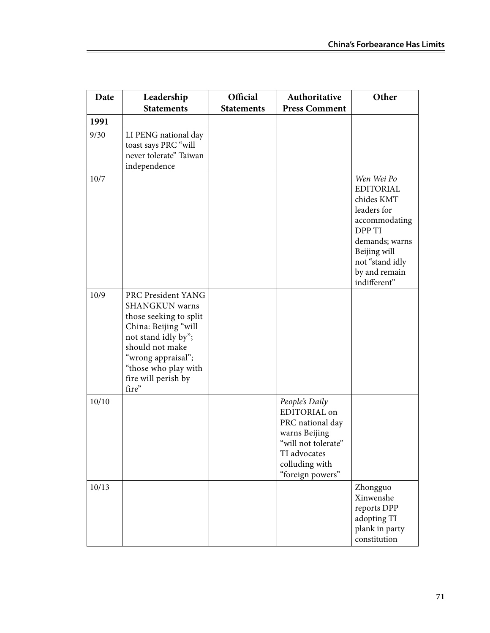| Date  | Leadership<br><b>Statements</b>                                                                                                                                                                                       | Official<br><b>Statements</b> | Authoritative<br><b>Press Comment</b>                                                                                                            | Other                                                                                                                                                                        |
|-------|-----------------------------------------------------------------------------------------------------------------------------------------------------------------------------------------------------------------------|-------------------------------|--------------------------------------------------------------------------------------------------------------------------------------------------|------------------------------------------------------------------------------------------------------------------------------------------------------------------------------|
| 1991  |                                                                                                                                                                                                                       |                               |                                                                                                                                                  |                                                                                                                                                                              |
| 9/30  | LI PENG national day<br>toast says PRC "will<br>never tolerate" Taiwan<br>independence                                                                                                                                |                               |                                                                                                                                                  |                                                                                                                                                                              |
| 10/7  |                                                                                                                                                                                                                       |                               |                                                                                                                                                  | Wen Wei Po<br><b>EDITORIAL</b><br>chides KMT<br>leaders for<br>accommodating<br>DPP TI<br>demands; warns<br>Beijing will<br>not "stand idly<br>by and remain<br>indifferent" |
| 10/9  | PRC President YANG<br><b>SHANGKUN</b> warns<br>those seeking to split<br>China: Beijing "will<br>not stand idly by";<br>should not make<br>"wrong appraisal";<br>"those who play with<br>fire will perish by<br>fire" |                               |                                                                                                                                                  |                                                                                                                                                                              |
| 10/10 |                                                                                                                                                                                                                       |                               | People's Daily<br>EDITORIAL on<br>PRC national day<br>warns Beijing<br>"will not tolerate"<br>TI advocates<br>colluding with<br>"foreign powers" |                                                                                                                                                                              |
| 10/13 |                                                                                                                                                                                                                       |                               |                                                                                                                                                  | Zhongguo<br>Xinwenshe<br>reports DPP<br>adopting TI<br>plank in party<br>constitution                                                                                        |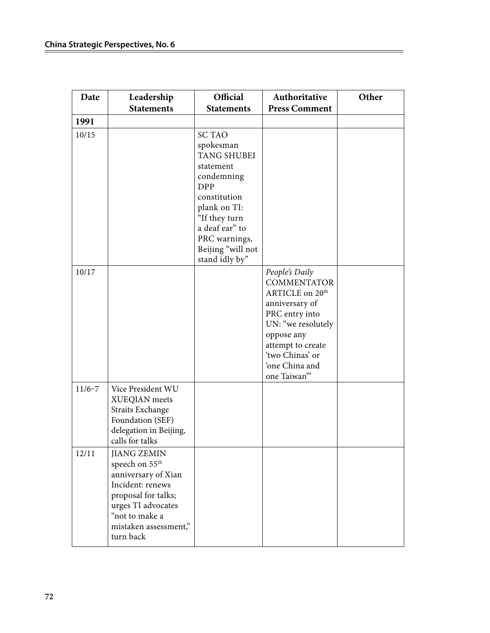| Date       | Leadership                                                                                                                                                                                       | Official                                                                                                                                                                                                             | Authoritative                                                                                                                                                                                                        | Other |
|------------|--------------------------------------------------------------------------------------------------------------------------------------------------------------------------------------------------|----------------------------------------------------------------------------------------------------------------------------------------------------------------------------------------------------------------------|----------------------------------------------------------------------------------------------------------------------------------------------------------------------------------------------------------------------|-------|
|            | <b>Statements</b>                                                                                                                                                                                | <b>Statements</b>                                                                                                                                                                                                    | <b>Press Comment</b>                                                                                                                                                                                                 |       |
| 1991       |                                                                                                                                                                                                  |                                                                                                                                                                                                                      |                                                                                                                                                                                                                      |       |
| 10/15      |                                                                                                                                                                                                  | <b>SC TAO</b><br>spokesman<br><b>TANG SHUBEI</b><br>statement<br>condemning<br><b>DPP</b><br>constitution<br>plank on TI:<br>"If they turn<br>a deaf ear" to<br>PRC warnings,<br>Beijing "will not<br>stand idly by" |                                                                                                                                                                                                                      |       |
| 10/17      |                                                                                                                                                                                                  |                                                                                                                                                                                                                      | People's Daily<br><b>COMMENTATOR</b><br>ARTICLE on 20 <sup>th</sup><br>anniversary of<br>PRC entry into<br>UN: "we resolutely<br>oppose any<br>attempt to create<br>'two Chinas' or<br>'one China and<br>one Taiwan" |       |
| $11/6 - 7$ | Vice President WU<br>XUEQIAN meets<br><b>Straits Exchange</b><br>Foundation (SEF)<br>delegation in Beijing,<br>calls for talks                                                                   |                                                                                                                                                                                                                      |                                                                                                                                                                                                                      |       |
| 12/11      | <b>JIANG ZEMIN</b><br>speech on 55 <sup>th</sup><br>anniversary of Xian<br>Incident: renews<br>proposal for talks;<br>urges TI advocates<br>"not to make a<br>mistaken assessment,"<br>turn back |                                                                                                                                                                                                                      |                                                                                                                                                                                                                      |       |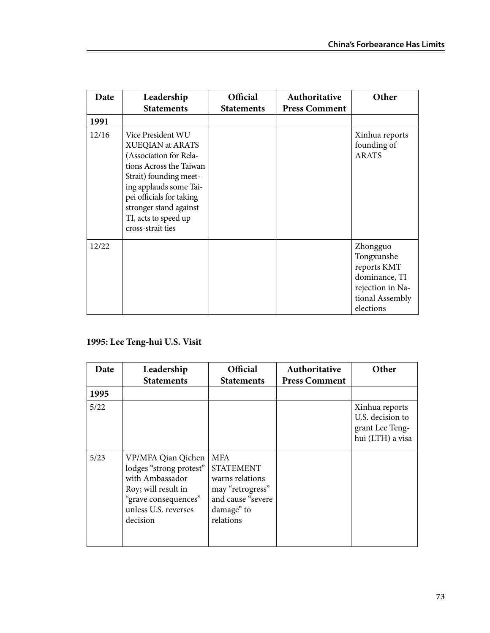| Date  | Leadership<br><b>Statements</b>                                                                                                                                                                                                                   | <b>Official</b><br><b>Statements</b> | Authoritative<br><b>Press Comment</b> | Other                                                                                                      |
|-------|---------------------------------------------------------------------------------------------------------------------------------------------------------------------------------------------------------------------------------------------------|--------------------------------------|---------------------------------------|------------------------------------------------------------------------------------------------------------|
| 1991  |                                                                                                                                                                                                                                                   |                                      |                                       |                                                                                                            |
| 12/16 | Vice President WU<br>XUEQIAN at ARATS<br>(Association for Rela-<br>tions Across the Taiwan<br>Strait) founding meet-<br>ing applauds some Tai-<br>pei officials for taking<br>stronger stand against<br>TI, acts to speed up<br>cross-strait ties |                                      |                                       | Xinhua reports<br>founding of<br><b>ARATS</b>                                                              |
| 12/22 |                                                                                                                                                                                                                                                   |                                      |                                       | Zhongguo<br>Tongxunshe<br>reports KMT<br>dominance, TI<br>rejection in Na-<br>tional Assembly<br>elections |

## **1995: Lee Teng-hui U.S. Visit**

| Date | Leadership<br><b>Statements</b>                                                                                                                     | <b>Official</b><br><b>Statements</b>                                                                                  | <b>Authoritative</b><br><b>Press Comment</b> | Other                                                                     |
|------|-----------------------------------------------------------------------------------------------------------------------------------------------------|-----------------------------------------------------------------------------------------------------------------------|----------------------------------------------|---------------------------------------------------------------------------|
| 1995 |                                                                                                                                                     |                                                                                                                       |                                              |                                                                           |
| 5/22 |                                                                                                                                                     |                                                                                                                       |                                              | Xinhua reports<br>U.S. decision to<br>grant Lee Teng-<br>hui (LTH) a visa |
| 5/23 | VP/MFA Qian Qichen<br>lodges "strong protest"<br>with Ambassador<br>Roy; will result in<br>"grave consequences"<br>unless U.S. reverses<br>decision | <b>MFA</b><br><b>STATEMENT</b><br>warns relations<br>may "retrogress"<br>and cause "severe<br>damage" to<br>relations |                                              |                                                                           |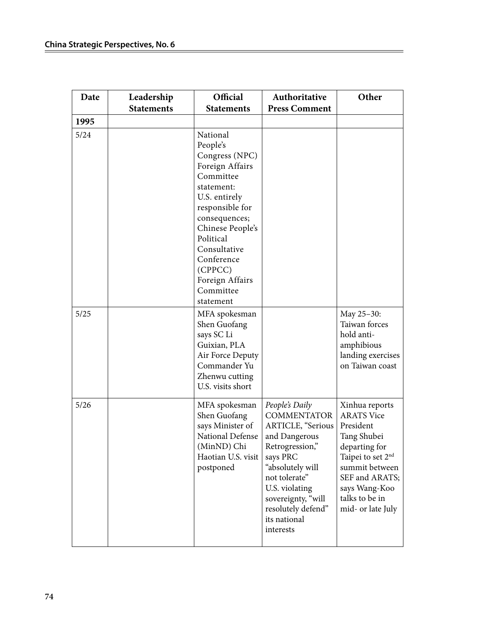| Date   | Leadership        | Official                                                                                                                                                                                                                                                         | Authoritative                                                                                                                                                                                                                             | Other                                                                                                                                                                                                         |
|--------|-------------------|------------------------------------------------------------------------------------------------------------------------------------------------------------------------------------------------------------------------------------------------------------------|-------------------------------------------------------------------------------------------------------------------------------------------------------------------------------------------------------------------------------------------|---------------------------------------------------------------------------------------------------------------------------------------------------------------------------------------------------------------|
|        | <b>Statements</b> | <b>Statements</b>                                                                                                                                                                                                                                                | <b>Press Comment</b>                                                                                                                                                                                                                      |                                                                                                                                                                                                               |
| 1995   |                   |                                                                                                                                                                                                                                                                  |                                                                                                                                                                                                                                           |                                                                                                                                                                                                               |
| 5/24   |                   | National<br>People's<br>Congress (NPC)<br>Foreign Affairs<br>Committee<br>statement:<br>U.S. entirely<br>responsible for<br>consequences;<br>Chinese People's<br>Political<br>Consultative<br>Conference<br>(CPPCC)<br>Foreign Affairs<br>Committee<br>statement |                                                                                                                                                                                                                                           |                                                                                                                                                                                                               |
| $5/25$ |                   | MFA spokesman<br>Shen Guofang<br>says SC Li<br>Guixian, PLA<br>Air Force Deputy<br>Commander Yu<br>Zhenwu cutting<br>U.S. visits short                                                                                                                           |                                                                                                                                                                                                                                           | May 25-30:<br>Taiwan forces<br>hold anti-<br>amphibious<br>landing exercises<br>on Taiwan coast                                                                                                               |
| 5/26   |                   | MFA spokesman<br>Shen Guofang<br>says Minister of<br>National Defense<br>(MinND) Chi<br>Haotian U.S. visit<br>postponed                                                                                                                                          | People's Daily<br><b>COMMENTATOR</b><br>ARTICLE, "Serious<br>and Dangerous<br>Retrogression,"<br>says PRC<br>"absolutely will<br>not tolerate"<br>U.S. violating<br>sovereignty, "will<br>resolutely defend"<br>its national<br>interests | Xinhua reports<br><b>ARATS Vice</b><br>President<br>Tang Shubei<br>departing for<br>Taipei to set 2 <sup>nd</sup><br>summit between<br>SEF and ARATS;<br>says Wang-Koo<br>talks to be in<br>mid- or late July |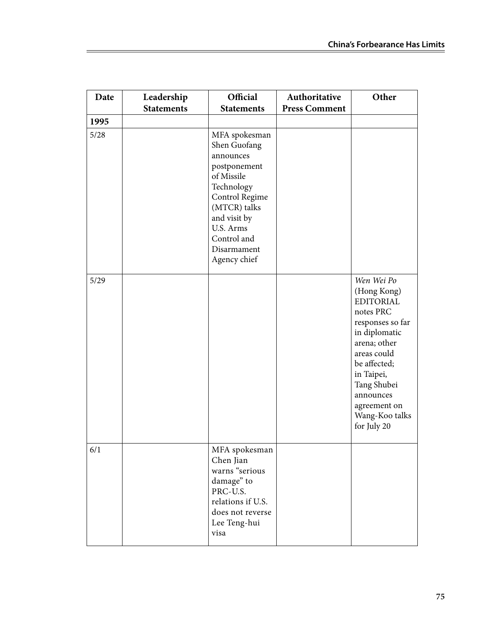| Date         | Leadership<br><b>Statements</b> | Official<br><b>Statements</b>                                                                                                                                                                       | Authoritative<br><b>Press Comment</b> | Other                                                                                                                                                                                                                                     |
|--------------|---------------------------------|-----------------------------------------------------------------------------------------------------------------------------------------------------------------------------------------------------|---------------------------------------|-------------------------------------------------------------------------------------------------------------------------------------------------------------------------------------------------------------------------------------------|
|              |                                 |                                                                                                                                                                                                     |                                       |                                                                                                                                                                                                                                           |
| 1995<br>5/28 |                                 | MFA spokesman<br>Shen Guofang<br>announces<br>postponement<br>of Missile<br>Technology<br>Control Regime<br>(MTCR) talks<br>and visit by<br>U.S. Arms<br>Control and<br>Disarmament<br>Agency chief |                                       |                                                                                                                                                                                                                                           |
| 5/29         |                                 |                                                                                                                                                                                                     |                                       | Wen Wei Po<br>(Hong Kong)<br><b>EDITORIAL</b><br>notes PRC<br>responses so far<br>in diplomatic<br>arena; other<br>areas could<br>be affected;<br>in Taipei,<br>Tang Shubei<br>announces<br>agreement on<br>Wang-Koo talks<br>for July 20 |
| 6/1          |                                 | MFA spokesman<br>Chen Jian<br>warns "serious<br>damage" to<br>PRC-U.S.<br>relations if U.S.<br>does not reverse<br>Lee Teng-hui<br>visa                                                             |                                       |                                                                                                                                                                                                                                           |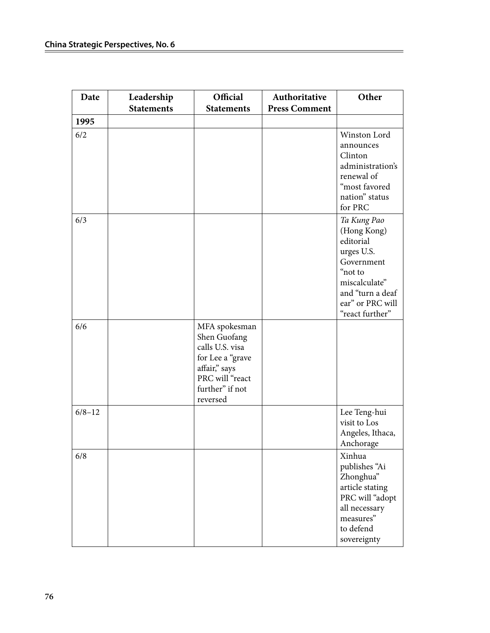| Date       | Leadership        | Official                                                                                                                                | Authoritative        | Other                                                                                                                                                      |
|------------|-------------------|-----------------------------------------------------------------------------------------------------------------------------------------|----------------------|------------------------------------------------------------------------------------------------------------------------------------------------------------|
|            | <b>Statements</b> | <b>Statements</b>                                                                                                                       | <b>Press Comment</b> |                                                                                                                                                            |
| 1995       |                   |                                                                                                                                         |                      |                                                                                                                                                            |
| 6/2        |                   |                                                                                                                                         |                      | Winston Lord<br>announces<br>Clinton<br>administration's<br>renewal of<br>"most favored<br>nation" status<br>for PRC                                       |
| 6/3        |                   |                                                                                                                                         |                      | Ta Kung Pao<br>(Hong Kong)<br>editorial<br>urges U.S.<br>Government<br>"not to<br>miscalculate"<br>and "turn a deaf<br>ear" or PRC will<br>"react further" |
| 6/6        |                   | MFA spokesman<br>Shen Guofang<br>calls U.S. visa<br>for Lee a "grave<br>affair," says<br>PRC will "react<br>further" if not<br>reversed |                      |                                                                                                                                                            |
| $6/8 - 12$ |                   |                                                                                                                                         |                      | Lee Teng-hui<br>visit to Los<br>Angeles, Ithaca,<br>Anchorage                                                                                              |
| 6/8        |                   |                                                                                                                                         |                      | Xinhua<br>publishes "Ai<br>Zhonghua"<br>article stating<br>PRC will "adopt<br>all necessary<br>measures"<br>to defend<br>sovereignty                       |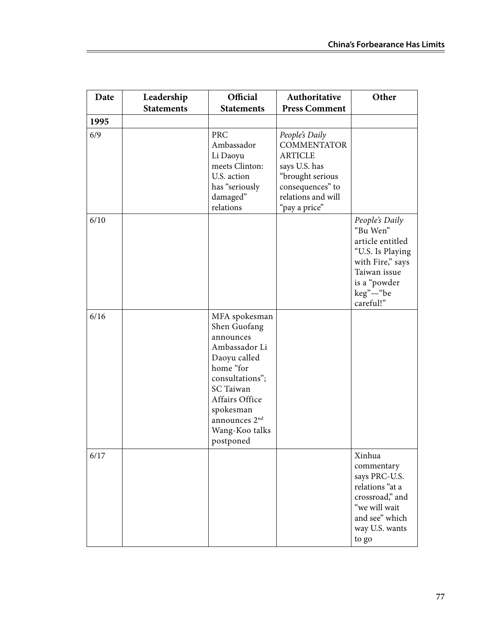| Date | Leadership<br><b>Statements</b> | Official<br><b>Statements</b>                                                                                                                                                                                              | Authoritative<br><b>Press Comment</b>                                                                                                                  | Other                                                                                                                                           |
|------|---------------------------------|----------------------------------------------------------------------------------------------------------------------------------------------------------------------------------------------------------------------------|--------------------------------------------------------------------------------------------------------------------------------------------------------|-------------------------------------------------------------------------------------------------------------------------------------------------|
| 1995 |                                 |                                                                                                                                                                                                                            |                                                                                                                                                        |                                                                                                                                                 |
| 6/9  |                                 | <b>PRC</b><br>Ambassador<br>Li Daoyu<br>meets Clinton:<br>U.S. action<br>has "seriously<br>damaged"<br>relations                                                                                                           | People's Daily<br><b>COMMENTATOR</b><br><b>ARTICLE</b><br>says U.S. has<br>"brought serious<br>consequences" to<br>relations and will<br>"pay a price" |                                                                                                                                                 |
| 6/10 |                                 |                                                                                                                                                                                                                            |                                                                                                                                                        | People's Daily<br>"Bu Wen"<br>article entitled<br>"U.S. Is Playing<br>with Fire," says<br>Taiwan issue<br>is a "powder<br>keg"-"be<br>careful!" |
| 6/16 |                                 | MFA spokesman<br>Shen Guofang<br>announces<br>Ambassador Li<br>Daoyu called<br>home "for<br>consultations";<br><b>SC</b> Taiwan<br>Affairs Office<br>spokesman<br>announces 2 <sup>nd</sup><br>Wang-Koo talks<br>postponed |                                                                                                                                                        |                                                                                                                                                 |
| 6/17 |                                 |                                                                                                                                                                                                                            |                                                                                                                                                        | Xinhua<br>commentary<br>says PRC-U.S.<br>relations "at a<br>crossroad," and<br>"we will wait<br>and see" which<br>way U.S. wants<br>to go       |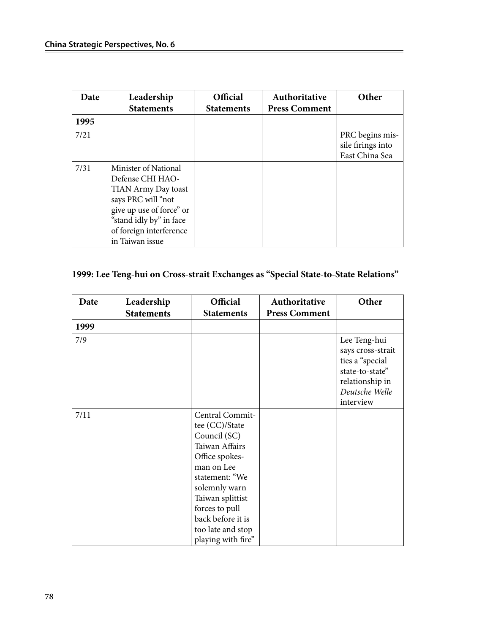| Date | Leadership<br><b>Statements</b>                                                                                                                                                            | Official<br><b>Statements</b> | Authoritative<br><b>Press Comment</b> | Other                                                  |
|------|--------------------------------------------------------------------------------------------------------------------------------------------------------------------------------------------|-------------------------------|---------------------------------------|--------------------------------------------------------|
| 1995 |                                                                                                                                                                                            |                               |                                       |                                                        |
| 7/21 |                                                                                                                                                                                            |                               |                                       | PRC begins mis-<br>sile firings into<br>East China Sea |
| 7/31 | Minister of National<br>Defense CHI HAO-<br>TIAN Army Day toast<br>says PRC will "not<br>give up use of force" or<br>"stand idly by" in face<br>of foreign interference<br>in Taiwan issue |                               |                                       |                                                        |

### **1999: Lee Teng-hui on Cross-strait Exchanges as "Special State-to-State Relations"**

| Date | Leadership        | Official                                                                                                                                                                                                                                     | Authoritative        | Other                                                                                                                     |
|------|-------------------|----------------------------------------------------------------------------------------------------------------------------------------------------------------------------------------------------------------------------------------------|----------------------|---------------------------------------------------------------------------------------------------------------------------|
|      | <b>Statements</b> | <b>Statements</b>                                                                                                                                                                                                                            | <b>Press Comment</b> |                                                                                                                           |
| 1999 |                   |                                                                                                                                                                                                                                              |                      |                                                                                                                           |
| 7/9  |                   |                                                                                                                                                                                                                                              |                      | Lee Teng-hui<br>says cross-strait<br>ties a "special<br>state-to-state"<br>relationship in<br>Deutsche Welle<br>interview |
| 7/11 |                   | Central Commit-<br>tee (CC)/State<br>Council (SC)<br>Taiwan Affairs<br>Office spokes-<br>man on Lee<br>statement: "We<br>solemnly warn<br>Taiwan splittist<br>forces to pull<br>back before it is<br>too late and stop<br>playing with fire" |                      |                                                                                                                           |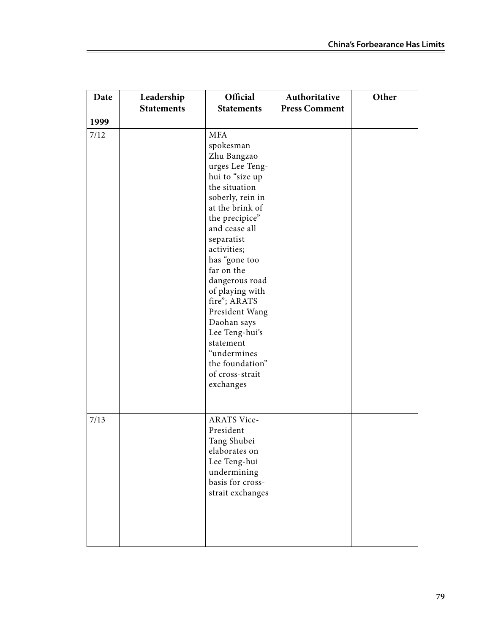| Date | Leadership        | Official                                                                                                                                                                                                                                                                                                                                                                                                                   | Authoritative        | Other |
|------|-------------------|----------------------------------------------------------------------------------------------------------------------------------------------------------------------------------------------------------------------------------------------------------------------------------------------------------------------------------------------------------------------------------------------------------------------------|----------------------|-------|
|      | <b>Statements</b> | <b>Statements</b>                                                                                                                                                                                                                                                                                                                                                                                                          | <b>Press Comment</b> |       |
| 1999 |                   |                                                                                                                                                                                                                                                                                                                                                                                                                            |                      |       |
| 7/12 |                   | <b>MFA</b><br>spokesman<br>Zhu Bangzao<br>urges Lee Teng-<br>hui to "size up<br>the situation<br>soberly, rein in<br>at the brink of<br>the precipice"<br>and cease all<br>separatist<br>activities;<br>has "gone too<br>far on the<br>dangerous road<br>of playing with<br>fire"; ARATS<br>President Wang<br>Daohan says<br>Lee Teng-hui's<br>statement<br>"undermines<br>the foundation"<br>of cross-strait<br>exchanges |                      |       |
| 7/13 |                   | <b>ARATS Vice-</b><br>President<br>Tang Shubei<br>elaborates on<br>Lee Teng-hui<br>undermining<br>basis for cross-<br>strait exchanges                                                                                                                                                                                                                                                                                     |                      |       |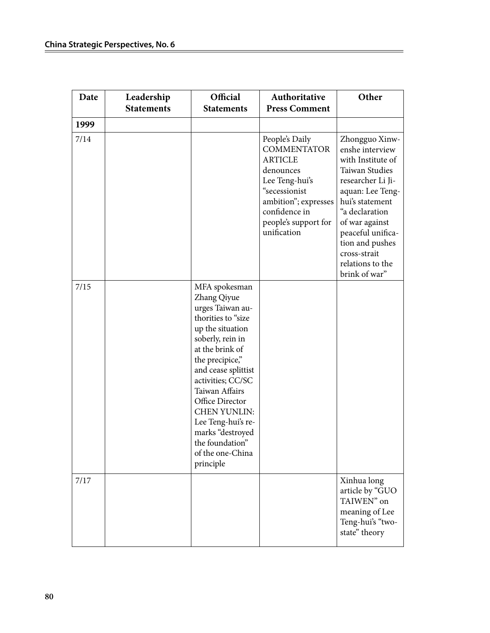| Date | Leadership        | Official                                                                                                                                                                                                                                                                                                                                                   | Authoritative                                                                                                                                                                          | Other                                                                                                                                                                                                                                                                 |
|------|-------------------|------------------------------------------------------------------------------------------------------------------------------------------------------------------------------------------------------------------------------------------------------------------------------------------------------------------------------------------------------------|----------------------------------------------------------------------------------------------------------------------------------------------------------------------------------------|-----------------------------------------------------------------------------------------------------------------------------------------------------------------------------------------------------------------------------------------------------------------------|
|      | <b>Statements</b> | <b>Statements</b>                                                                                                                                                                                                                                                                                                                                          | <b>Press Comment</b>                                                                                                                                                                   |                                                                                                                                                                                                                                                                       |
| 1999 |                   |                                                                                                                                                                                                                                                                                                                                                            |                                                                                                                                                                                        |                                                                                                                                                                                                                                                                       |
| 7/14 |                   |                                                                                                                                                                                                                                                                                                                                                            | People's Daily<br><b>COMMENTATOR</b><br><b>ARTICLE</b><br>denounces<br>Lee Teng-hui's<br>"secessionist<br>ambition"; expresses<br>confidence in<br>people's support for<br>unification | Zhongguo Xinw-<br>enshe interview<br>with Institute of<br>Taiwan Studies<br>researcher Li Ji-<br>aquan: Lee Teng-<br>hui's statement<br>"a declaration<br>of war against<br>peaceful unifica-<br>tion and pushes<br>cross-strait<br>relations to the<br>brink of war" |
| 7/15 |                   | MFA spokesman<br>Zhang Qiyue<br>urges Taiwan au-<br>thorities to "size<br>up the situation<br>soberly, rein in<br>at the brink of<br>the precipice,"<br>and cease splittist<br>activities; CC/SC<br>Taiwan Affairs<br>Office Director<br><b>CHEN YUNLIN:</b><br>Lee Teng-hui's re-<br>marks "destroyed<br>the foundation"<br>of the one-China<br>principle |                                                                                                                                                                                        |                                                                                                                                                                                                                                                                       |
| 7/17 |                   |                                                                                                                                                                                                                                                                                                                                                            |                                                                                                                                                                                        | Xinhua long<br>article by "GUO<br>TAIWEN" on<br>meaning of Lee<br>Teng-hui's "two-<br>state" theory                                                                                                                                                                   |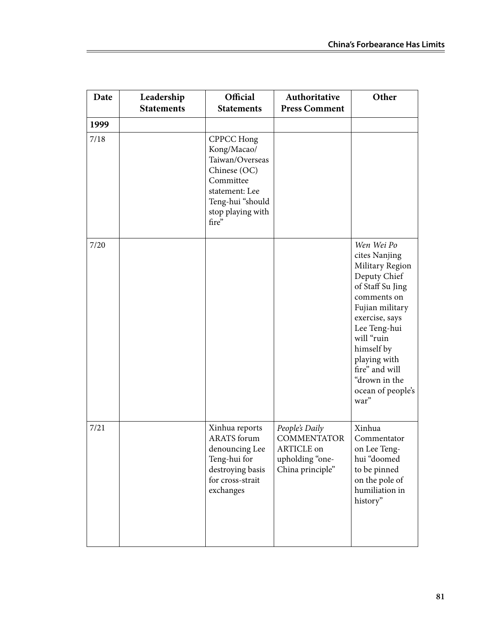| Date | Leadership<br><b>Statements</b> | Official<br><b>Statements</b>                                                                                                                        | Authoritative<br><b>Press Comment</b>                                                     | Other                                                                                                                                                                                                                                                              |
|------|---------------------------------|------------------------------------------------------------------------------------------------------------------------------------------------------|-------------------------------------------------------------------------------------------|--------------------------------------------------------------------------------------------------------------------------------------------------------------------------------------------------------------------------------------------------------------------|
| 1999 |                                 |                                                                                                                                                      |                                                                                           |                                                                                                                                                                                                                                                                    |
| 7/18 |                                 | <b>CPPCC Hong</b><br>Kong/Macao/<br>Taiwan/Overseas<br>Chinese (OC)<br>Committee<br>statement: Lee<br>Teng-hui "should<br>stop playing with<br>fire" |                                                                                           |                                                                                                                                                                                                                                                                    |
| 7/20 |                                 |                                                                                                                                                      |                                                                                           | Wen Wei Po<br>cites Nanjing<br>Military Region<br>Deputy Chief<br>of Staff Su Jing<br>comments on<br>Fujian military<br>exercise, says<br>Lee Teng-hui<br>will "ruin<br>himself by<br>playing with<br>fire" and will<br>"drown in the<br>ocean of people's<br>war" |
| 7/21 |                                 | Xinhua reports<br><b>ARATS</b> forum<br>denouncing Lee<br>Teng-hui for<br>destroying basis<br>for cross-strait<br>exchanges                          | People's Daily<br><b>COMMENTATOR</b><br>ARTICLE on<br>upholding "one-<br>China principle" | Xinhua<br>Commentator<br>on Lee Teng-<br>hui "doomed<br>to be pinned<br>on the pole of<br>humiliation in<br>history"                                                                                                                                               |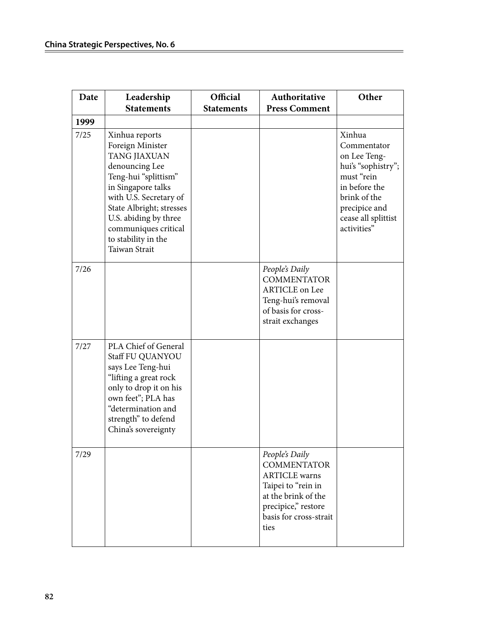| Date | Leadership<br><b>Statements</b>                                                                                                                                                                                                                                   | Official<br><b>Statements</b> | Authoritative<br><b>Press Comment</b>                                                                                                                              | Other                                                                                                                                                             |
|------|-------------------------------------------------------------------------------------------------------------------------------------------------------------------------------------------------------------------------------------------------------------------|-------------------------------|--------------------------------------------------------------------------------------------------------------------------------------------------------------------|-------------------------------------------------------------------------------------------------------------------------------------------------------------------|
| 1999 |                                                                                                                                                                                                                                                                   |                               |                                                                                                                                                                    |                                                                                                                                                                   |
| 7/25 | Xinhua reports<br>Foreign Minister<br>TANG JIAXUAN<br>denouncing Lee<br>Teng-hui "splittism"<br>in Singapore talks<br>with U.S. Secretary of<br>State Albright; stresses<br>U.S. abiding by three<br>communiques critical<br>to stability in the<br>Taiwan Strait |                               |                                                                                                                                                                    | Xinhua<br>Commentator<br>on Lee Teng-<br>hui's "sophistry";<br>must "rein<br>in before the<br>brink of the<br>precipice and<br>cease all splittist<br>activities" |
| 7/26 |                                                                                                                                                                                                                                                                   |                               | People's Daily<br><b>COMMENTATOR</b><br><b>ARTICLE</b> on Lee<br>Teng-hui's removal<br>of basis for cross-<br>strait exchanges                                     |                                                                                                                                                                   |
| 7/27 | PLA Chief of General<br>Staff FU QUANYOU<br>says Lee Teng-hui<br>"lifting a great rock<br>only to drop it on his<br>own feet"; PLA has<br>"determination and<br>strength" to defend<br>China's sovereignty                                                        |                               |                                                                                                                                                                    |                                                                                                                                                                   |
| 7/29 |                                                                                                                                                                                                                                                                   |                               | People's Daily<br><b>COMMENTATOR</b><br><b>ARTICLE</b> warns<br>Taipei to "rein in<br>at the brink of the<br>precipice," restore<br>basis for cross-strait<br>ties |                                                                                                                                                                   |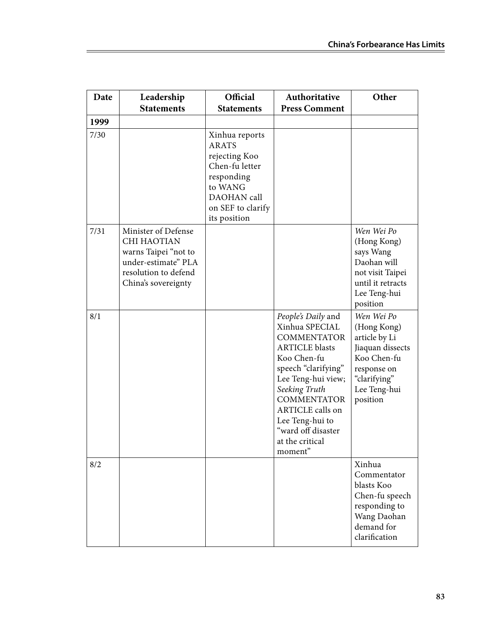| Date | Leadership<br><b>Statements</b>                                                                                                  | Official<br><b>Statements</b>                                                                                                                  | Authoritative<br><b>Press Comment</b>                                                                                                                                                                                                                                             | Other                                                                                                                                    |
|------|----------------------------------------------------------------------------------------------------------------------------------|------------------------------------------------------------------------------------------------------------------------------------------------|-----------------------------------------------------------------------------------------------------------------------------------------------------------------------------------------------------------------------------------------------------------------------------------|------------------------------------------------------------------------------------------------------------------------------------------|
| 1999 |                                                                                                                                  |                                                                                                                                                |                                                                                                                                                                                                                                                                                   |                                                                                                                                          |
| 7/30 |                                                                                                                                  | Xinhua reports<br><b>ARATS</b><br>rejecting Koo<br>Chen-fu letter<br>responding<br>to WANG<br>DAOHAN call<br>on SEF to clarify<br>its position |                                                                                                                                                                                                                                                                                   |                                                                                                                                          |
| 7/31 | Minister of Defense<br>CHI HAOTIAN<br>warns Taipei "not to<br>under-estimate" PLA<br>resolution to defend<br>China's sovereignty |                                                                                                                                                |                                                                                                                                                                                                                                                                                   | Wen Wei Po<br>(Hong Kong)<br>says Wang<br>Daohan will<br>not visit Taipei<br>until it retracts<br>Lee Teng-hui<br>position               |
| 8/1  |                                                                                                                                  |                                                                                                                                                | People's Daily and<br>Xinhua SPECIAL<br><b>COMMENTATOR</b><br><b>ARTICLE</b> blasts<br>Koo Chen-fu<br>speech "clarifying"<br>Lee Teng-hui view;<br>Seeking Truth<br><b>COMMENTATOR</b><br>ARTICLE calls on<br>Lee Teng-hui to<br>"ward off disaster<br>at the critical<br>moment" | Wen Wei Po<br>(Hong Kong)<br>article by Li<br>Jiaquan dissects<br>Koo Chen-fu<br>response on<br>"clarifying"<br>Lee Teng-hui<br>position |
| 8/2  |                                                                                                                                  |                                                                                                                                                |                                                                                                                                                                                                                                                                                   | Xinhua<br>Commentator<br>blasts Koo<br>Chen-fu speech<br>responding to<br>Wang Daohan<br>demand for<br>clarification                     |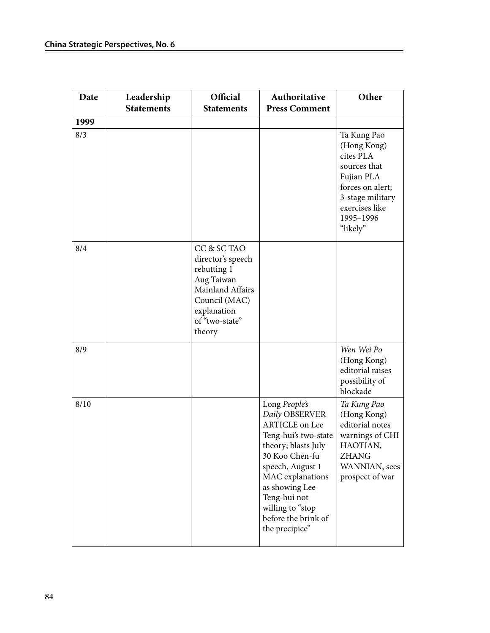| Date | Leadership        | Official                                                                                                                                      | Authoritative                                                                                                                                                                                                                                                    | Other                                                                                                                                                    |
|------|-------------------|-----------------------------------------------------------------------------------------------------------------------------------------------|------------------------------------------------------------------------------------------------------------------------------------------------------------------------------------------------------------------------------------------------------------------|----------------------------------------------------------------------------------------------------------------------------------------------------------|
|      | <b>Statements</b> | <b>Statements</b>                                                                                                                             | <b>Press Comment</b>                                                                                                                                                                                                                                             |                                                                                                                                                          |
| 1999 |                   |                                                                                                                                               |                                                                                                                                                                                                                                                                  |                                                                                                                                                          |
| 8/3  |                   |                                                                                                                                               |                                                                                                                                                                                                                                                                  | Ta Kung Pao<br>(Hong Kong)<br>cites PLA<br>sources that<br>Fujian PLA<br>forces on alert;<br>3-stage military<br>exercises like<br>1995-1996<br>"likely" |
| 8/4  |                   | CC & SC TAO<br>director's speech<br>rebutting 1<br>Aug Taiwan<br>Mainland Affairs<br>Council (MAC)<br>explanation<br>of "two-state"<br>theory |                                                                                                                                                                                                                                                                  |                                                                                                                                                          |
| 8/9  |                   |                                                                                                                                               |                                                                                                                                                                                                                                                                  | Wen Wei Po<br>(Hong Kong)<br>editorial raises<br>possibility of<br>blockade                                                                              |
| 8/10 |                   |                                                                                                                                               | Long People's<br>Daily OBSERVER<br><b>ARTICLE</b> on Lee<br>Teng-hui's two-state<br>theory; blasts July<br>30 Koo Chen-fu<br>speech, August 1<br>MAC explanations<br>as showing Lee<br>Teng-hui not<br>willing to "stop<br>before the brink of<br>the precipice" | Ta Kung Pao<br>(Hong Kong)<br>editorial notes<br>warnings of CHI<br>HAOTIAN,<br><b>ZHANG</b><br>WANNIAN, sees<br>prospect of war                         |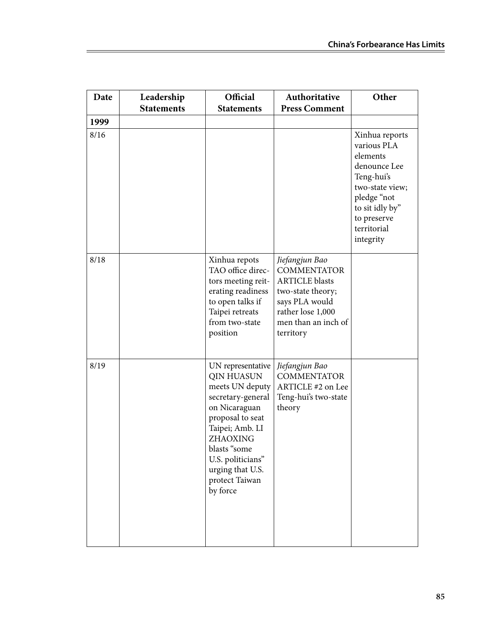| Date | Leadership        | Official                                                                                                                                                                                                                                  | Authoritative                                                                                                                                                 | Other                                                                                                                                                                   |
|------|-------------------|-------------------------------------------------------------------------------------------------------------------------------------------------------------------------------------------------------------------------------------------|---------------------------------------------------------------------------------------------------------------------------------------------------------------|-------------------------------------------------------------------------------------------------------------------------------------------------------------------------|
|      | <b>Statements</b> | <b>Statements</b>                                                                                                                                                                                                                         | <b>Press Comment</b>                                                                                                                                          |                                                                                                                                                                         |
| 1999 |                   |                                                                                                                                                                                                                                           |                                                                                                                                                               |                                                                                                                                                                         |
| 8/16 |                   |                                                                                                                                                                                                                                           |                                                                                                                                                               | Xinhua reports<br>various PLA<br>elements<br>denounce Lee<br>Teng-hui's<br>two-state view;<br>pledge "not<br>to sit idly by"<br>to preserve<br>territorial<br>integrity |
| 8/18 |                   | Xinhua repots<br>TAO office direc-<br>tors meeting reit-<br>erating readiness<br>to open talks if<br>Taipei retreats<br>from two-state<br>position                                                                                        | Jiefangjun Bao<br><b>COMMENTATOR</b><br><b>ARTICLE</b> blasts<br>two-state theory;<br>says PLA would<br>rather lose 1,000<br>men than an inch of<br>territory |                                                                                                                                                                         |
| 8/19 |                   | UN representative<br><b>QIN HUASUN</b><br>meets UN deputy<br>secretary-general<br>on Nicaraguan<br>proposal to seat<br>Taipei; Amb. LI<br>ZHAOXING<br>blasts "some<br>U.S. politicians"<br>urging that U.S.<br>protect Taiwan<br>by force | Jiefangjun Bao<br><b>COMMENTATOR</b><br>ARTICLE #2 on Lee<br>Teng-hui's two-state<br>theory                                                                   |                                                                                                                                                                         |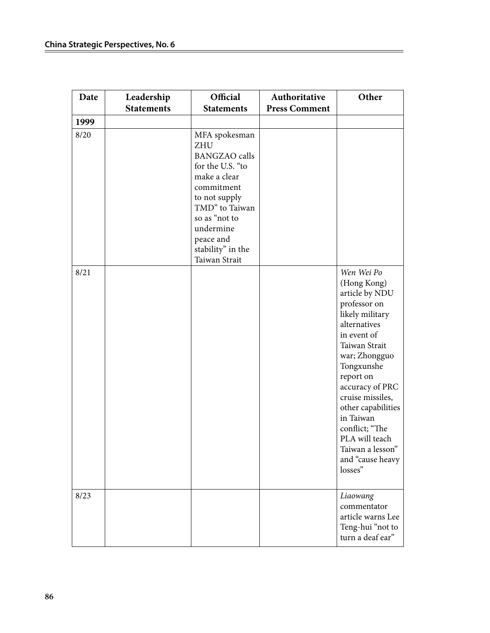| Date | Leadership        | Official                                                                                                                                                                                                                  | Authoritative        | Other                                                                                                                                                                                                                                                                                                                                       |
|------|-------------------|---------------------------------------------------------------------------------------------------------------------------------------------------------------------------------------------------------------------------|----------------------|---------------------------------------------------------------------------------------------------------------------------------------------------------------------------------------------------------------------------------------------------------------------------------------------------------------------------------------------|
|      | <b>Statements</b> | <b>Statements</b>                                                                                                                                                                                                         | <b>Press Comment</b> |                                                                                                                                                                                                                                                                                                                                             |
| 1999 |                   |                                                                                                                                                                                                                           |                      |                                                                                                                                                                                                                                                                                                                                             |
| 8/20 |                   | MFA spokesman<br><b>ZHU</b><br><b>BANGZAO</b> calls<br>for the U.S. "to<br>make a clear<br>commitment<br>to not supply<br>TMD" to Taiwan<br>so as "not to<br>undermine<br>peace and<br>stability" in the<br>Taiwan Strait |                      |                                                                                                                                                                                                                                                                                                                                             |
| 8/21 |                   |                                                                                                                                                                                                                           |                      | Wen Wei Po<br>(Hong Kong)<br>article by NDU<br>professor on<br>likely military<br>alternatives<br>in event of<br>Taiwan Strait<br>war; Zhongguo<br>Tongxunshe<br>report on<br>accuracy of PRC<br>cruise missiles,<br>other capabilities<br>in Taiwan<br>conflict; "The<br>PLA will teach<br>Taiwan a lesson"<br>and "cause heavy<br>losses" |
| 8/23 |                   |                                                                                                                                                                                                                           |                      | Liaowang<br>commentator<br>article warns Lee<br>Teng-hui "not to<br>turn a deaf ear"                                                                                                                                                                                                                                                        |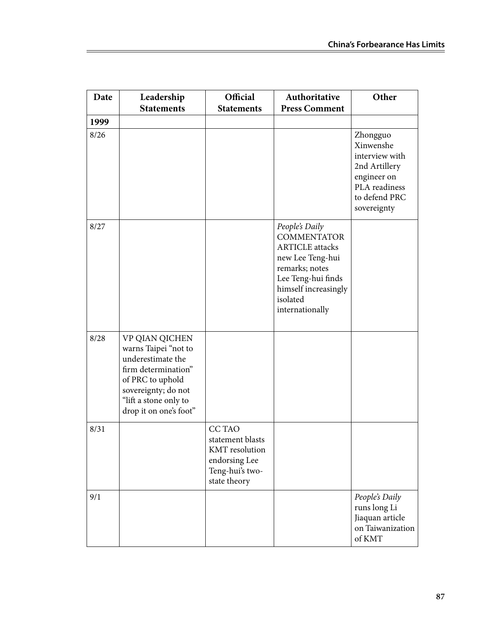| Date | Leadership<br><b>Statements</b>                                                                                                                                                  | Official<br><b>Statements</b>                                                                                 | Authoritative<br><b>Press Comment</b>                                                                                                                                             | Other                                                                                                                    |
|------|----------------------------------------------------------------------------------------------------------------------------------------------------------------------------------|---------------------------------------------------------------------------------------------------------------|-----------------------------------------------------------------------------------------------------------------------------------------------------------------------------------|--------------------------------------------------------------------------------------------------------------------------|
| 1999 |                                                                                                                                                                                  |                                                                                                               |                                                                                                                                                                                   |                                                                                                                          |
| 8/26 |                                                                                                                                                                                  |                                                                                                               |                                                                                                                                                                                   | Zhongguo<br>Xinwenshe<br>interview with<br>2nd Artillery<br>engineer on<br>PLA readiness<br>to defend PRC<br>sovereignty |
| 8/27 |                                                                                                                                                                                  |                                                                                                               | People's Daily<br><b>COMMENTATOR</b><br><b>ARTICLE</b> attacks<br>new Lee Teng-hui<br>remarks; notes<br>Lee Teng-hui finds<br>himself increasingly<br>isolated<br>internationally |                                                                                                                          |
| 8/28 | VP QIAN QICHEN<br>warns Taipei "not to<br>underestimate the<br>firm determination"<br>of PRC to uphold<br>sovereignty; do not<br>"lift a stone only to<br>drop it on one's foot" |                                                                                                               |                                                                                                                                                                                   |                                                                                                                          |
| 8/31 |                                                                                                                                                                                  | <b>CCTAO</b><br>statement blasts<br><b>KMT</b> resolution<br>endorsing Lee<br>Teng-hui's two-<br>state theory |                                                                                                                                                                                   |                                                                                                                          |
| 9/1  |                                                                                                                                                                                  |                                                                                                               |                                                                                                                                                                                   | People's Daily<br>runs long Li<br>Jiaquan article<br>on Taiwanization<br>of KMT                                          |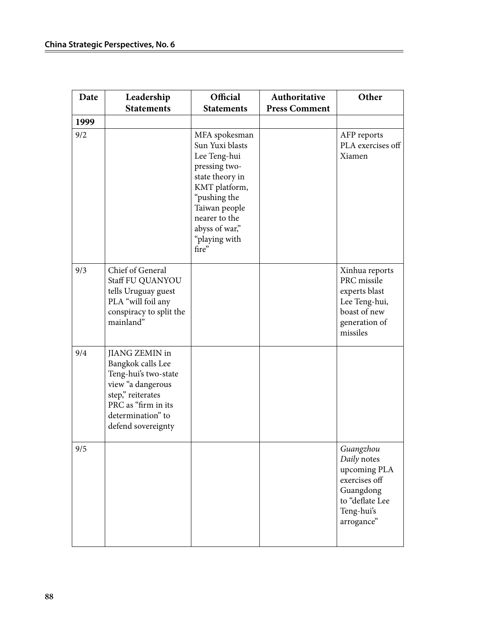| Date | Leadership<br><b>Statements</b>                                                                                                                                                | Official<br><b>Statements</b>                                                                                                                                                                       | Authoritative<br><b>Press Comment</b> | Other                                                                                                                 |
|------|--------------------------------------------------------------------------------------------------------------------------------------------------------------------------------|-----------------------------------------------------------------------------------------------------------------------------------------------------------------------------------------------------|---------------------------------------|-----------------------------------------------------------------------------------------------------------------------|
| 1999 |                                                                                                                                                                                |                                                                                                                                                                                                     |                                       |                                                                                                                       |
| 9/2  |                                                                                                                                                                                | MFA spokesman<br>Sun Yuxi blasts<br>Lee Teng-hui<br>pressing two-<br>state theory in<br>KMT platform,<br>"pushing the<br>Taiwan people<br>nearer to the<br>abyss of war,"<br>"playing with<br>fire" |                                       | AFP reports<br>PLA exercises off<br>Xiamen                                                                            |
| 9/3  | Chief of General<br>Staff FU QUANYOU<br>tells Uruguay guest<br>PLA "will foil any<br>conspiracy to split the<br>mainland"                                                      |                                                                                                                                                                                                     |                                       | Xinhua reports<br>PRC missile<br>experts blast<br>Lee Teng-hui,<br>boast of new<br>generation of<br>missiles          |
| 9/4  | <b>JIANG ZEMIN in</b><br>Bangkok calls Lee<br>Teng-hui's two-state<br>view "a dangerous<br>step," reiterates<br>PRC as "firm in its<br>determination" to<br>defend sovereignty |                                                                                                                                                                                                     |                                       |                                                                                                                       |
| 9/5  |                                                                                                                                                                                |                                                                                                                                                                                                     |                                       | Guangzhou<br>Daily notes<br>upcoming PLA<br>exercises off<br>Guangdong<br>to "deflate Lee<br>Teng-hui's<br>arrogance" |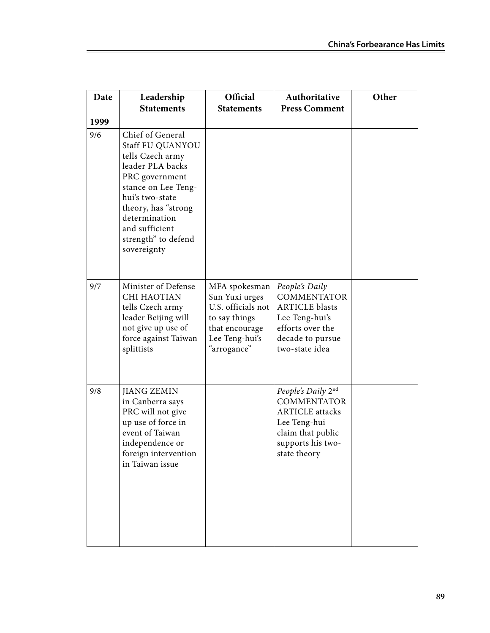| Date | Leadership<br><b>Statements</b>                                                                                                                                                                                                          | Official<br><b>Statements</b>                                                                                             | Authoritative<br><b>Press Comment</b>                                                                                                        | Other |
|------|------------------------------------------------------------------------------------------------------------------------------------------------------------------------------------------------------------------------------------------|---------------------------------------------------------------------------------------------------------------------------|----------------------------------------------------------------------------------------------------------------------------------------------|-------|
| 1999 |                                                                                                                                                                                                                                          |                                                                                                                           |                                                                                                                                              |       |
| 9/6  | Chief of General<br>Staff FU QUANYOU<br>tells Czech army<br>leader PLA backs<br>PRC government<br>stance on Lee Teng-<br>hui's two-state<br>theory, has "strong<br>determination<br>and sufficient<br>strength" to defend<br>sovereignty |                                                                                                                           |                                                                                                                                              |       |
| 9/7  | Minister of Defense<br><b>CHI HAOTIAN</b><br>tells Czech army<br>leader Beijing will<br>not give up use of<br>force against Taiwan<br>splittists                                                                                         | MFA spokesman<br>Sun Yuxi urges<br>U.S. officials not<br>to say things<br>that encourage<br>Lee Teng-hui's<br>"arrogance" | People's Daily<br><b>COMMENTATOR</b><br><b>ARTICLE blasts</b><br>Lee Teng-hui's<br>efforts over the<br>decade to pursue<br>two-state idea    |       |
| 9/8  | <b>JIANG ZEMIN</b><br>in Canberra says<br>PRC will not give<br>up use of force in<br>event of Taiwan<br>independence or<br>foreign intervention<br>in Taiwan issue                                                                       |                                                                                                                           | People's Daily 2nd<br><b>COMMENTATOR</b><br><b>ARTICLE</b> attacks<br>Lee Teng-hui<br>claim that public<br>supports his two-<br>state theory |       |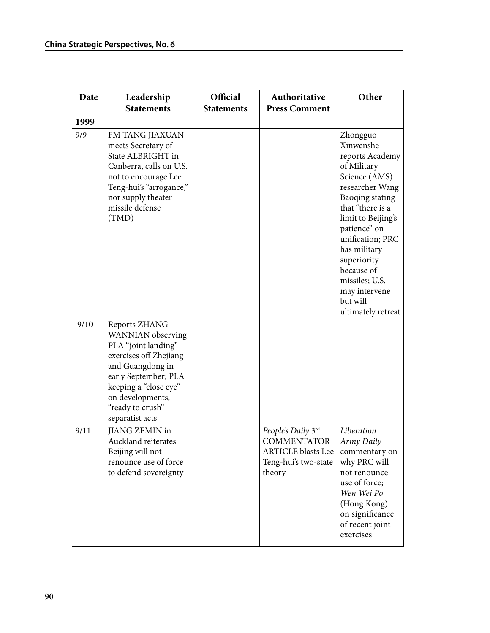| Date | Leadership<br><b>Statements</b>                                                                                                                                                                                     | Official<br><b>Statements</b> | Authoritative<br><b>Press Comment</b>                                                                   | Other                                                                                                                                                                                                                                                                                                          |
|------|---------------------------------------------------------------------------------------------------------------------------------------------------------------------------------------------------------------------|-------------------------------|---------------------------------------------------------------------------------------------------------|----------------------------------------------------------------------------------------------------------------------------------------------------------------------------------------------------------------------------------------------------------------------------------------------------------------|
| 1999 |                                                                                                                                                                                                                     |                               |                                                                                                         |                                                                                                                                                                                                                                                                                                                |
| 9/9  | FM TANG JIAXUAN<br>meets Secretary of<br>State ALBRIGHT in<br>Canberra, calls on U.S.<br>not to encourage Lee<br>Teng-hui's "arrogance,"<br>nor supply theater<br>missile defense<br>(TMD)                          |                               |                                                                                                         | Zhongguo<br>Xinwenshe<br>reports Academy<br>of Military<br>Science (AMS)<br>researcher Wang<br>Baoqing stating<br>that "there is a<br>limit to Beijing's<br>patience" on<br>unification; PRC<br>has military<br>superiority<br>because of<br>missiles; U.S.<br>may intervene<br>but will<br>ultimately retreat |
| 9/10 | Reports ZHANG<br>WANNIAN observing<br>PLA "joint landing"<br>exercises off Zhejiang<br>and Guangdong in<br>early September; PLA<br>keeping a "close eye"<br>on developments,<br>"ready to crush"<br>separatist acts |                               |                                                                                                         |                                                                                                                                                                                                                                                                                                                |
| 9/11 | <b>JIANG ZEMIN in</b><br>Auckland reiterates<br>Beijing will not<br>renounce use of force<br>to defend sovereignty                                                                                                  |                               | People's Daily 3rd<br><b>COMMENTATOR</b><br><b>ARTICLE</b> blasts Lee<br>Teng-hui's two-state<br>theory | Liberation<br>Army Daily<br>commentary on<br>why PRC will<br>not renounce<br>use of force;<br>Wen Wei Po<br>(Hong Kong)<br>on significance<br>of recent joint<br>exercises                                                                                                                                     |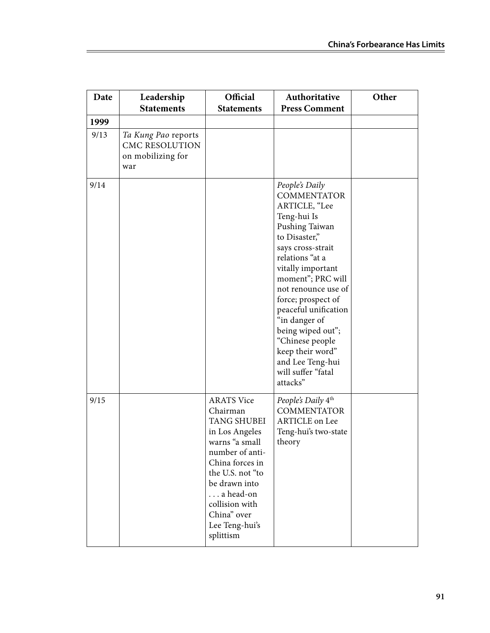| Date | Leadership<br><b>Statements</b>                                          | Official<br><b>Statements</b>                                                                                                                                                                                                                   | Authoritative<br><b>Press Comment</b>                                                                                                                                                                                                                                                                                                                                                             | Other |
|------|--------------------------------------------------------------------------|-------------------------------------------------------------------------------------------------------------------------------------------------------------------------------------------------------------------------------------------------|---------------------------------------------------------------------------------------------------------------------------------------------------------------------------------------------------------------------------------------------------------------------------------------------------------------------------------------------------------------------------------------------------|-------|
| 1999 |                                                                          |                                                                                                                                                                                                                                                 |                                                                                                                                                                                                                                                                                                                                                                                                   |       |
| 9/13 | Ta Kung Pao reports<br><b>CMC RESOLUTION</b><br>on mobilizing for<br>war |                                                                                                                                                                                                                                                 |                                                                                                                                                                                                                                                                                                                                                                                                   |       |
| 9/14 |                                                                          |                                                                                                                                                                                                                                                 | People's Daily<br><b>COMMENTATOR</b><br>ARTICLE, "Lee<br>Teng-hui Is<br>Pushing Taiwan<br>to Disaster,"<br>says cross-strait<br>relations "at a<br>vitally important<br>moment"; PRC will<br>not renounce use of<br>force; prospect of<br>peaceful unification<br>"in danger of<br>being wiped out";<br>"Chinese people<br>keep their word"<br>and Lee Teng-hui<br>will suffer "fatal<br>attacks" |       |
| 9/15 |                                                                          | <b>ARATS Vice</b><br>Chairman<br><b>TANG SHUBEI</b><br>in Los Angeles<br>warns "a small<br>number of anti-<br>China forces in<br>the U.S. not "to<br>be drawn into<br>a head-on<br>collision with<br>China" over<br>Lee Teng-hui's<br>splittism | People's Daily 4th<br><b>COMMENTATOR</b><br><b>ARTICLE</b> on Lee<br>Teng-hui's two-state<br>theory                                                                                                                                                                                                                                                                                               |       |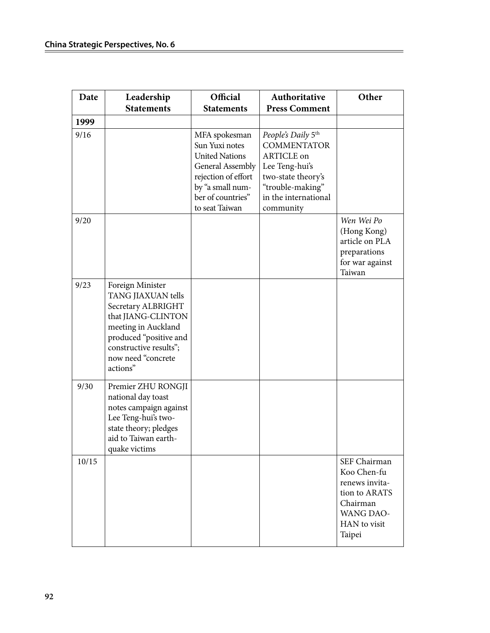| Date  | Leadership<br><b>Statements</b>                                                                                                                                                                 | Official<br><b>Statements</b>                                                                                                                                         | Authoritative<br><b>Press Comment</b>                                                                                                                   | Other                                                                                                                    |
|-------|-------------------------------------------------------------------------------------------------------------------------------------------------------------------------------------------------|-----------------------------------------------------------------------------------------------------------------------------------------------------------------------|---------------------------------------------------------------------------------------------------------------------------------------------------------|--------------------------------------------------------------------------------------------------------------------------|
| 1999  |                                                                                                                                                                                                 |                                                                                                                                                                       |                                                                                                                                                         |                                                                                                                          |
| 9/16  |                                                                                                                                                                                                 | MFA spokesman<br>Sun Yuxi notes<br><b>United Nations</b><br><b>General Assembly</b><br>rejection of effort<br>by "a small num-<br>ber of countries"<br>to seat Taiwan | People's Daily 5th<br><b>COMMENTATOR</b><br>ARTICLE on<br>Lee Teng-hui's<br>two-state theory's<br>"trouble-making"<br>in the international<br>community |                                                                                                                          |
| 9/20  |                                                                                                                                                                                                 |                                                                                                                                                                       |                                                                                                                                                         | Wen Wei Po<br>(Hong Kong)<br>article on PLA<br>preparations<br>for war against<br>Taiwan                                 |
| 9/23  | Foreign Minister<br>TANG JIAXUAN tells<br>Secretary ALBRIGHT<br>that JIANG-CLINTON<br>meeting in Auckland<br>produced "positive and<br>constructive results";<br>now need "concrete<br>actions" |                                                                                                                                                                       |                                                                                                                                                         |                                                                                                                          |
| 9/30  | Premier ZHU RONGJI<br>national day toast<br>notes campaign against<br>Lee Teng-hui's two-<br>state theory; pledges<br>aid to Taiwan earth-<br>quake victims                                     |                                                                                                                                                                       |                                                                                                                                                         |                                                                                                                          |
| 10/15 |                                                                                                                                                                                                 |                                                                                                                                                                       |                                                                                                                                                         | SEF Chairman<br>Koo Chen-fu<br>renews invita-<br>tion to ARATS<br>Chairman<br><b>WANG DAO-</b><br>HAN to visit<br>Taipei |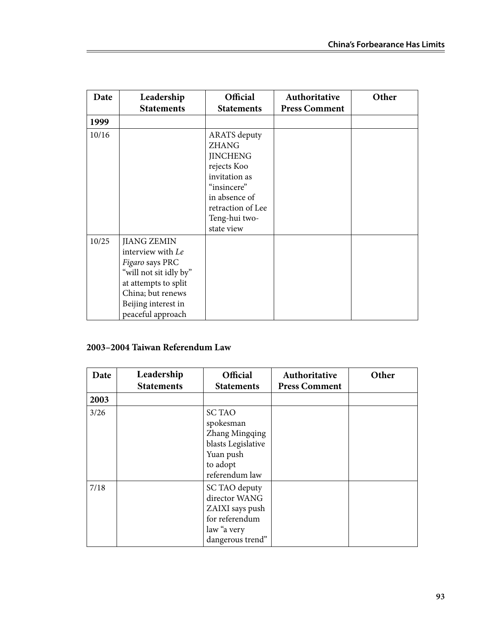| Date  | Leadership<br><b>Statements</b>                                                                                                                                               | <b>Official</b><br><b>Statements</b>                                                                                                                                       | Authoritative<br><b>Press Comment</b> | Other |
|-------|-------------------------------------------------------------------------------------------------------------------------------------------------------------------------------|----------------------------------------------------------------------------------------------------------------------------------------------------------------------------|---------------------------------------|-------|
| 1999  |                                                                                                                                                                               |                                                                                                                                                                            |                                       |       |
| 10/16 |                                                                                                                                                                               | <b>ARATS</b> deputy<br><b>ZHANG</b><br><b>JINCHENG</b><br>rejects Koo<br>invitation as<br>"insincere"<br>in absence of<br>retraction of Lee<br>Teng-hui two-<br>state view |                                       |       |
| 10/25 | <b>JIANG ZEMIN</b><br>interview with Le<br>Figaro says PRC<br>"will not sit idly by"<br>at attempts to split<br>China; but renews<br>Beijing interest in<br>peaceful approach |                                                                                                                                                                            |                                       |       |

### **2003–2004 Taiwan Referendum Law**

| Date | Leadership<br><b>Statements</b> | Official<br><b>Statements</b>                                                                                 | Authoritative<br><b>Press Comment</b> | Other |
|------|---------------------------------|---------------------------------------------------------------------------------------------------------------|---------------------------------------|-------|
| 2003 |                                 |                                                                                                               |                                       |       |
| 3/26 |                                 | <b>SC TAO</b><br>spokesman<br>Zhang Mingqing<br>blasts Legislative<br>Yuan push<br>to adopt<br>referendum law |                                       |       |
| 7/18 |                                 | SC TAO deputy<br>director WANG<br>ZAIXI says push<br>for referendum<br>law "a very<br>dangerous trend"        |                                       |       |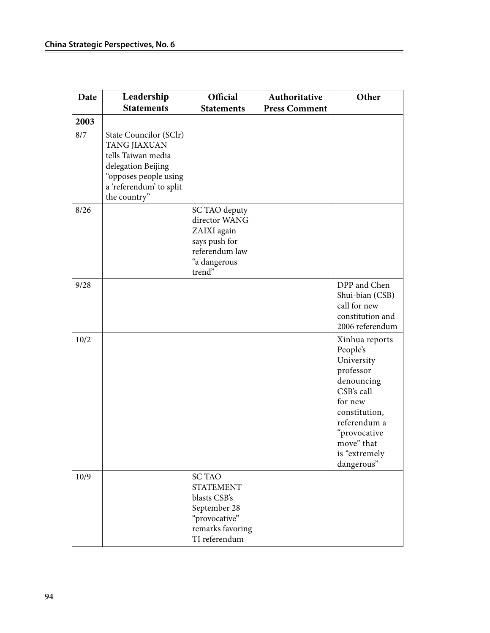| Date | Leadership                                                                                                                                             | Official                                                                                                                | Authoritative        | Other                                                                                                                                                                                      |
|------|--------------------------------------------------------------------------------------------------------------------------------------------------------|-------------------------------------------------------------------------------------------------------------------------|----------------------|--------------------------------------------------------------------------------------------------------------------------------------------------------------------------------------------|
|      | <b>Statements</b>                                                                                                                                      | <b>Statements</b>                                                                                                       | <b>Press Comment</b> |                                                                                                                                                                                            |
| 2003 |                                                                                                                                                        |                                                                                                                         |                      |                                                                                                                                                                                            |
| 8/7  | State Councilor (SClr)<br>TANG JIAXUAN<br>tells Taiwan media<br>delegation Beijing<br>"opposes people using<br>a 'referendum' to split<br>the country" |                                                                                                                         |                      |                                                                                                                                                                                            |
| 8/26 |                                                                                                                                                        | SC TAO deputy<br>director WANG<br>ZAIXI again<br>says push for<br>referendum law<br>"a dangerous<br>trend"              |                      |                                                                                                                                                                                            |
| 9/28 |                                                                                                                                                        |                                                                                                                         |                      | DPP and Chen<br>Shui-bian (CSB)<br>call for new<br>constitution and<br>2006 referendum                                                                                                     |
| 10/2 |                                                                                                                                                        |                                                                                                                         |                      | Xinhua reports<br>People's<br>University<br>professor<br>denouncing<br>CSB's call<br>for new<br>constitution,<br>referendum a<br>"provocative<br>move" that<br>is "extremely<br>dangerous" |
| 10/9 |                                                                                                                                                        | <b>SC TAO</b><br><b>STATEMENT</b><br>blasts CSB's<br>September 28<br>"provocative"<br>remarks favoring<br>TI referendum |                      |                                                                                                                                                                                            |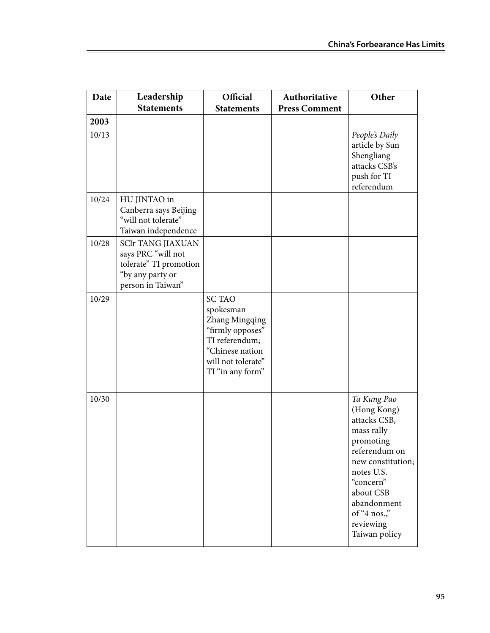| Date  | Leadership                                                                                                        | Official                                                                                                                                        | Authoritative        | Other                                                                                                                                                                                                           |
|-------|-------------------------------------------------------------------------------------------------------------------|-------------------------------------------------------------------------------------------------------------------------------------------------|----------------------|-----------------------------------------------------------------------------------------------------------------------------------------------------------------------------------------------------------------|
|       | <b>Statements</b>                                                                                                 | <b>Statements</b>                                                                                                                               | <b>Press Comment</b> |                                                                                                                                                                                                                 |
| 2003  |                                                                                                                   |                                                                                                                                                 |                      |                                                                                                                                                                                                                 |
| 10/13 |                                                                                                                   |                                                                                                                                                 |                      | People's Daily<br>article by Sun<br>Shengliang<br>attacks CSB's<br>push for TI<br>referendum                                                                                                                    |
| 10/24 | HU JINTAO in<br>Canberra says Beijing<br>"will not tolerate"<br>Taiwan independence                               |                                                                                                                                                 |                      |                                                                                                                                                                                                                 |
| 10/28 | <b>SClr TANG JIAXUAN</b><br>says PRC "will not<br>tolerate" TI promotion<br>"by any party or<br>person in Taiwan" |                                                                                                                                                 |                      |                                                                                                                                                                                                                 |
| 10/29 |                                                                                                                   | <b>SC TAO</b><br>spokesman<br>Zhang Mingqing<br>"firmly opposes"<br>TI referendum;<br>"Chinese nation<br>will not tolerate"<br>TI "in any form" |                      |                                                                                                                                                                                                                 |
| 10/30 |                                                                                                                   |                                                                                                                                                 |                      | Ta Kung Pao<br>(Hong Kong)<br>attacks CSB,<br>mass rally<br>promoting<br>referendum on<br>new constitution;<br>notes U.S.<br>"concern"<br>about CSB<br>abandonment<br>of "4 nos."<br>reviewing<br>Taiwan policy |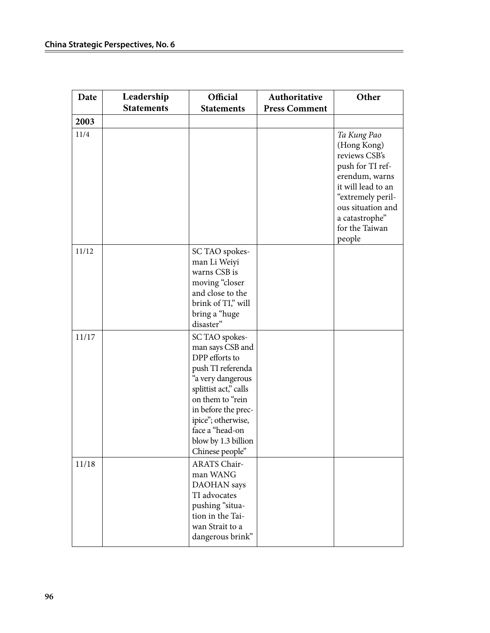| Date  | Leadership        | Official                                                                                                                                                                                                                                              | Authoritative        | Other                                                                                                                                                                                           |
|-------|-------------------|-------------------------------------------------------------------------------------------------------------------------------------------------------------------------------------------------------------------------------------------------------|----------------------|-------------------------------------------------------------------------------------------------------------------------------------------------------------------------------------------------|
|       | <b>Statements</b> | <b>Statements</b>                                                                                                                                                                                                                                     | <b>Press Comment</b> |                                                                                                                                                                                                 |
| 2003  |                   |                                                                                                                                                                                                                                                       |                      |                                                                                                                                                                                                 |
| 11/4  |                   |                                                                                                                                                                                                                                                       |                      | Ta Kung Pao<br>(Hong Kong)<br>reviews CSB's<br>push for TI ref-<br>erendum, warns<br>it will lead to an<br>"extremely peril-<br>ous situation and<br>a catastrophe"<br>for the Taiwan<br>people |
| 11/12 |                   | SC TAO spokes-<br>man Li Weiyi<br>warns CSB is<br>moving "closer<br>and close to the<br>brink of TI," will<br>bring a "huge<br>disaster"                                                                                                              |                      |                                                                                                                                                                                                 |
| 11/17 |                   | SC TAO spokes-<br>man says CSB and<br>DPP efforts to<br>push TI referenda<br>"a very dangerous<br>splittist act," calls<br>on them to "rein<br>in before the prec-<br>ipice"; otherwise,<br>face a "head-on<br>blow by 1.3 billion<br>Chinese people" |                      |                                                                                                                                                                                                 |
| 11/18 |                   | ARATS Chair-<br>man WANG<br>DAOHAN says<br>TI advocates<br>pushing "situa-<br>tion in the Tai-<br>wan Strait to a<br>dangerous brink"                                                                                                                 |                      |                                                                                                                                                                                                 |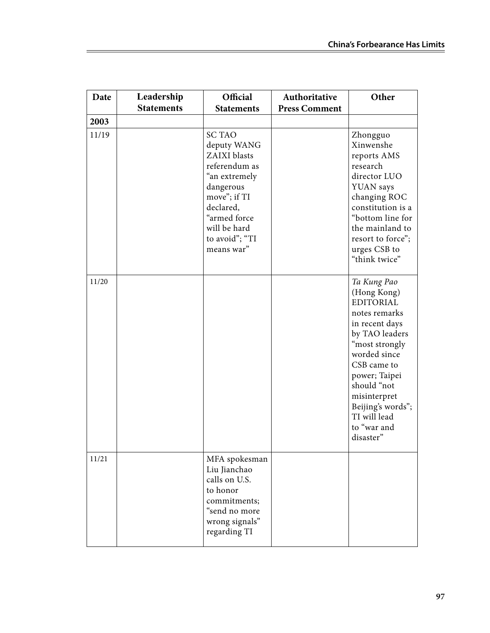| Date  | Leadership        | Official                                                                                                                                                                                 | Authoritative        | Other                                                                                                                                                                                                                                                                 |
|-------|-------------------|------------------------------------------------------------------------------------------------------------------------------------------------------------------------------------------|----------------------|-----------------------------------------------------------------------------------------------------------------------------------------------------------------------------------------------------------------------------------------------------------------------|
|       | <b>Statements</b> | <b>Statements</b>                                                                                                                                                                        | <b>Press Comment</b> |                                                                                                                                                                                                                                                                       |
| 2003  |                   |                                                                                                                                                                                          |                      |                                                                                                                                                                                                                                                                       |
| 11/19 |                   | <b>SC TAO</b><br>deputy WANG<br>ZAIXI blasts<br>referendum as<br>"an extremely<br>dangerous<br>move"; if TI<br>declared,<br>"armed force<br>will be hard<br>to avoid"; "TI<br>means war" |                      | Zhongguo<br>Xinwenshe<br>reports AMS<br>research<br>director LUO<br>YUAN says<br>changing ROC<br>constitution is a<br>"bottom line for<br>the mainland to<br>resort to force";<br>urges CSB to<br>"think twice"                                                       |
| 11/20 |                   |                                                                                                                                                                                          |                      | Ta Kung Pao<br>(Hong Kong)<br><b>EDITORIAL</b><br>notes remarks<br>in recent days<br>by TAO leaders<br>"most strongly<br>worded since<br>CSB came to<br>power; Taipei<br>should "not<br>misinterpret<br>Beijing's words";<br>TI will lead<br>to "war and<br>disaster" |
| 11/21 |                   | MFA spokesman<br>Liu Jianchao<br>calls on U.S.<br>to honor<br>commitments;<br>"send no more<br>wrong signals"<br>regarding TI                                                            |                      |                                                                                                                                                                                                                                                                       |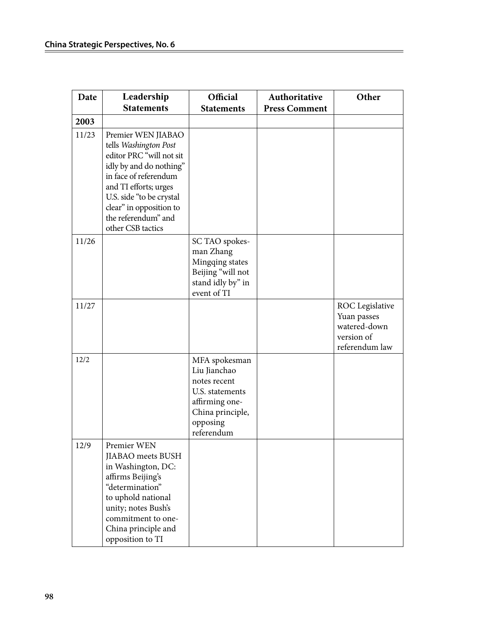| Date  | Leadership                                                                                                                                                                                                                                              | Official                                                                                                                         | Authoritative        | Other                                                                          |
|-------|---------------------------------------------------------------------------------------------------------------------------------------------------------------------------------------------------------------------------------------------------------|----------------------------------------------------------------------------------------------------------------------------------|----------------------|--------------------------------------------------------------------------------|
|       | <b>Statements</b>                                                                                                                                                                                                                                       | <b>Statements</b>                                                                                                                | <b>Press Comment</b> |                                                                                |
| 2003  |                                                                                                                                                                                                                                                         |                                                                                                                                  |                      |                                                                                |
| 11/23 | Premier WEN JIABAO<br>tells Washington Post<br>editor PRC "will not sit<br>idly by and do nothing"<br>in face of referendum<br>and TI efforts; urges<br>U.S. side "to be crystal<br>clear" in opposition to<br>the referendum" and<br>other CSB tactics |                                                                                                                                  |                      |                                                                                |
| 11/26 |                                                                                                                                                                                                                                                         | SC TAO spokes-<br>man Zhang<br>Mingqing states<br>Beijing "will not<br>stand idly by" in<br>event of TI                          |                      |                                                                                |
| 11/27 |                                                                                                                                                                                                                                                         |                                                                                                                                  |                      | ROC Legislative<br>Yuan passes<br>watered-down<br>version of<br>referendum law |
| 12/2  |                                                                                                                                                                                                                                                         | MFA spokesman<br>Liu Jianchao<br>notes recent<br>U.S. statements<br>affirming one-<br>China principle,<br>opposing<br>referendum |                      |                                                                                |
| 12/9  | Premier WEN<br>JIABAO meets BUSH<br>in Washington, DC:<br>affirms Beijing's<br>"determination"<br>to uphold national<br>unity; notes Bush's<br>commitment to one-<br>China principle and<br>opposition to TI                                            |                                                                                                                                  |                      |                                                                                |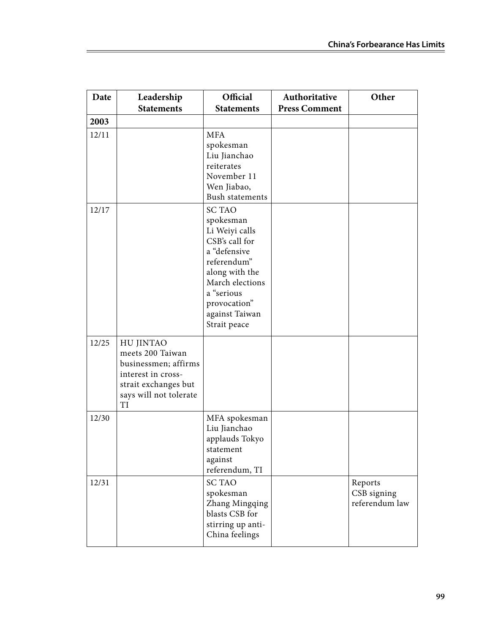| Date  | Leadership<br><b>Statements</b>                                                                                                            | Official<br><b>Statements</b>                                                                                                                                                                      | Authoritative<br><b>Press Comment</b> | Other                                    |
|-------|--------------------------------------------------------------------------------------------------------------------------------------------|----------------------------------------------------------------------------------------------------------------------------------------------------------------------------------------------------|---------------------------------------|------------------------------------------|
| 2003  |                                                                                                                                            |                                                                                                                                                                                                    |                                       |                                          |
| 12/11 |                                                                                                                                            | <b>MFA</b><br>spokesman<br>Liu Jianchao<br>reiterates<br>November 11<br>Wen Jiabao,<br><b>Bush statements</b>                                                                                      |                                       |                                          |
| 12/17 |                                                                                                                                            | <b>SC TAO</b><br>spokesman<br>Li Weiyi calls<br>CSB's call for<br>a "defensive<br>referendum"<br>along with the<br>March elections<br>a "serious<br>provocation"<br>against Taiwan<br>Strait peace |                                       |                                          |
| 12/25 | <b>HU JINTAO</b><br>meets 200 Taiwan<br>businessmen; affirms<br>interest in cross-<br>strait exchanges but<br>says will not tolerate<br>TI |                                                                                                                                                                                                    |                                       |                                          |
| 12/30 |                                                                                                                                            | MFA spokesman<br>Liu Jianchao<br>applauds Tokyo<br>statement<br>against<br>referendum, TI                                                                                                          |                                       |                                          |
| 12/31 |                                                                                                                                            | <b>SC TAO</b><br>spokesman<br>Zhang Mingqing<br>blasts CSB for<br>stirring up anti-<br>China feelings                                                                                              |                                       | Reports<br>CSB signing<br>referendum law |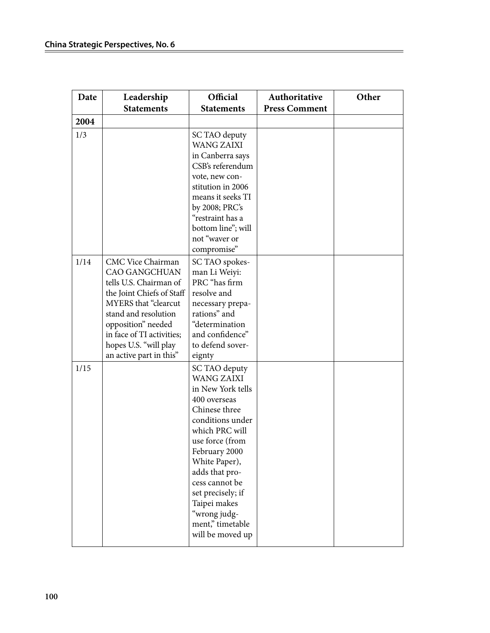| Date | Leadership                                                                                                                                                                                                                                                     | Official                                                                                                                                                                                                                                                                                                             | Authoritative        | Other |
|------|----------------------------------------------------------------------------------------------------------------------------------------------------------------------------------------------------------------------------------------------------------------|----------------------------------------------------------------------------------------------------------------------------------------------------------------------------------------------------------------------------------------------------------------------------------------------------------------------|----------------------|-------|
|      | <b>Statements</b>                                                                                                                                                                                                                                              | <b>Statements</b>                                                                                                                                                                                                                                                                                                    | <b>Press Comment</b> |       |
| 2004 |                                                                                                                                                                                                                                                                |                                                                                                                                                                                                                                                                                                                      |                      |       |
| 1/3  |                                                                                                                                                                                                                                                                | SC TAO deputy<br><b>WANG ZAIXI</b><br>in Canberra says<br>CSB's referendum<br>vote, new con-<br>stitution in 2006<br>means it seeks TI<br>by 2008; PRC's<br>"restraint has a<br>bottom line"; will<br>not "waver or<br>compromise"                                                                                   |                      |       |
| 1/14 | CMC Vice Chairman<br><b>CAO GANGCHUAN</b><br>tells U.S. Chairman of<br>the Joint Chiefs of Staff<br><b>MYERS</b> that "clearcut<br>stand and resolution<br>opposition" needed<br>in face of TI activities;<br>hopes U.S. "will play<br>an active part in this" | SC TAO spokes-<br>man Li Weiyi:<br>PRC "has firm<br>resolve and<br>necessary prepa-<br>rations" and<br>"determination<br>and confidence"<br>to defend sover-<br>eignty                                                                                                                                               |                      |       |
| 1/15 |                                                                                                                                                                                                                                                                | SC TAO deputy<br><b>WANG ZAIXI</b><br>in New York tells<br>400 overseas<br>Chinese three<br>conditions under<br>which PRC will<br>use force (from<br>February 2000<br>White Paper),<br>adds that pro-<br>cess cannot be<br>set precisely; if<br>Taipei makes<br>"wrong judg-<br>ment," timetable<br>will be moved up |                      |       |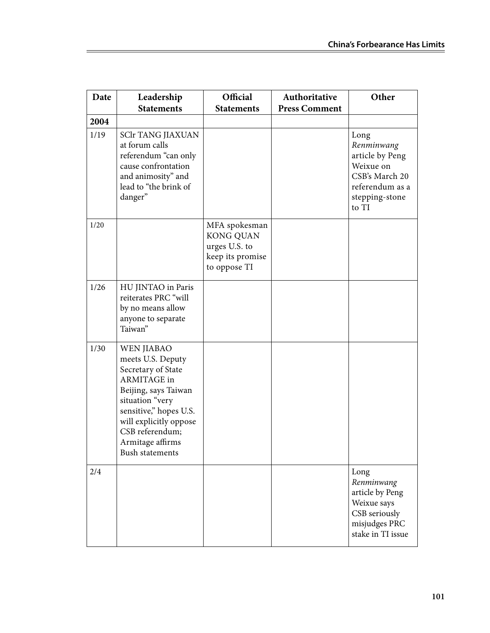| Date         | Leadership                                                                                                                                                                                                                                         | Official                                                                               | Authoritative        | Other                                                                                                              |
|--------------|----------------------------------------------------------------------------------------------------------------------------------------------------------------------------------------------------------------------------------------------------|----------------------------------------------------------------------------------------|----------------------|--------------------------------------------------------------------------------------------------------------------|
|              | <b>Statements</b>                                                                                                                                                                                                                                  | <b>Statements</b>                                                                      | <b>Press Comment</b> |                                                                                                                    |
| 2004<br>1/19 | <b>SClr TANG JIAXUAN</b><br>at forum calls<br>referendum "can only<br>cause confrontation<br>and animosity" and<br>lead to "the brink of<br>danger"                                                                                                |                                                                                        |                      | Long<br>Renminwang<br>article by Peng<br>Weixue on<br>CSB's March 20<br>referendum as a<br>stepping-stone<br>to TI |
| 1/20         |                                                                                                                                                                                                                                                    | MFA spokesman<br><b>KONG QUAN</b><br>urges U.S. to<br>keep its promise<br>to oppose TI |                      |                                                                                                                    |
| 1/26         | HU JINTAO in Paris<br>reiterates PRC "will<br>by no means allow<br>anyone to separate<br>Taiwan"                                                                                                                                                   |                                                                                        |                      |                                                                                                                    |
| 1/30         | <b>WEN JIABAO</b><br>meets U.S. Deputy<br>Secretary of State<br><b>ARMITAGE</b> in<br>Beijing, says Taiwan<br>situation "very<br>sensitive," hopes U.S.<br>will explicitly oppose<br>CSB referendum;<br>Armitage affirms<br><b>Bush statements</b> |                                                                                        |                      |                                                                                                                    |
| 2/4          |                                                                                                                                                                                                                                                    |                                                                                        |                      | Long<br>Renminwang<br>article by Peng<br>Weixue says<br>CSB seriously<br>misjudges PRC<br>stake in TI issue        |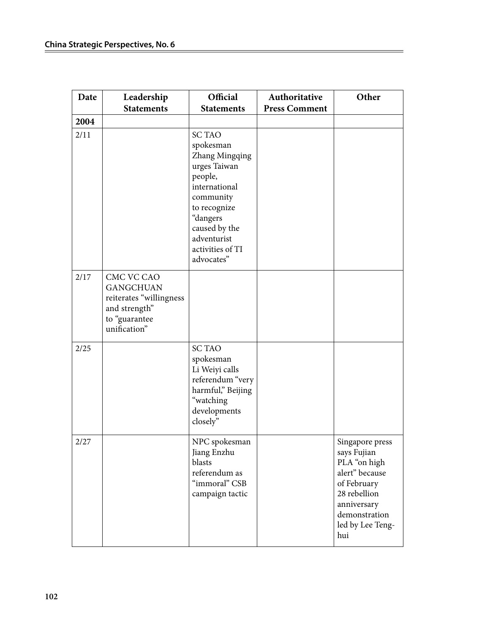| Date | Leadership<br><b>Statements</b>                                                                             | Official<br><b>Statements</b>                                                                                                                                                                       | Authoritative<br><b>Press Comment</b> | Other                                                                                                                                                      |
|------|-------------------------------------------------------------------------------------------------------------|-----------------------------------------------------------------------------------------------------------------------------------------------------------------------------------------------------|---------------------------------------|------------------------------------------------------------------------------------------------------------------------------------------------------------|
| 2004 |                                                                                                             |                                                                                                                                                                                                     |                                       |                                                                                                                                                            |
| 2/11 |                                                                                                             | <b>SC TAO</b><br>spokesman<br>Zhang Mingqing<br>urges Taiwan<br>people,<br>international<br>community<br>to recognize<br>"dangers<br>caused by the<br>adventurist<br>activities of TI<br>advocates" |                                       |                                                                                                                                                            |
| 2/17 | CMC VC CAO<br><b>GANGCHUAN</b><br>reiterates "willingness<br>and strength"<br>to "guarantee<br>unification" |                                                                                                                                                                                                     |                                       |                                                                                                                                                            |
| 2/25 |                                                                                                             | <b>SC TAO</b><br>spokesman<br>Li Weiyi calls<br>referendum "very<br>harmful," Beijing<br>"watching<br>developments<br>closely"                                                                      |                                       |                                                                                                                                                            |
| 2/27 |                                                                                                             | NPC spokesman<br>Jiang Enzhu<br>blasts<br>referendum as<br>"immoral" CSB<br>campaign tactic                                                                                                         |                                       | Singapore press<br>says Fujian<br>PLA "on high<br>alert" because<br>of February<br>28 rebellion<br>anniversary<br>demonstration<br>led by Lee Teng-<br>hui |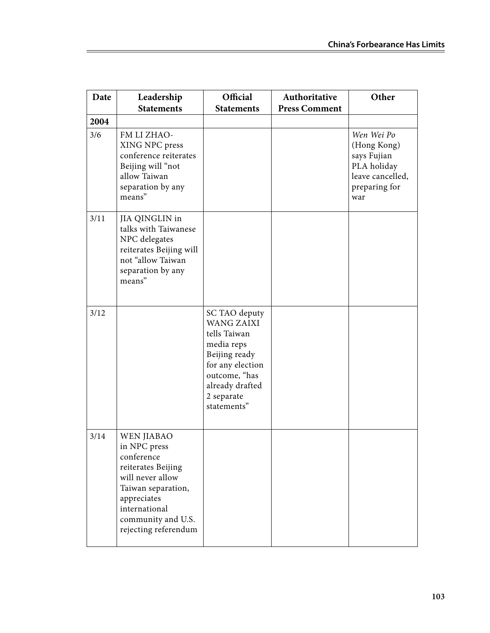| Date | Leadership<br><b>Statements</b>                                                                                                                                                        | Official<br><b>Statements</b>                                                                                                                                          | Authoritative<br><b>Press Comment</b> | Other                                                                                               |
|------|----------------------------------------------------------------------------------------------------------------------------------------------------------------------------------------|------------------------------------------------------------------------------------------------------------------------------------------------------------------------|---------------------------------------|-----------------------------------------------------------------------------------------------------|
| 2004 |                                                                                                                                                                                        |                                                                                                                                                                        |                                       |                                                                                                     |
| 3/6  | FM LI ZHAO-<br>XING NPC press<br>conference reiterates<br>Beijing will "not<br>allow Taiwan<br>separation by any<br>means"                                                             |                                                                                                                                                                        |                                       | Wen Wei Po<br>(Hong Kong)<br>says Fujian<br>PLA holiday<br>leave cancelled,<br>preparing for<br>war |
| 3/11 | JIA QINGLIN in<br>talks with Taiwanese<br>NPC delegates<br>reiterates Beijing will<br>not "allow Taiwan<br>separation by any<br>means"                                                 |                                                                                                                                                                        |                                       |                                                                                                     |
| 3/12 |                                                                                                                                                                                        | SC TAO deputy<br><b>WANG ZAIXI</b><br>tells Taiwan<br>media reps<br>Beijing ready<br>for any election<br>outcome, "has<br>already drafted<br>2 separate<br>statements" |                                       |                                                                                                     |
| 3/14 | WEN JIABAO<br>in NPC press<br>conference<br>reiterates Beijing<br>will never allow<br>Taiwan separation,<br>appreciates<br>international<br>community and U.S.<br>rejecting referendum |                                                                                                                                                                        |                                       |                                                                                                     |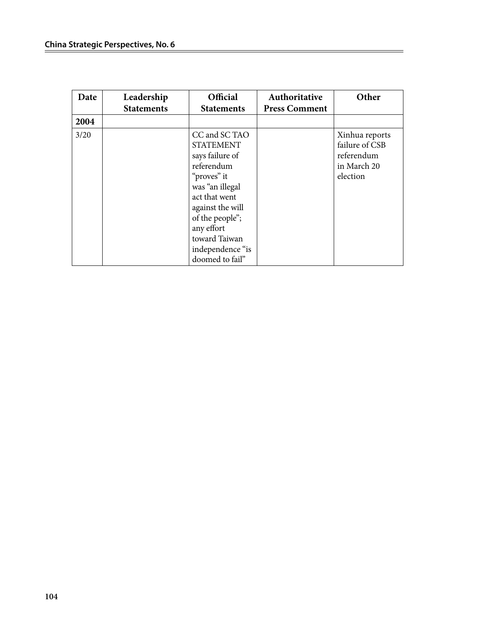| Date | Leadership<br><b>Statements</b> | <b>Official</b><br><b>Statements</b>                                                                                                                                                                                               | Authoritative<br><b>Press Comment</b> | Other                                                                     |
|------|---------------------------------|------------------------------------------------------------------------------------------------------------------------------------------------------------------------------------------------------------------------------------|---------------------------------------|---------------------------------------------------------------------------|
| 2004 |                                 |                                                                                                                                                                                                                                    |                                       |                                                                           |
| 3/20 |                                 | CC and SC TAO<br><b>STATEMENT</b><br>says failure of<br>referendum<br>"proves" it<br>was "an illegal<br>act that went<br>against the will<br>of the people";<br>any effort<br>toward Taiwan<br>independence "is<br>doomed to fail" |                                       | Xinhua reports<br>failure of CSB<br>referendum<br>in March 20<br>election |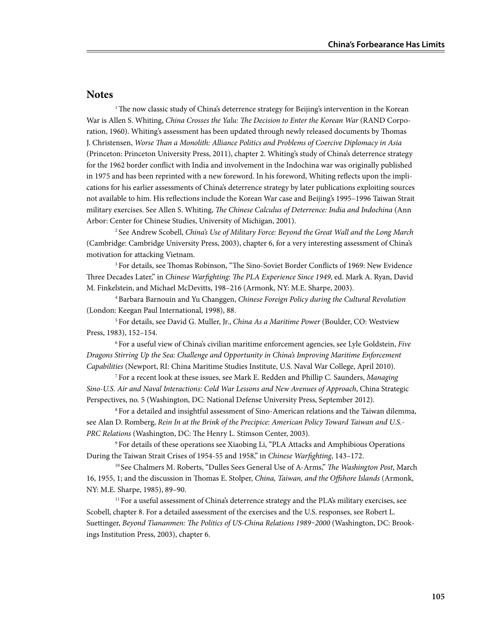## **Notes**

<sup>1</sup>The now classic study of China's deterrence strategy for Beijing's intervention in the Korean War is Allen S. Whiting, *China Crosses the Yalu: The Decision to Enter the Korean War* (RAND Corporation, 1960). Whiting's assessment has been updated through newly released documents by Thomas J. Christensen, *Worse Than a Monolith: Alliance Politics and Problems of Coercive Diplomacy in Asia* (Princeton: Princeton University Press, 2011), chapter 2. Whiting's study of China's deterrence strategy for the 1962 border conflict with India and involvement in the Indochina war was originally published in 1975 and has been reprinted with a new foreword. In his foreword, Whiting reflects upon the implications for his earlier assessments of China's deterrence strategy by later publications exploiting sources not available to him. His reflections include the Korean War case and Beijing's 1995–1996 Taiwan Strait military exercises. See Allen S. Whiting, *The Chinese Calculus of Deterrence: India and Indochina* (Ann Arbor: Center for Chinese Studies, University of Michigan, 2001).

2 See Andrew Scobell, *China's Use of Military Force: Beyond the Great Wall and the Long March* (Cambridge: Cambridge University Press, 2003), chapter 6, for a very interesting assessment of China's motivation for attacking Vietnam.

3 For details, see Thomas Robinson, "The Sino-Soviet Border Conflicts of 1969: New Evidence Three Decades Later," in *Chinese Warfighting: The PLA Experience Since 1949*, ed. Mark A. Ryan, David M. Finkelstein, and Michael McDevitts, 198–216 (Armonk, NY: M.E. Sharpe, 2003).

4 Barbara Barnouin and Yu Changgen, *Chinese Foreign Policy during the Cultural Revolution* (London: Keegan Paul International, 1998), 88.

5 For details, see David G. Muller, Jr., *China As a Maritime Power* (Boulder, CO: Westview Press, 1983), 152–154.

6 For a useful view of China's civilian maritime enforcement agencies, see Lyle Goldstein, *Five Dragons Stirring Up the Sea: Challenge and Opportunity in China's Improving Maritime Enforcement Capabilities* (Newport, RI: China Maritime Studies Institute, U.S. Naval War College, April 2010).

7 For a recent look at these issues, see Mark E. Redden and Phillip C. Saunders, *Managing Sino-U.S. Air and Naval Interactions: Cold War Lessons and New Avenues of Approach*, China Strategic Perspectives, no. 5 (Washington, DC: National Defense University Press, September 2012).

8 For a detailed and insightful assessment of Sino-American relations and the Taiwan dilemma, see Alan D. Romberg, *Rein In at the Brink of the Precipice: American Policy Toward Taiwan and U.S.- PRC Relations* (Washington, DC: The Henry L. Stimson Center, 2003).

9 For details of these operations see Xiaobing Li, "PLA Attacks and Amphibious Operations During the Taiwan Strait Crises of 1954-55 and 1958," in *Chinese Warfighting*, 143–172.

10 See Chalmers M. Roberts, "Dulles Sees General Use of A-Arms," *The Washington Post*, March 16, 1955, 1; and the discussion in Thomas E. Stolper, *China, Taiwan, and the Offshore Islands* (Armonk, NY: M.E. Sharpe, 1985), 89–90.

<sup>11</sup> For a useful assessment of China's deterrence strategy and the PLA's military exercises, see Scobell, chapter 8. For a detailed assessment of the exercises and the U.S. responses, see Robert L. Suettinger, *Beyond Tiananmen: The Politics of US-China Relations 1989-2000* (Washington, DC: Brookings Institution Press, 2003), chapter 6.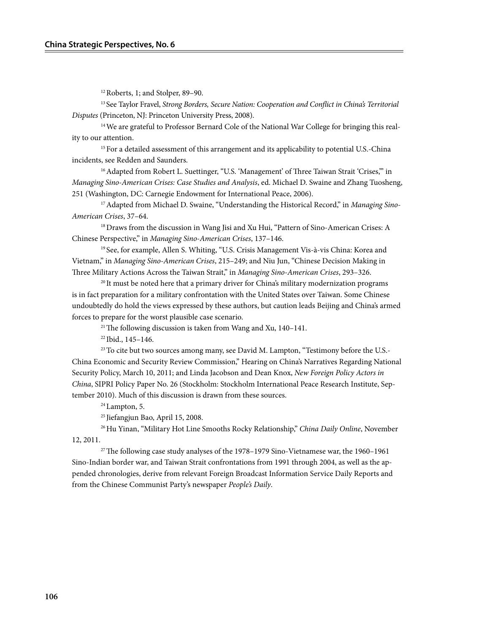12 Roberts, 1; and Stolper, 89–90.

13 See Taylor Fravel, *Strong Borders, Secure Nation: Cooperation and Conflict in China's Territorial Disputes* (Princeton, NJ: Princeton University Press, 2008).

<sup>14</sup> We are grateful to Professor Bernard Cole of the National War College for bringing this reality to our attention.

<sup>15</sup> For a detailed assessment of this arrangement and its applicability to potential U.S.-China incidents, see Redden and Saunders.

<sup>16</sup> Adapted from Robert L. Suettinger, "U.S. 'Management' of Three Taiwan Strait 'Crises," in *Managing Sino-American Crises: Case Studies and Analysis*, ed. Michael D. Swaine and Zhang Tuosheng, 251 (Washington, DC: Carnegie Endowment for International Peace, 2006).

17 Adapted from Michael D. Swaine, "Understanding the Historical Record," in *Managing Sino-American Crises*, 37–64.

<sup>18</sup> Draws from the discussion in Wang Jisi and Xu Hui, "Pattern of Sino-American Crises: A Chinese Perspective," in *Managing Sino-American Crises*, 137–146.

19 See, for example, Allen S. Whiting, "U.S. Crisis Management Vis-à-vis China: Korea and Vietnam," in *Managing Sino-American Crises*, 215–249; and Niu Jun, "Chinese Decision Making in Three Military Actions Across the Taiwan Strait," in *Managing Sino-American Crises*, 293–326.

 $20$  It must be noted here that a primary driver for China's military modernization programs is in fact preparation for a military confrontation with the United States over Taiwan. Some Chinese undoubtedly do hold the views expressed by these authors, but caution leads Beijing and China's armed forces to prepare for the worst plausible case scenario.

21 The following discussion is taken from Wang and Xu, 140–141.

22 Ibid., 145–146.

<sup>23</sup> To cite but two sources among many, see David M. Lampton, "Testimony before the U.S.-China Economic and Security Review Commission," Hearing on China's Narratives Regarding National Security Policy, March 10, 2011; and Linda Jacobson and Dean Knox, *New Foreign Policy Actors in China*, SIPRI Policy Paper No. 26 (Stockholm: Stockholm International Peace Research Institute, September 2010). Much of this discussion is drawn from these sources.

 $24$  Lampton, 5.

25 Jiefangjun Bao, April 15, 2008.

26 Hu Yinan, "Military Hot Line Smooths Rocky Relationship," *China Daily Online*, November 12, 2011.

<sup>27</sup> The following case study analyses of the  $1978-1979$  Sino-Vietnamese war, the  $1960-1961$ Sino-Indian border war, and Taiwan Strait confrontations from 1991 through 2004, as well as the appended chronologies, derive from relevant Foreign Broadcast Information Service Daily Reports and from the Chinese Communist Party's newspaper *People's Daily*.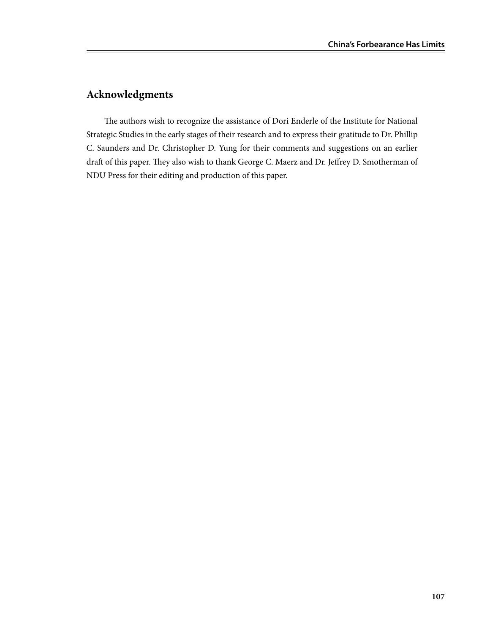## **Acknowledgments**

The authors wish to recognize the assistance of Dori Enderle of the Institute for National Strategic Studies in the early stages of their research and to express their gratitude to Dr. Phillip C. Saunders and Dr. Christopher D. Yung for their comments and suggestions on an earlier draft of this paper. They also wish to thank George C. Maerz and Dr. Jeffrey D. Smotherman of NDU Press for their editing and production of this paper.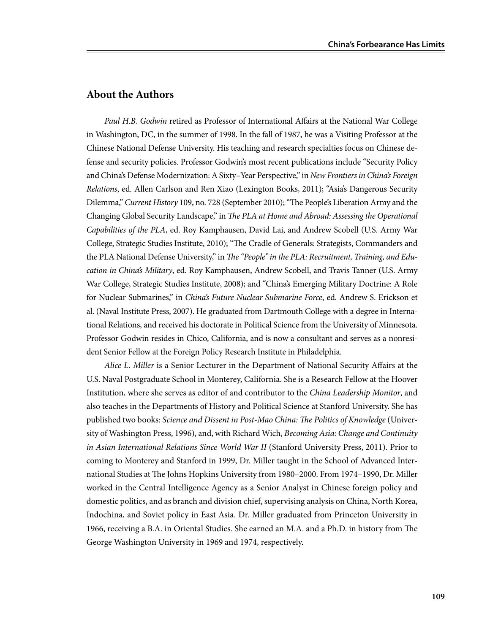## **About the Authors**

*Paul H.B. Godwin* retired as Professor of International Affairs at the National War College in Washington, DC, in the summer of 1998. In the fall of 1987, he was a Visiting Professor at the Chinese National Defense University. His teaching and research specialties focus on Chinese defense and security policies. Professor Godwin's most recent publications include "Security Policy and China's Defense Modernization: A Sixty–Year Perspective," in *New Frontiers in China's Foreign Relations*, ed. Allen Carlson and Ren Xiao (Lexington Books, 2011); "Asia's Dangerous Security Dilemma," *Current History* 109, no. 728 (September 2010); "The People's Liberation Army and the Changing Global Security Landscape," in *The PLA at Home and Abroad: Assessing the Operational Capabilities of the PLA*, ed. Roy Kamphausen, David Lai, and Andrew Scobell (U.S. Army War College, Strategic Studies Institute, 2010); "The Cradle of Generals: Strategists, Commanders and the PLA National Defense University," in *The "People" in the PLA: Recruitment, Training, and Education in China's Military*, ed. Roy Kamphausen, Andrew Scobell, and Travis Tanner (U.S. Army War College, Strategic Studies Institute, 2008); and "China's Emerging Military Doctrine: A Role for Nuclear Submarines," in *China's Future Nuclear Submarine Force*, ed. Andrew S. Erickson et al. (Naval Institute Press, 2007). He graduated from Dartmouth College with a degree in International Relations, and received his doctorate in Political Science from the University of Minnesota. Professor Godwin resides in Chico, California, and is now a consultant and serves as a nonresident Senior Fellow at the Foreign Policy Research Institute in Philadelphia.

*Alice L. Miller* is a Senior Lecturer in the Department of National Security Affairs at the U.S. Naval Postgraduate School in Monterey, California. She is a Research Fellow at the Hoover Institution, where she serves as editor of and contributor to the *China Leadership Monitor*, and also teaches in the Departments of History and Political Science at Stanford University. She has published two books: *Science and Dissent in Post-Mao China: The Politics of Knowledge* (University of Washington Press, 1996), and, with Richard Wich, *Becoming Asia: Change and Continuity in Asian International Relations Since World War II* (Stanford University Press, 2011). Prior to coming to Monterey and Stanford in 1999, Dr. Miller taught in the School of Advanced International Studies at The Johns Hopkins University from 1980–2000. From 1974–1990, Dr. Miller worked in the Central Intelligence Agency as a Senior Analyst in Chinese foreign policy and domestic politics, and as branch and division chief, supervising analysis on China, North Korea, Indochina, and Soviet policy in East Asia. Dr. Miller graduated from Princeton University in 1966, receiving a B.A. in Oriental Studies. She earned an M.A. and a Ph.D. in history from The George Washington University in 1969 and 1974, respectively.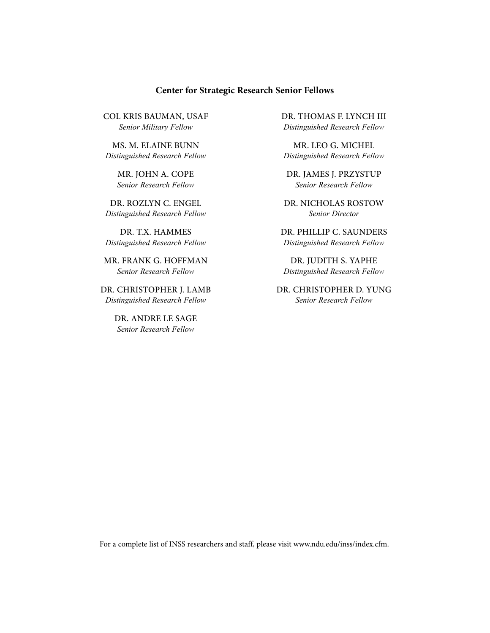## **Center for Strategic Research Senior Fellows**

Col kris bauman, USAF *Senior Military Fellow*

Ms. M. Elaine Bunn *Distinguished Research Fellow*

> Mr. John A. Cope *Senior Research Fellow*

Dr. Rozlyn C. Engel *Distinguished Research Fellow*

Dr. T.X. Hammes *Distinguished Research Fellow*

Mr. Frank G. Hoffman *Senior Research Fellow*

Dr. Christopher J. Lamb *Distinguished Research Fellow*

> Dr. Andre Le Sage *Senior Research Fellow*

Dr. Thomas F. Lynch III *Distinguished Research Fellow* 

Mr. Leo G. Michel *Distinguished Research Fellow*

Dr. James J. Przystup *Senior Research Fellow*

Dr. Nicholas Rostow *Senior Director*

Dr. Phillip C. Saunders *Distinguished Research Fellow*

DR. JUDITH S. YAPHE *Distinguished Research Fellow*

Dr. Christopher D. Yung *Senior Research Fellow*

For a complete list of INSS researchers and staff, please visit www.ndu.edu/inss/index.cfm.